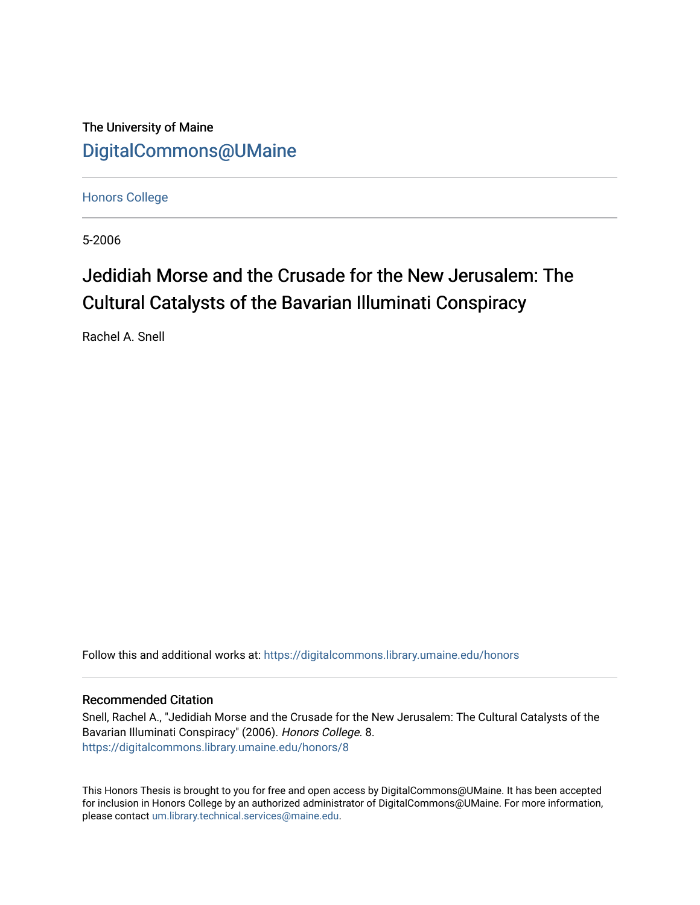The University of Maine [DigitalCommons@UMaine](https://digitalcommons.library.umaine.edu/)

[Honors College](https://digitalcommons.library.umaine.edu/honors)

5-2006

# Jedidiah Morse and the Crusade for the New Jerusalem: The Cultural Catalysts of the Bavarian Illuminati Conspiracy

Rachel A. Snell

Follow this and additional works at: [https://digitalcommons.library.umaine.edu/honors](https://digitalcommons.library.umaine.edu/honors?utm_source=digitalcommons.library.umaine.edu%2Fhonors%2F8&utm_medium=PDF&utm_campaign=PDFCoverPages) 

### Recommended Citation

Snell, Rachel A., "Jedidiah Morse and the Crusade for the New Jerusalem: The Cultural Catalysts of the Bavarian Illuminati Conspiracy" (2006). Honors College. 8. [https://digitalcommons.library.umaine.edu/honors/8](https://digitalcommons.library.umaine.edu/honors/8?utm_source=digitalcommons.library.umaine.edu%2Fhonors%2F8&utm_medium=PDF&utm_campaign=PDFCoverPages)

This Honors Thesis is brought to you for free and open access by DigitalCommons@UMaine. It has been accepted for inclusion in Honors College by an authorized administrator of DigitalCommons@UMaine. For more information, please contact [um.library.technical.services@maine.edu.](mailto:um.library.technical.services@maine.edu)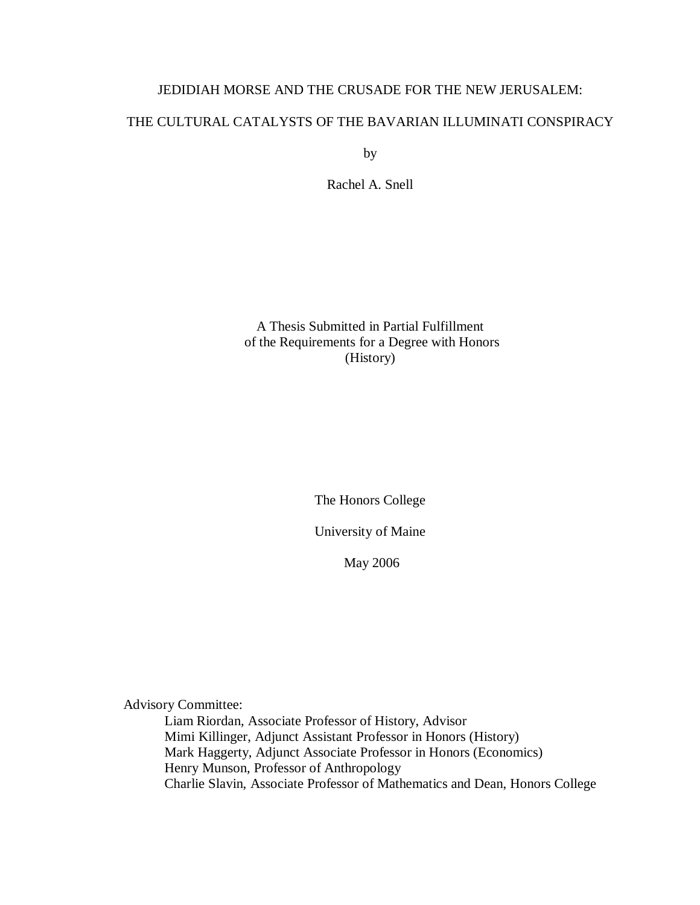## JEDIDIAH MORSE AND THE CRUSADE FOR THE NEW JERUSALEM:

## THE CULTURAL CATALYSTS OF THE BAVARIAN ILLUMINATI CONSPIRACY

by

Rachel A. Snell

A Thesis Submitted in Partial Fulfillment of the Requirements for a Degree with Honors (History)

The Honors College

University of Maine

May 2006

Advisory Committee:

Liam Riordan, Associate Professor of History, Advisor Mimi Killinger, Adjunct Assistant Professor in Honors (History) Mark Haggerty, Adjunct Associate Professor in Honors (Economics) Henry Munson, Professor of Anthropology Charlie Slavin, Associate Professor of Mathematics and Dean, Honors College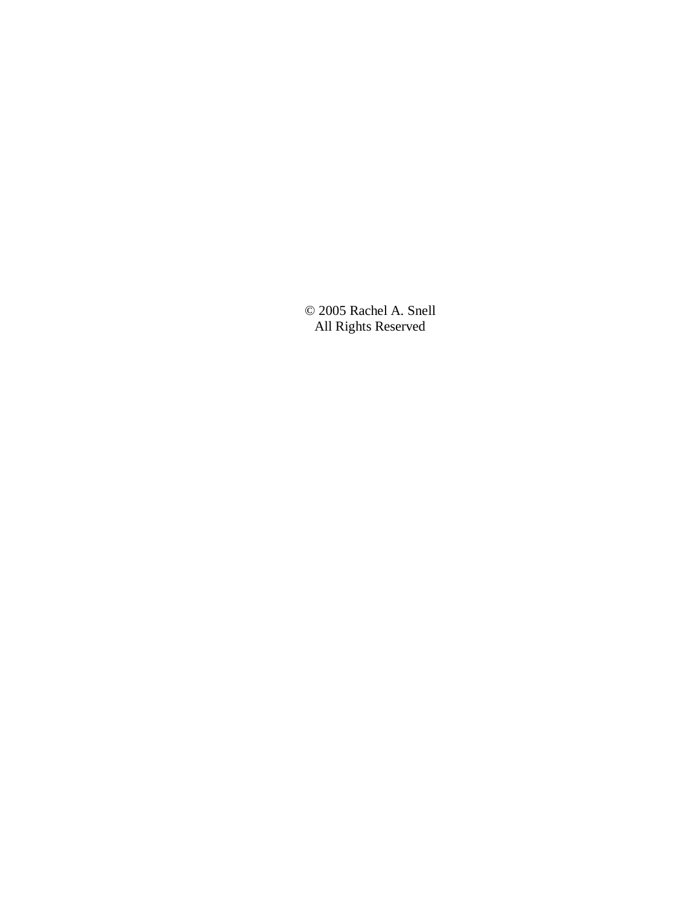© 2005 Rachel A. Snell All Rights Reserved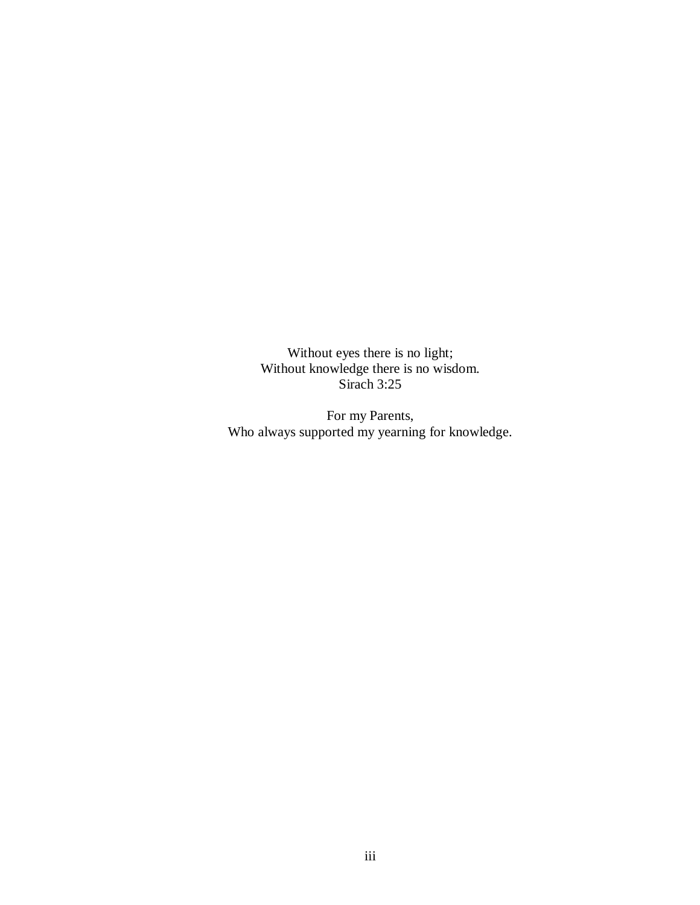Without eyes there is no light; Without knowledge there is no wisdom. Sirach 3:25

For my Parents, Who always supported my yearning for knowledge.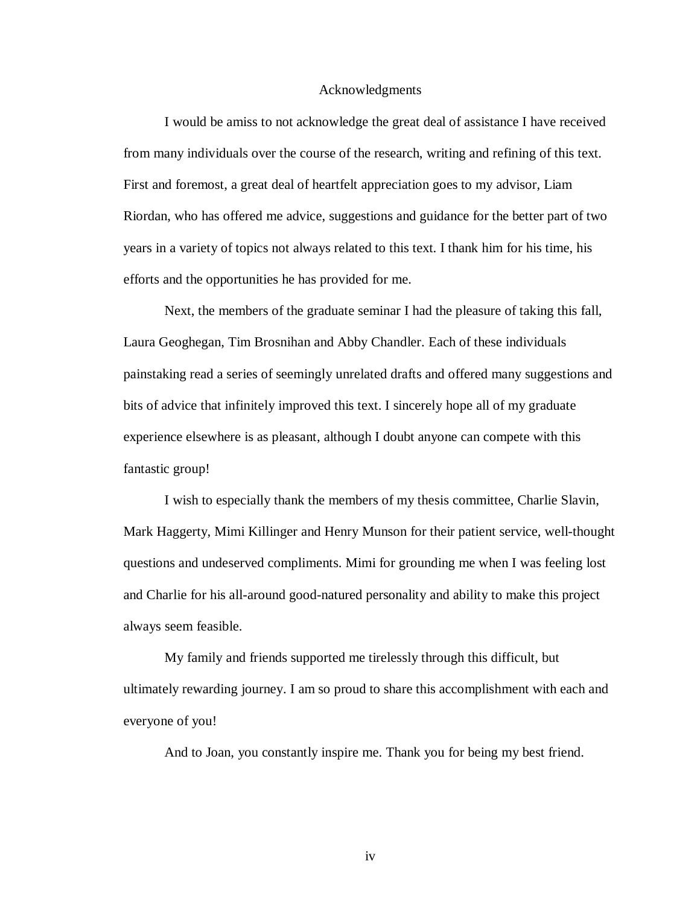#### Acknowledgments

I would be amiss to not acknowledge the great deal of assistance I have received from many individuals over the course of the research, writing and refining of this text. First and foremost, a great deal of heartfelt appreciation goes to my advisor, Liam Riordan, who has offered me advice, suggestions and guidance for the better part of two years in a variety of topics not always related to this text. I thank him for his time, his efforts and the opportunities he has provided for me.

Next, the members of the graduate seminar I had the pleasure of taking this fall, Laura Geoghegan, Tim Brosnihan and Abby Chandler. Each of these individuals painstaking read a series of seemingly unrelated drafts and offered many suggestions and bits of advice that infinitely improved this text. I sincerely hope all of my graduate experience elsewhere is as pleasant, although I doubt anyone can compete with this fantastic group!

I wish to especially thank the members of my thesis committee, Charlie Slavin, Mark Haggerty, Mimi Killinger and Henry Munson for their patient service, well-thought questions and undeserved compliments. Mimi for grounding me when I was feeling lost and Charlie for his all-around good-natured personality and ability to make this project always seem feasible.

My family and friends supported me tirelessly through this difficult, but ultimately rewarding journey. I am so proud to share this accomplishment with each and everyone of you!

And to Joan, you constantly inspire me. Thank you for being my best friend.

iv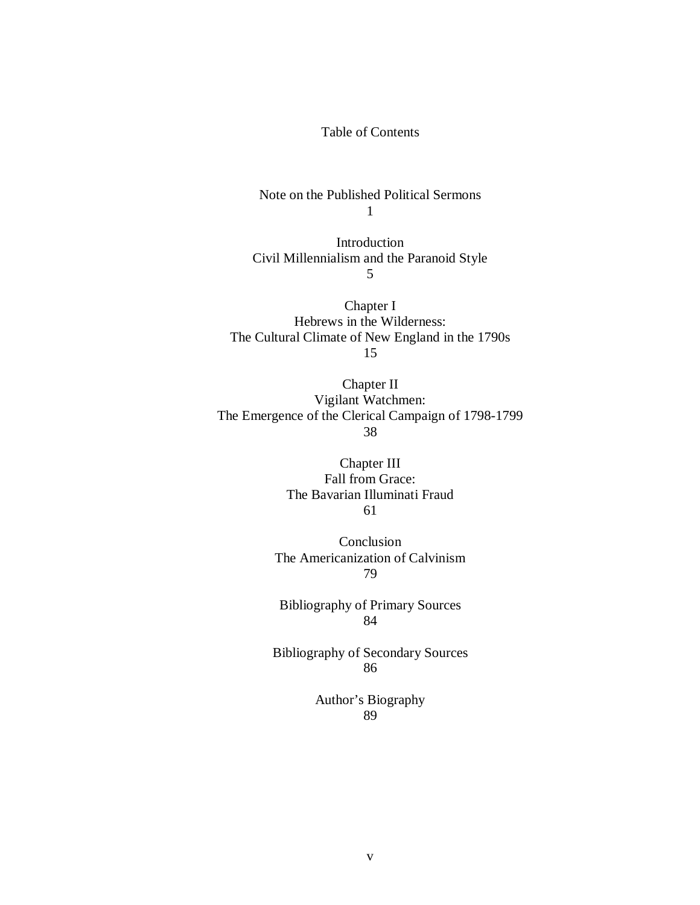## Table of Contents

Note on the Published Political Sermons 1

Introduction Civil Millennialism and the Paranoid Style 5

Chapter I Hebrews in the Wilderness: The Cultural Climate of New England in the 1790s 15

Chapter II Vigilant Watchmen: The Emergence of the Clerical Campaign of 1798-1799 38

> Chapter III Fall from Grace: The Bavarian Illuminati Fraud 61

Conclusion The Americanization of Calvinism 79

Bibliography of Primary Sources 84

Bibliography of Secondary Sources 86

> Author's Biography 89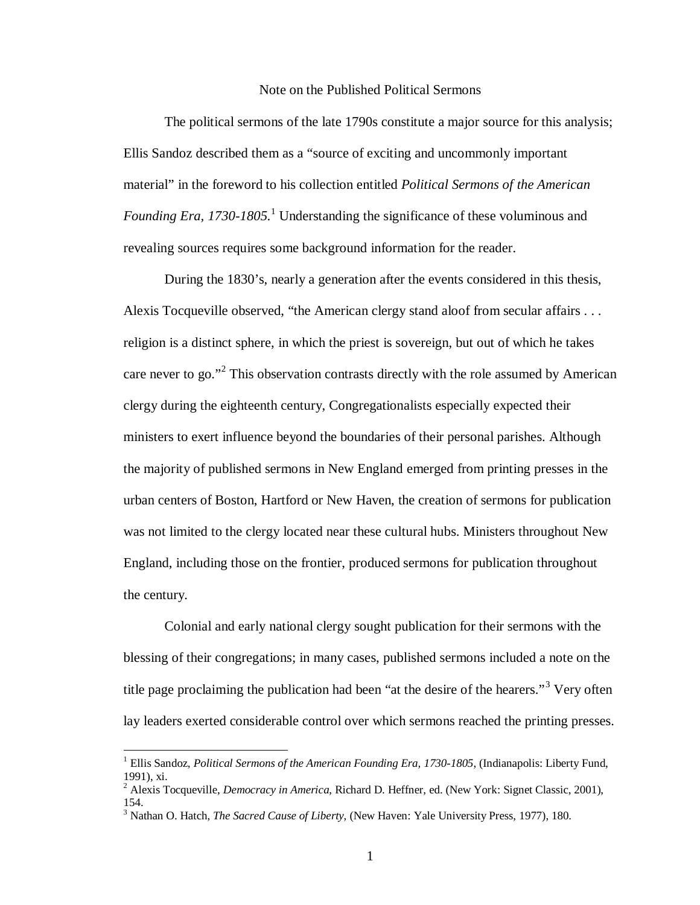#### Note on the Published Political Sermons

The political sermons of the late 1790s constitute a major source for this analysis; Ellis Sandoz described them as a "source of exciting and uncommonly important material" in the foreword to his collection entitled *Political Sermons of the American*  Founding Era, [1](#page-6-0)730-1805.<sup>1</sup> Understanding the significance of these voluminous and revealing sources requires some background information for the reader.

During the 1830's, nearly a generation after the events considered in this thesis, Alexis Tocqueville observed, "the American clergy stand aloof from secular affairs . . . religion is a distinct sphere, in which the priest is sovereign, but out of which he takes care never to go."[2](#page-6-1) This observation contrasts directly with the role assumed by American clergy during the eighteenth century, Congregationalists especially expected their ministers to exert influence beyond the boundaries of their personal parishes. Although the majority of published sermons in New England emerged from printing presses in the urban centers of Boston, Hartford or New Haven, the creation of sermons for publication was not limited to the clergy located near these cultural hubs. Ministers throughout New England, including those on the frontier, produced sermons for publication throughout the century.

Colonial and early national clergy sought publication for their sermons with the blessing of their congregations; in many cases, published sermons included a note on the title page proclaiming the publication had been "at the desire of the hearers."<sup>[3](#page-6-2)</sup> Very often lay leaders exerted considerable control over which sermons reached the printing presses.

<span id="page-6-0"></span><sup>&</sup>lt;sup>1</sup> Ellis Sandoz, *Political Sermons of the American Founding Era, 1730-1805*, (Indianapolis: Liberty Fund, 1991), xi.

<span id="page-6-1"></span><sup>2</sup> Alexis Tocqueville, *Democracy in America*, Richard D. Heffner, ed. (New York: Signet Classic, 2001), 154.

<span id="page-6-2"></span><sup>3</sup> Nathan O. Hatch, *The Sacred Cause of Liberty*, (New Haven: Yale University Press, 1977), 180.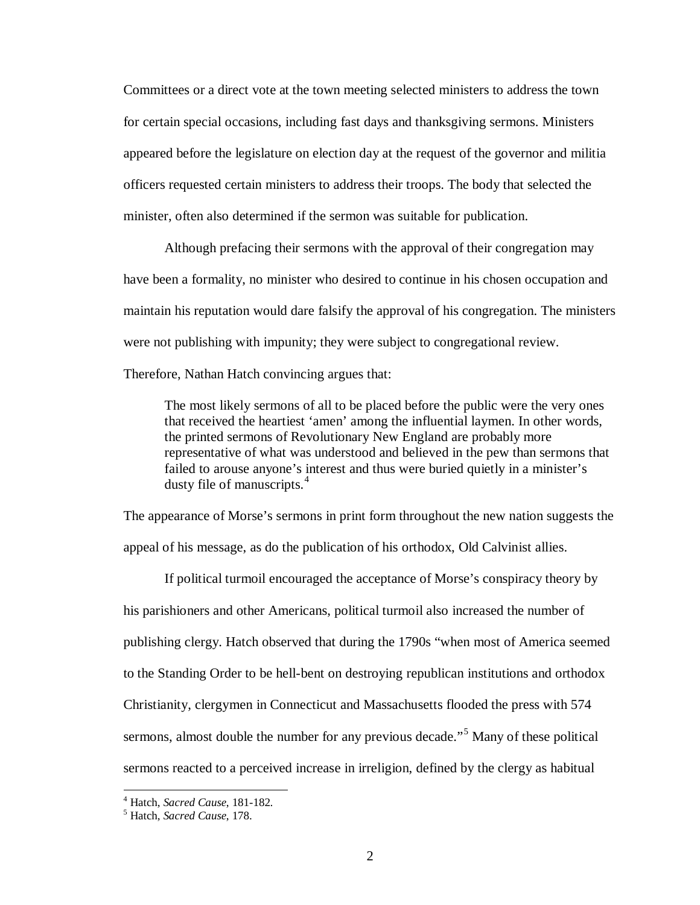Committees or a direct vote at the town meeting selected ministers to address the town for certain special occasions, including fast days and thanksgiving sermons. Ministers appeared before the legislature on election day at the request of the governor and militia officers requested certain ministers to address their troops. The body that selected the minister, often also determined if the sermon was suitable for publication.

Although prefacing their sermons with the approval of their congregation may have been a formality, no minister who desired to continue in his chosen occupation and maintain his reputation would dare falsify the approval of his congregation. The ministers were not publishing with impunity; they were subject to congregational review.

Therefore, Nathan Hatch convincing argues that:

The most likely sermons of all to be placed before the public were the very ones that received the heartiest 'amen' among the influential laymen. In other words, the printed sermons of Revolutionary New England are probably more representative of what was understood and believed in the pew than sermons that failed to arouse anyone's interest and thus were buried quietly in a minister's dusty file of manuscripts.<sup>[4](#page-7-0)</sup>

The appearance of Morse's sermons in print form throughout the new nation suggests the appeal of his message, as do the publication of his orthodox, Old Calvinist allies.

If political turmoil encouraged the acceptance of Morse's conspiracy theory by his parishioners and other Americans, political turmoil also increased the number of publishing clergy. Hatch observed that during the 1790s "when most of America seemed to the Standing Order to be hell-bent on destroying republican institutions and orthodox Christianity, clergymen in Connecticut and Massachusetts flooded the press with 574 sermons, almost double the number for any previous decade."[5](#page-7-1) Many of these political sermons reacted to a perceived increase in irreligion, defined by the clergy as habitual

<span id="page-7-0"></span><sup>4</sup> Hatch, *Sacred Cause*, 181-182. <sup>5</sup> Hatch, *Sacred Cause*, 178.

<span id="page-7-1"></span>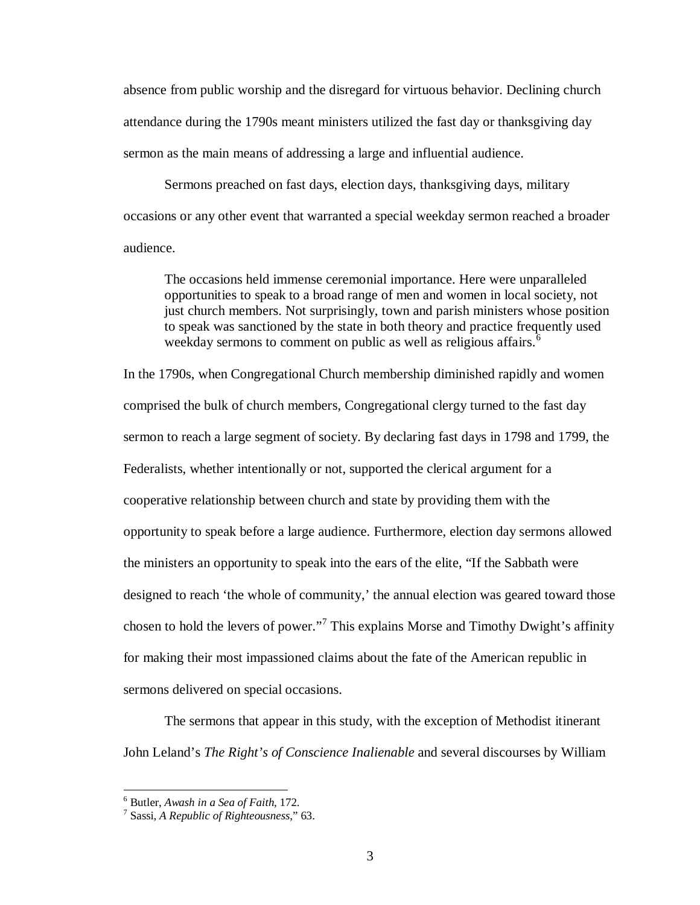absence from public worship and the disregard for virtuous behavior. Declining church attendance during the 1790s meant ministers utilized the fast day or thanksgiving day sermon as the main means of addressing a large and influential audience.

Sermons preached on fast days, election days, thanksgiving days, military occasions or any other event that warranted a special weekday sermon reached a broader audience.

The occasions held immense ceremonial importance. Here were unparalleled opportunities to speak to a broad range of men and women in local society, not just church members. Not surprisingly, town and parish ministers whose position to speak was sanctioned by the state in both theory and practice frequently used weekday sermons to comment on public as well as religious affairs.<sup>[6](#page-8-0)</sup>

In the 1790s, when Congregational Church membership diminished rapidly and women comprised the bulk of church members, Congregational clergy turned to the fast day sermon to reach a large segment of society. By declaring fast days in 1798 and 1799, the Federalists, whether intentionally or not, supported the clerical argument for a cooperative relationship between church and state by providing them with the opportunity to speak before a large audience. Furthermore, election day sermons allowed the ministers an opportunity to speak into the ears of the elite, "If the Sabbath were designed to reach 'the whole of community,' the annual election was geared toward those chosen to hold the levers of power."<sup>[7](#page-8-1)</sup> This explains Morse and Timothy Dwight's affinity for making their most impassioned claims about the fate of the American republic in sermons delivered on special occasions.

The sermons that appear in this study, with the exception of Methodist itinerant John Leland's *The Right's of Conscience Inalienable* and several discourses by William

<span id="page-8-1"></span><span id="page-8-0"></span><sup>6</sup> Butler, *Awash in a Sea of Faith*, 172. <sup>7</sup> Sassi, *A Republic of Righteousness*," 63.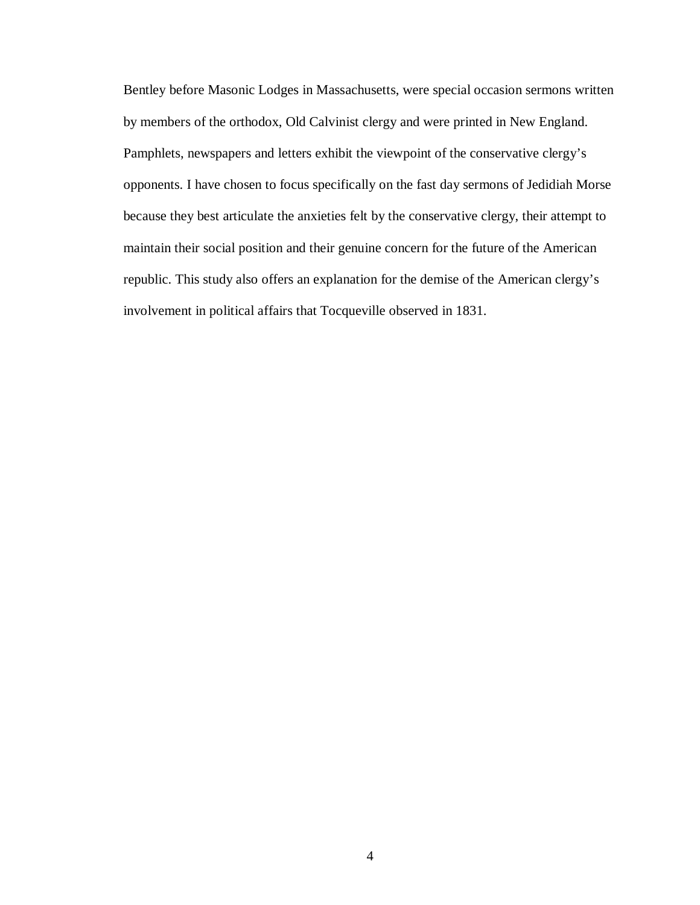Bentley before Masonic Lodges in Massachusetts, were special occasion sermons written by members of the orthodox, Old Calvinist clergy and were printed in New England. Pamphlets, newspapers and letters exhibit the viewpoint of the conservative clergy's opponents. I have chosen to focus specifically on the fast day sermons of Jedidiah Morse because they best articulate the anxieties felt by the conservative clergy, their attempt to maintain their social position and their genuine concern for the future of the American republic. This study also offers an explanation for the demise of the American clergy's involvement in political affairs that Tocqueville observed in 1831.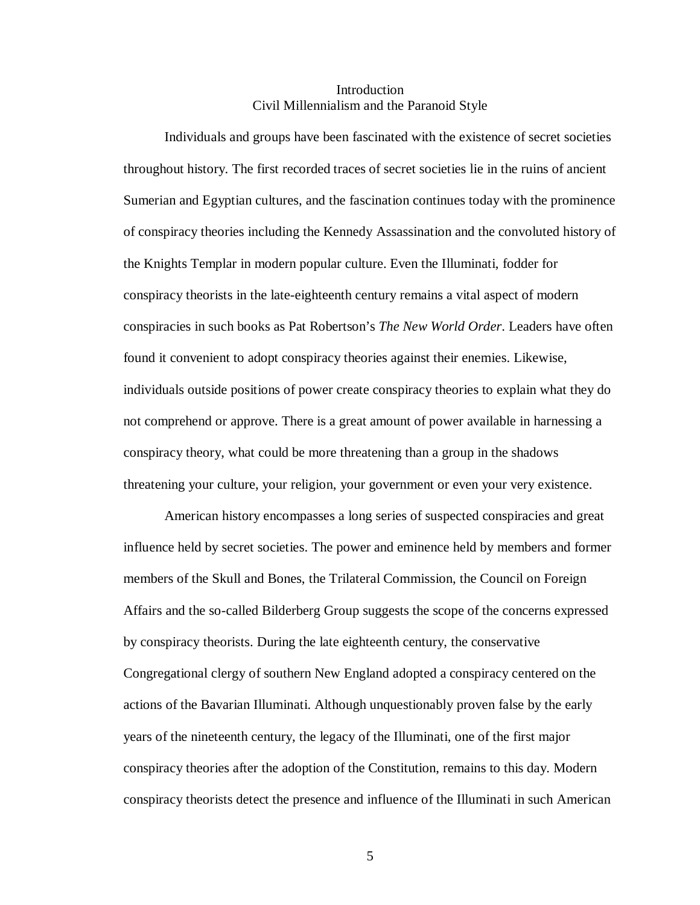## Introduction Civil Millennialism and the Paranoid Style

Individuals and groups have been fascinated with the existence of secret societies throughout history. The first recorded traces of secret societies lie in the ruins of ancient Sumerian and Egyptian cultures, and the fascination continues today with the prominence of conspiracy theories including the Kennedy Assassination and the convoluted history of the Knights Templar in modern popular culture. Even the Illuminati, fodder for conspiracy theorists in the late-eighteenth century remains a vital aspect of modern conspiracies in such books as Pat Robertson's *The New World Order*. Leaders have often found it convenient to adopt conspiracy theories against their enemies. Likewise, individuals outside positions of power create conspiracy theories to explain what they do not comprehend or approve. There is a great amount of power available in harnessing a conspiracy theory, what could be more threatening than a group in the shadows threatening your culture, your religion, your government or even your very existence.

American history encompasses a long series of suspected conspiracies and great influence held by secret societies. The power and eminence held by members and former members of the Skull and Bones, the Trilateral Commission, the Council on Foreign Affairs and the so-called Bilderberg Group suggests the scope of the concerns expressed by conspiracy theorists. During the late eighteenth century, the conservative Congregational clergy of southern New England adopted a conspiracy centered on the actions of the Bavarian Illuminati. Although unquestionably proven false by the early years of the nineteenth century, the legacy of the Illuminati, one of the first major conspiracy theories after the adoption of the Constitution, remains to this day. Modern conspiracy theorists detect the presence and influence of the Illuminati in such American

5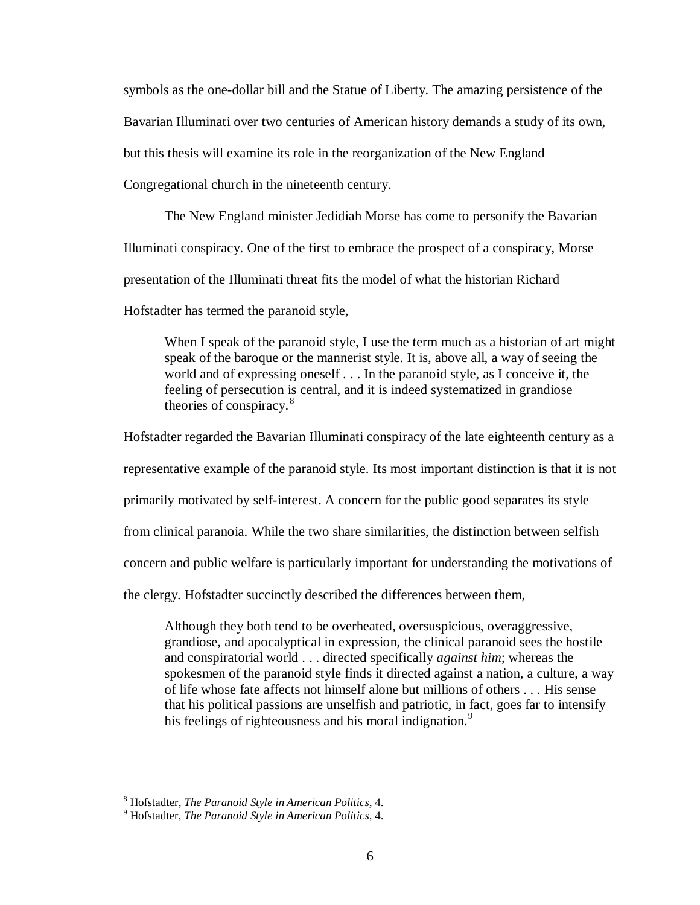symbols as the one-dollar bill and the Statue of Liberty. The amazing persistence of the

Bavarian Illuminati over two centuries of American history demands a study of its own,

but this thesis will examine its role in the reorganization of the New England

Congregational church in the nineteenth century.

The New England minister Jedidiah Morse has come to personify the Bavarian

Illuminati conspiracy. One of the first to embrace the prospect of a conspiracy, Morse

presentation of the Illuminati threat fits the model of what the historian Richard

Hofstadter has termed the paranoid style,

When I speak of the paranoid style, I use the term much as a historian of art might speak of the baroque or the mannerist style. It is, above all, a way of seeing the world and of expressing oneself . . . In the paranoid style, as I conceive it, the feeling of persecution is central, and it is indeed systematized in grandiose theories of conspiracy.<sup>[8](#page-11-0)</sup>

Hofstadter regarded the Bavarian Illuminati conspiracy of the late eighteenth century as a representative example of the paranoid style. Its most important distinction is that it is not primarily motivated by self-interest. A concern for the public good separates its style from clinical paranoia. While the two share similarities, the distinction between selfish concern and public welfare is particularly important for understanding the motivations of the clergy. Hofstadter succinctly described the differences between them,

Although they both tend to be overheated, oversuspicious, overaggressive, grandiose, and apocalyptical in expression, the clinical paranoid sees the hostile and conspiratorial world . . . directed specifically *against him*; whereas the spokesmen of the paranoid style finds it directed against a nation, a culture, a way of life whose fate affects not himself alone but millions of others . . . His sense that his political passions are unselfish and patriotic, in fact, goes far to intensify his feelings of righteousness and his moral indignation.<sup>[9](#page-11-1)</sup>

<span id="page-11-0"></span><sup>&</sup>lt;sup>8</sup> Hofstadter, *The Paranoid Style in American Politics*, 4.<br><sup>9</sup> Hofstadter, *The Paranoid Style in American Politics*, 4.

<span id="page-11-1"></span>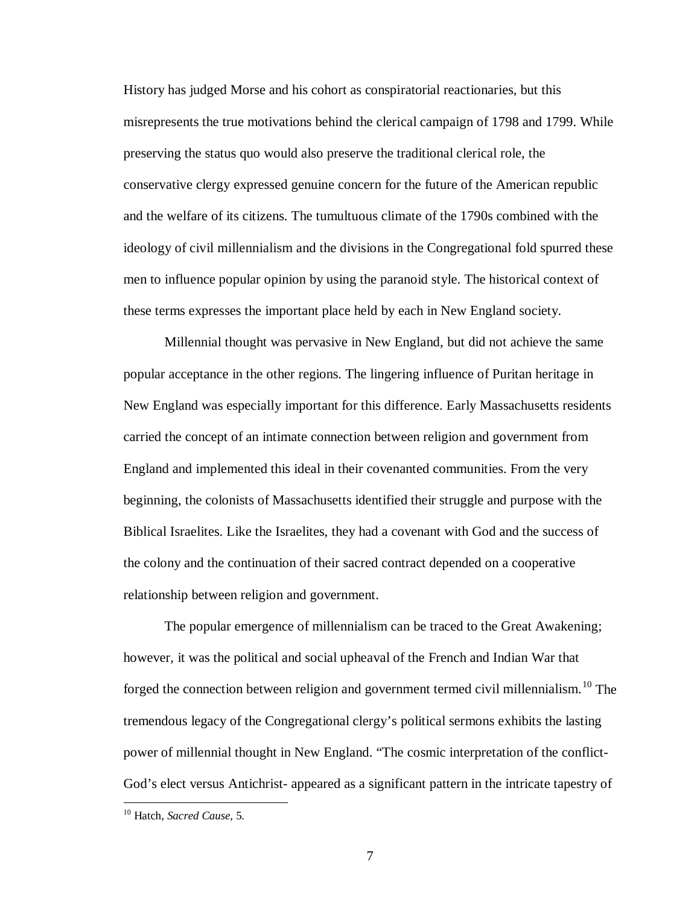History has judged Morse and his cohort as conspiratorial reactionaries, but this misrepresents the true motivations behind the clerical campaign of 1798 and 1799. While preserving the status quo would also preserve the traditional clerical role, the conservative clergy expressed genuine concern for the future of the American republic and the welfare of its citizens. The tumultuous climate of the 1790s combined with the ideology of civil millennialism and the divisions in the Congregational fold spurred these men to influence popular opinion by using the paranoid style. The historical context of these terms expresses the important place held by each in New England society.

Millennial thought was pervasive in New England, but did not achieve the same popular acceptance in the other regions. The lingering influence of Puritan heritage in New England was especially important for this difference. Early Massachusetts residents carried the concept of an intimate connection between religion and government from England and implemented this ideal in their covenanted communities. From the very beginning, the colonists of Massachusetts identified their struggle and purpose with the Biblical Israelites. Like the Israelites, they had a covenant with God and the success of the colony and the continuation of their sacred contract depended on a cooperative relationship between religion and government.

The popular emergence of millennialism can be traced to the Great Awakening; however, it was the political and social upheaval of the French and Indian War that forged the connection between religion and government termed civil millennialism.<sup>[10](#page-12-0)</sup> The tremendous legacy of the Congregational clergy's political sermons exhibits the lasting power of millennial thought in New England. "The cosmic interpretation of the conflict-God's elect versus Antichrist- appeared as a significant pattern in the intricate tapestry of

<span id="page-12-0"></span> <sup>10</sup> Hatch, *Sacred Cause*, 5.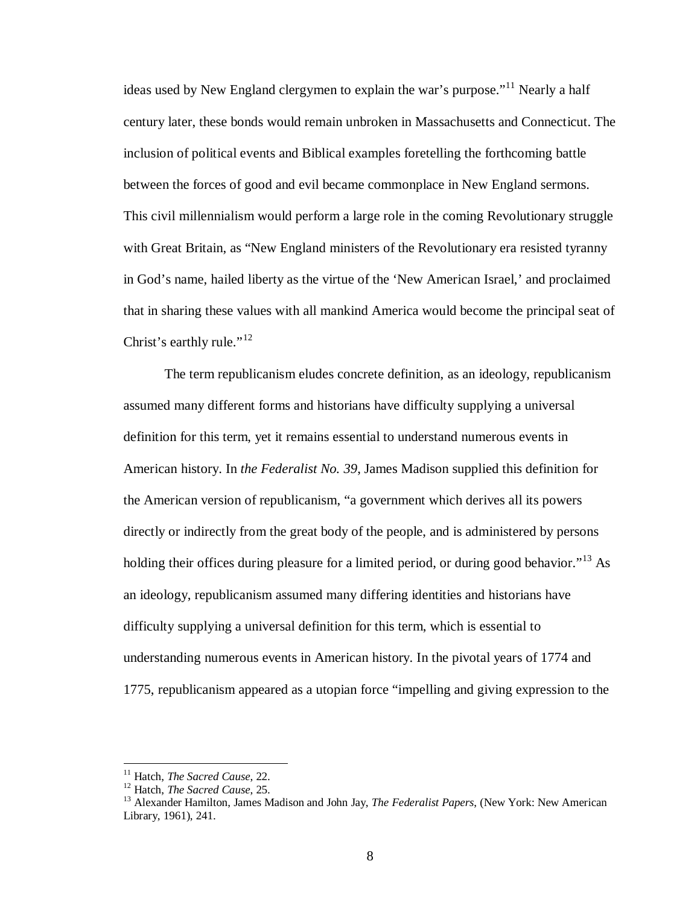ideas used by New England clergymen to explain the war's purpose."<sup>[11](#page-13-0)</sup> Nearly a half century later, these bonds would remain unbroken in Massachusetts and Connecticut. The inclusion of political events and Biblical examples foretelling the forthcoming battle between the forces of good and evil became commonplace in New England sermons. This civil millennialism would perform a large role in the coming Revolutionary struggle with Great Britain, as "New England ministers of the Revolutionary era resisted tyranny in God's name, hailed liberty as the virtue of the 'New American Israel,' and proclaimed that in sharing these values with all mankind America would become the principal seat of Christ's earthly rule."<sup>[12](#page-13-1)</sup>

The term republicanism eludes concrete definition, as an ideology, republicanism assumed many different forms and historians have difficulty supplying a universal definition for this term, yet it remains essential to understand numerous events in American history. In *the Federalist No. 39*, James Madison supplied this definition for the American version of republicanism, "a government which derives all its powers directly or indirectly from the great body of the people, and is administered by persons holding their offices during pleasure for a limited period, or during good behavior."<sup>[13](#page-13-2)</sup> As an ideology, republicanism assumed many differing identities and historians have difficulty supplying a universal definition for this term, which is essential to understanding numerous events in American history. In the pivotal years of 1774 and 1775, republicanism appeared as a utopian force "impelling and giving expression to the

<span id="page-13-2"></span><span id="page-13-1"></span>

<span id="page-13-0"></span><sup>&</sup>lt;sup>11</sup> Hatch, *The Sacred Cause*, 22.<br><sup>12</sup> Hatch, *The Sacred Cause*, 25.<br><sup>13</sup> Alexander Hamilton, James Madison and John Jay, *The Federalist Papers*, (New York: New American Library, 1961), 241.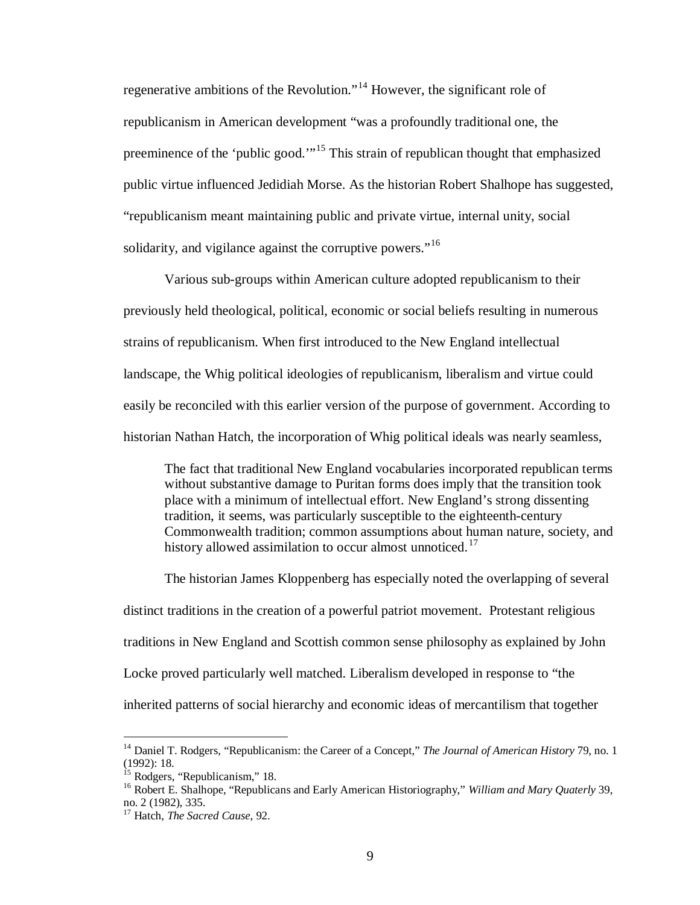regenerative ambitions of the Revolution."[14](#page-14-0) However, the significant role of republicanism in American development "was a profoundly traditional one, the preeminence of the 'public good.'"<sup>[15](#page-14-1)</sup> This strain of republican thought that emphasized public virtue influenced Jedidiah Morse. As the historian Robert Shalhope has suggested, "republicanism meant maintaining public and private virtue, internal unity, social solidarity, and vigilance against the corruptive powers."<sup>[16](#page-14-2)</sup>

Various sub-groups within American culture adopted republicanism to their previously held theological, political, economic or social beliefs resulting in numerous strains of republicanism. When first introduced to the New England intellectual landscape, the Whig political ideologies of republicanism, liberalism and virtue could easily be reconciled with this earlier version of the purpose of government. According to historian Nathan Hatch, the incorporation of Whig political ideals was nearly seamless,

The fact that traditional New England vocabularies incorporated republican terms without substantive damage to Puritan forms does imply that the transition took place with a minimum of intellectual effort. New England's strong dissenting tradition, it seems, was particularly susceptible to the eighteenth-century Commonwealth tradition; common assumptions about human nature, society, and history allowed assimilation to occur almost unnoticed.<sup>[17](#page-14-3)</sup>

The historian James Kloppenberg has especially noted the overlapping of several distinct traditions in the creation of a powerful patriot movement. Protestant religious traditions in New England and Scottish common sense philosophy as explained by John Locke proved particularly well matched. Liberalism developed in response to "the inherited patterns of social hierarchy and economic ideas of mercantilism that together

<span id="page-14-0"></span><sup>&</sup>lt;sup>14</sup> Daniel T. Rodgers, "Republicanism: the Career of a Concept," *The Journal of American History* 79, no. 1 (1992): 18.<br> $^{15}$  Rodgers, "Republicanism," 18.

<span id="page-14-2"></span><span id="page-14-1"></span><sup>&</sup>lt;sup>16</sup> Robert E. Shalhope, "Republicans and Early American Historiography," *William and Mary Quaterly* 39, no. 2 (1982), 335.

<span id="page-14-3"></span><sup>17</sup> Hatch, *The Sacred Cause*, 92.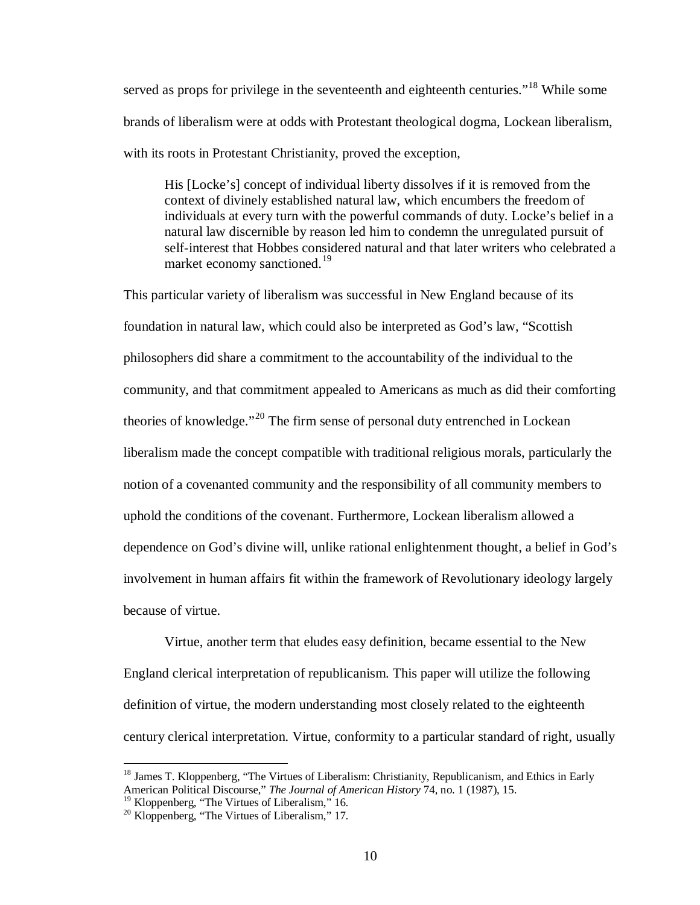served as props for privilege in the seventeenth and eighteenth centuries."<sup>[18](#page-15-0)</sup> While some brands of liberalism were at odds with Protestant theological dogma, Lockean liberalism, with its roots in Protestant Christianity, proved the exception,

His [Locke's] concept of individual liberty dissolves if it is removed from the context of divinely established natural law, which encumbers the freedom of individuals at every turn with the powerful commands of duty. Locke's belief in a natural law discernible by reason led him to condemn the unregulated pursuit of self-interest that Hobbes considered natural and that later writers who celebrated a market economy sanctioned.<sup>[19](#page-15-1)</sup>

This particular variety of liberalism was successful in New England because of its foundation in natural law, which could also be interpreted as God's law, "Scottish philosophers did share a commitment to the accountability of the individual to the community, and that commitment appealed to Americans as much as did their comforting theories of knowledge."<sup>[20](#page-15-2)</sup> The firm sense of personal duty entrenched in Lockean liberalism made the concept compatible with traditional religious morals, particularly the notion of a covenanted community and the responsibility of all community members to uphold the conditions of the covenant. Furthermore, Lockean liberalism allowed a dependence on God's divine will, unlike rational enlightenment thought, a belief in God's involvement in human affairs fit within the framework of Revolutionary ideology largely because of virtue.

Virtue, another term that eludes easy definition, became essential to the New England clerical interpretation of republicanism. This paper will utilize the following definition of virtue, the modern understanding most closely related to the eighteenth century clerical interpretation. Virtue, conformity to a particular standard of right, usually

<span id="page-15-0"></span><sup>&</sup>lt;sup>18</sup> James T. Kloppenberg, "The Virtues of Liberalism: Christianity, Republicanism, and Ethics in Early American Political Discourse," *The Journal of American History* 74, no. 1 (1987), 15.

<span id="page-15-2"></span><span id="page-15-1"></span><sup>&</sup>lt;sup>19</sup> Kloppenberg, "The Virtues of Liberalism," 16.<br><sup>20</sup> Kloppenberg, "The Virtues of Liberalism," 17.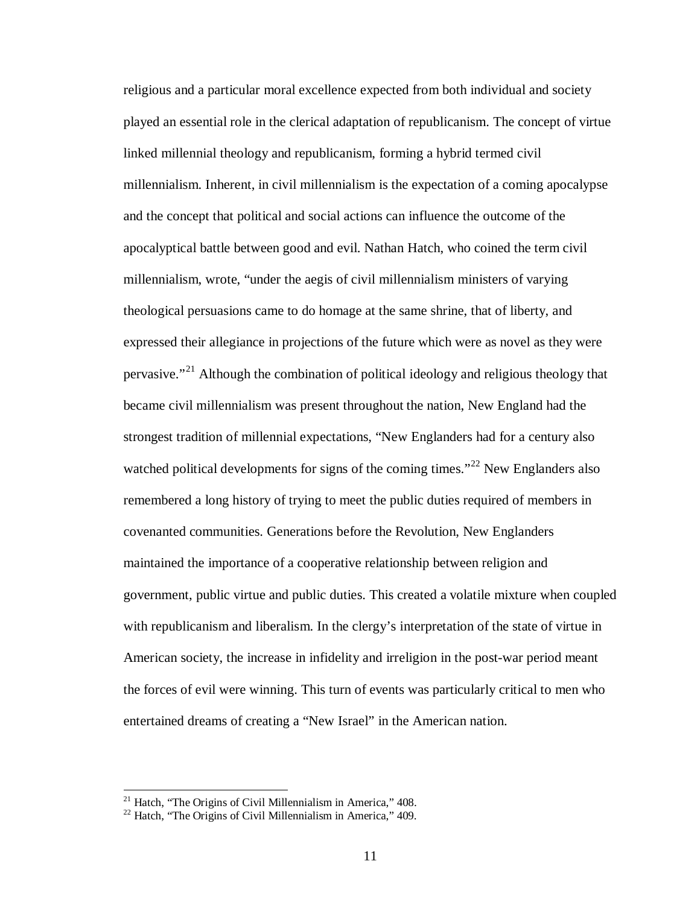religious and a particular moral excellence expected from both individual and society played an essential role in the clerical adaptation of republicanism. The concept of virtue linked millennial theology and republicanism, forming a hybrid termed civil millennialism. Inherent, in civil millennialism is the expectation of a coming apocalypse and the concept that political and social actions can influence the outcome of the apocalyptical battle between good and evil. Nathan Hatch, who coined the term civil millennialism, wrote, "under the aegis of civil millennialism ministers of varying theological persuasions came to do homage at the same shrine, that of liberty, and expressed their allegiance in projections of the future which were as novel as they were pervasive."[21](#page-16-0) Although the combination of political ideology and religious theology that became civil millennialism was present throughout the nation, New England had the strongest tradition of millennial expectations, "New Englanders had for a century also watched political developments for signs of the coming times."<sup>[22](#page-16-1)</sup> New Englanders also remembered a long history of trying to meet the public duties required of members in covenanted communities. Generations before the Revolution, New Englanders maintained the importance of a cooperative relationship between religion and government, public virtue and public duties. This created a volatile mixture when coupled with republicanism and liberalism. In the clergy's interpretation of the state of virtue in American society, the increase in infidelity and irreligion in the post-war period meant the forces of evil were winning. This turn of events was particularly critical to men who entertained dreams of creating a "New Israel" in the American nation.

<span id="page-16-1"></span><span id="page-16-0"></span><sup>&</sup>lt;sup>21</sup> Hatch, "The Origins of Civil Millennialism in America," 408.<br><sup>22</sup> Hatch, "The Origins of Civil Millennialism in America," 409.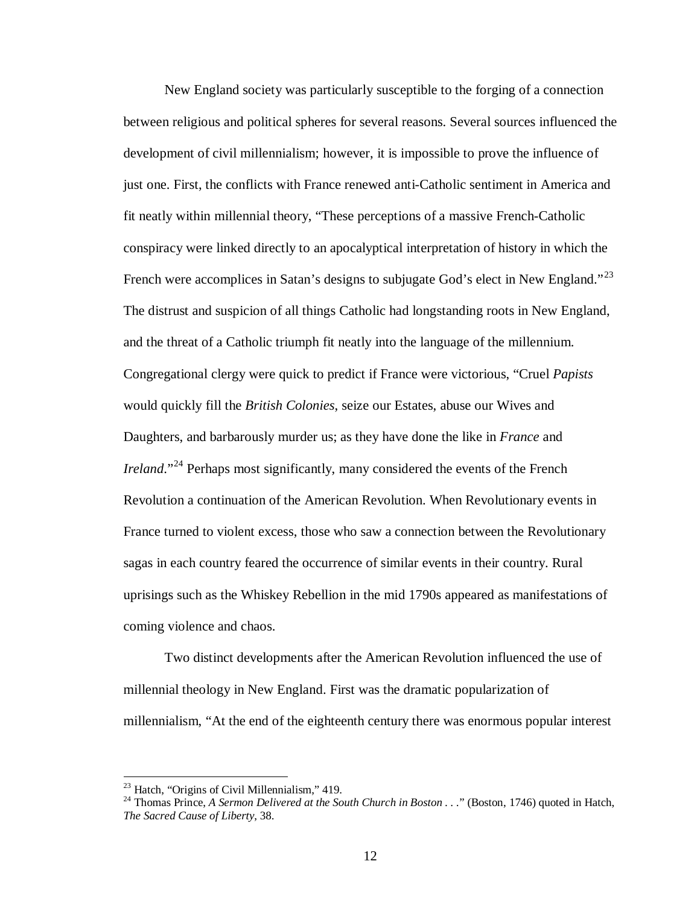New England society was particularly susceptible to the forging of a connection between religious and political spheres for several reasons. Several sources influenced the development of civil millennialism; however, it is impossible to prove the influence of just one. First, the conflicts with France renewed anti-Catholic sentiment in America and fit neatly within millennial theory, "These perceptions of a massive French-Catholic conspiracy were linked directly to an apocalyptical interpretation of history in which the French were accomplices in Satan's designs to subjugate God's elect in New England."<sup>[23](#page-17-0)</sup> The distrust and suspicion of all things Catholic had longstanding roots in New England, and the threat of a Catholic triumph fit neatly into the language of the millennium. Congregational clergy were quick to predict if France were victorious, "Cruel *Papists* would quickly fill the *British Colonies*, seize our Estates, abuse our Wives and Daughters, and barbarously murder us; as they have done the like in *France* and *Ireland*."<sup>[24](#page-17-1)</sup> Perhaps most significantly, many considered the events of the French Revolution a continuation of the American Revolution. When Revolutionary events in France turned to violent excess, those who saw a connection between the Revolutionary sagas in each country feared the occurrence of similar events in their country. Rural uprisings such as the Whiskey Rebellion in the mid 1790s appeared as manifestations of coming violence and chaos.

Two distinct developments after the American Revolution influenced the use of millennial theology in New England. First was the dramatic popularization of millennialism, "At the end of the eighteenth century there was enormous popular interest

<span id="page-17-1"></span>

<span id="page-17-0"></span><sup>&</sup>lt;sup>23</sup> Hatch, "Origins of Civil Millennialism," 419.<br><sup>24</sup> Thomas Prince, *A Sermon Delivered at the South Church in Boston . . .*" (Boston, 1746) quoted in Hatch, *The Sacred Cause of Liberty*, 38.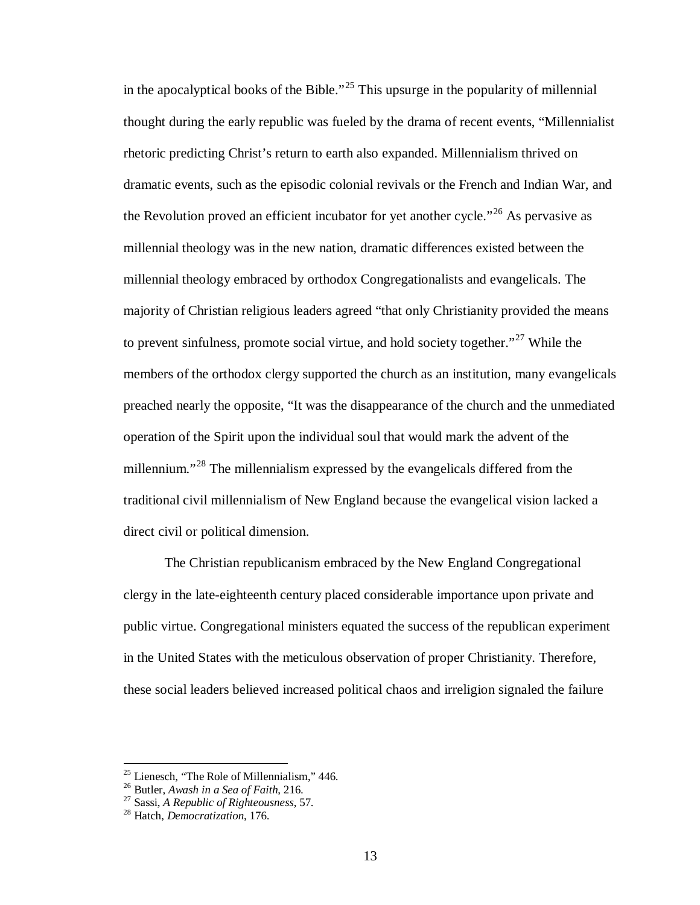in the apocalyptical books of the Bible."<sup>[25](#page-18-0)</sup> This upsurge in the popularity of millennial thought during the early republic was fueled by the drama of recent events, "Millennialist rhetoric predicting Christ's return to earth also expanded. Millennialism thrived on dramatic events, such as the episodic colonial revivals or the French and Indian War, and the Revolution proved an efficient incubator for yet another cycle."<sup>[26](#page-18-1)</sup> As pervasive as millennial theology was in the new nation, dramatic differences existed between the millennial theology embraced by orthodox Congregationalists and evangelicals. The majority of Christian religious leaders agreed "that only Christianity provided the means to prevent sinfulness, promote social virtue, and hold society together."<sup>[27](#page-18-2)</sup> While the members of the orthodox clergy supported the church as an institution, many evangelicals preached nearly the opposite, "It was the disappearance of the church and the unmediated operation of the Spirit upon the individual soul that would mark the advent of the millennium."<sup>[28](#page-18-3)</sup> The millennialism expressed by the evangelicals differed from the traditional civil millennialism of New England because the evangelical vision lacked a direct civil or political dimension.

The Christian republicanism embraced by the New England Congregational clergy in the late-eighteenth century placed considerable importance upon private and public virtue. Congregational ministers equated the success of the republican experiment in the United States with the meticulous observation of proper Christianity. Therefore, these social leaders believed increased political chaos and irreligion signaled the failure

<span id="page-18-0"></span><sup>25</sup> Lienesch, "The Role of Millennialism," 446. <sup>26</sup> Butler, *Awash in a Sea of Faith*, 216. <sup>27</sup> Sassi, *A Republic of Righteousness*, 57. <sup>28</sup> Hatch, *Democratization*, 176.

<span id="page-18-1"></span>

<span id="page-18-2"></span>

<span id="page-18-3"></span>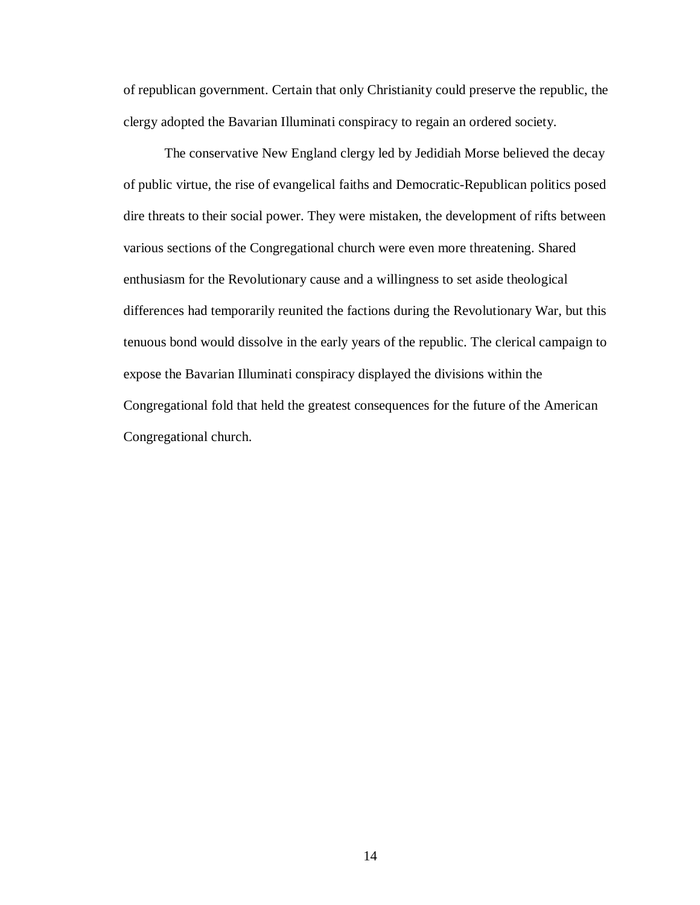of republican government. Certain that only Christianity could preserve the republic, the clergy adopted the Bavarian Illuminati conspiracy to regain an ordered society.

The conservative New England clergy led by Jedidiah Morse believed the decay of public virtue, the rise of evangelical faiths and Democratic-Republican politics posed dire threats to their social power. They were mistaken, the development of rifts between various sections of the Congregational church were even more threatening. Shared enthusiasm for the Revolutionary cause and a willingness to set aside theological differences had temporarily reunited the factions during the Revolutionary War, but this tenuous bond would dissolve in the early years of the republic. The clerical campaign to expose the Bavarian Illuminati conspiracy displayed the divisions within the Congregational fold that held the greatest consequences for the future of the American Congregational church.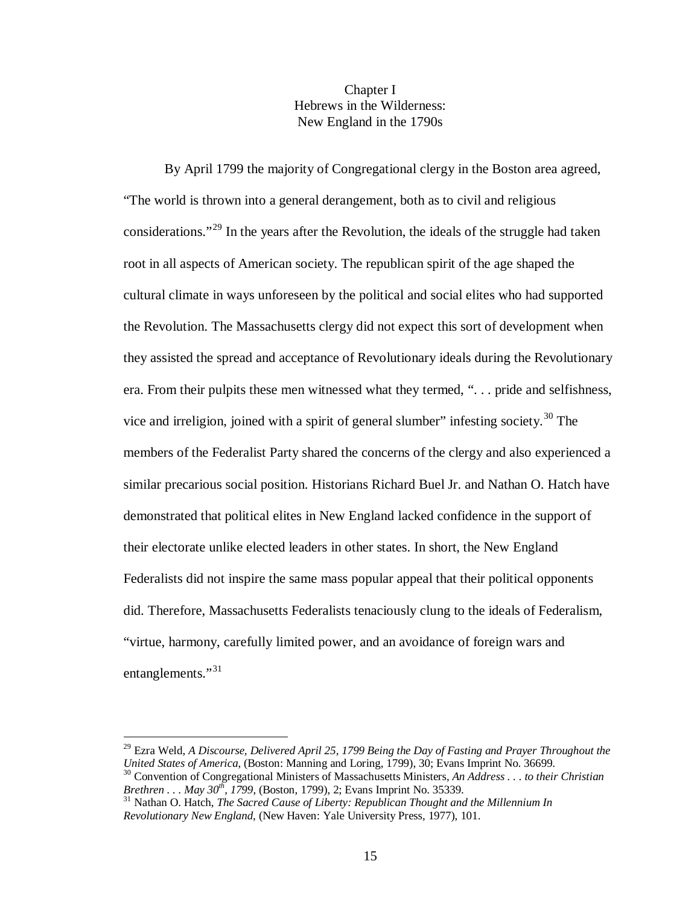## Chapter I Hebrews in the Wilderness: New England in the 1790s

By April 1799 the majority of Congregational clergy in the Boston area agreed, "The world is thrown into a general derangement, both as to civil and religious considerations."<sup>[29](#page-20-0)</sup> In the years after the Revolution, the ideals of the struggle had taken root in all aspects of American society. The republican spirit of the age shaped the cultural climate in ways unforeseen by the political and social elites who had supported the Revolution. The Massachusetts clergy did not expect this sort of development when they assisted the spread and acceptance of Revolutionary ideals during the Revolutionary era. From their pulpits these men witnessed what they termed, ". . . pride and selfishness, vice and irreligion, joined with a spirit of general slumber" infesting society.<sup>[30](#page-20-1)</sup> The members of the Federalist Party shared the concerns of the clergy and also experienced a similar precarious social position. Historians Richard Buel Jr. and Nathan O. Hatch have demonstrated that political elites in New England lacked confidence in the support of their electorate unlike elected leaders in other states. In short, the New England Federalists did not inspire the same mass popular appeal that their political opponents did. Therefore, Massachusetts Federalists tenaciously clung to the ideals of Federalism, "virtue, harmony, carefully limited power, and an avoidance of foreign wars and entanglements."<sup>[31](#page-20-2)</sup>

<span id="page-20-0"></span><sup>&</sup>lt;sup>29</sup> Ezra Weld, *A Discourse, Delivered April 25, 1799 Being the Day of Fasting and Prayer Throughout the United States of America. (Boston: Manning and Loring. 1799). 30: Evans Imprint No. 36699.* 

<span id="page-20-1"></span><sup>&</sup>lt;sup>30</sup> Convention of Congregational Ministers of Massachusetts Ministers, *An Address . . . to their Christian Brethren . . . May 30<sup>th</sup>, 1799, (Boston, 1799), 2; Evans Imprint No. 35339.* 

<span id="page-20-2"></span><sup>&</sup>lt;sup>31</sup> Nathan O. Hatch, *The Sacred Cause of Liberty: Republican Thought and the Millennium In Revolutionary New England*, (New Haven: Yale University Press, 1977), 101.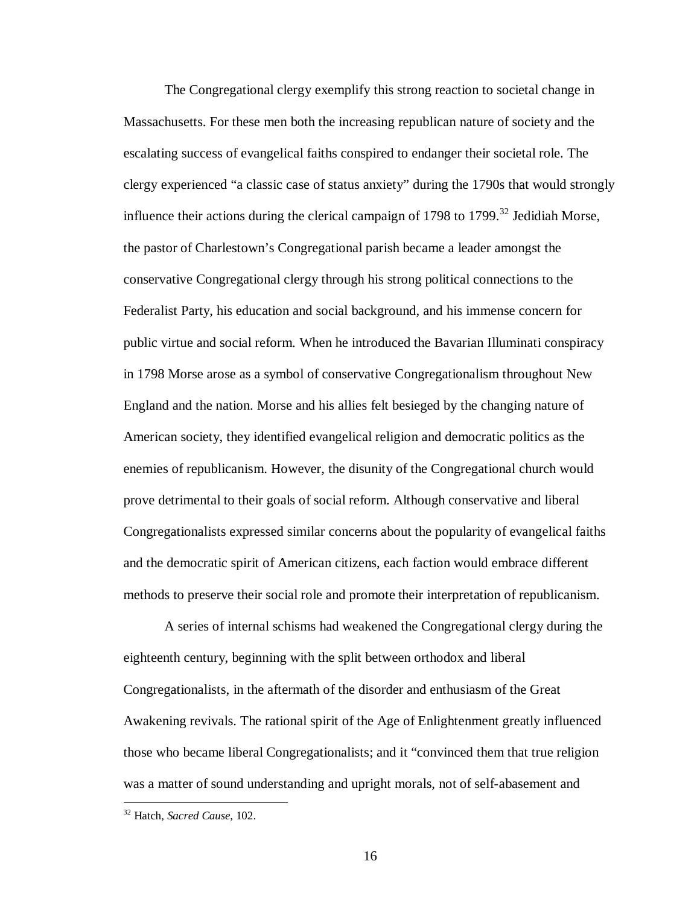The Congregational clergy exemplify this strong reaction to societal change in Massachusetts. For these men both the increasing republican nature of society and the escalating success of evangelical faiths conspired to endanger their societal role. The clergy experienced "a classic case of status anxiety" during the 1790s that would strongly influence their actions during the clerical campaign of 1798 to 1799.<sup>[32](#page-21-0)</sup> Jedidiah Morse, the pastor of Charlestown's Congregational parish became a leader amongst the conservative Congregational clergy through his strong political connections to the Federalist Party, his education and social background, and his immense concern for public virtue and social reform. When he introduced the Bavarian Illuminati conspiracy in 1798 Morse arose as a symbol of conservative Congregationalism throughout New England and the nation. Morse and his allies felt besieged by the changing nature of American society, they identified evangelical religion and democratic politics as the enemies of republicanism. However, the disunity of the Congregational church would prove detrimental to their goals of social reform. Although conservative and liberal Congregationalists expressed similar concerns about the popularity of evangelical faiths and the democratic spirit of American citizens, each faction would embrace different methods to preserve their social role and promote their interpretation of republicanism.

A series of internal schisms had weakened the Congregational clergy during the eighteenth century, beginning with the split between orthodox and liberal Congregationalists, in the aftermath of the disorder and enthusiasm of the Great Awakening revivals. The rational spirit of the Age of Enlightenment greatly influenced those who became liberal Congregationalists; and it "convinced them that true religion was a matter of sound understanding and upright morals, not of self-abasement and

<span id="page-21-0"></span> <sup>32</sup> Hatch, *Sacred Cause*, 102.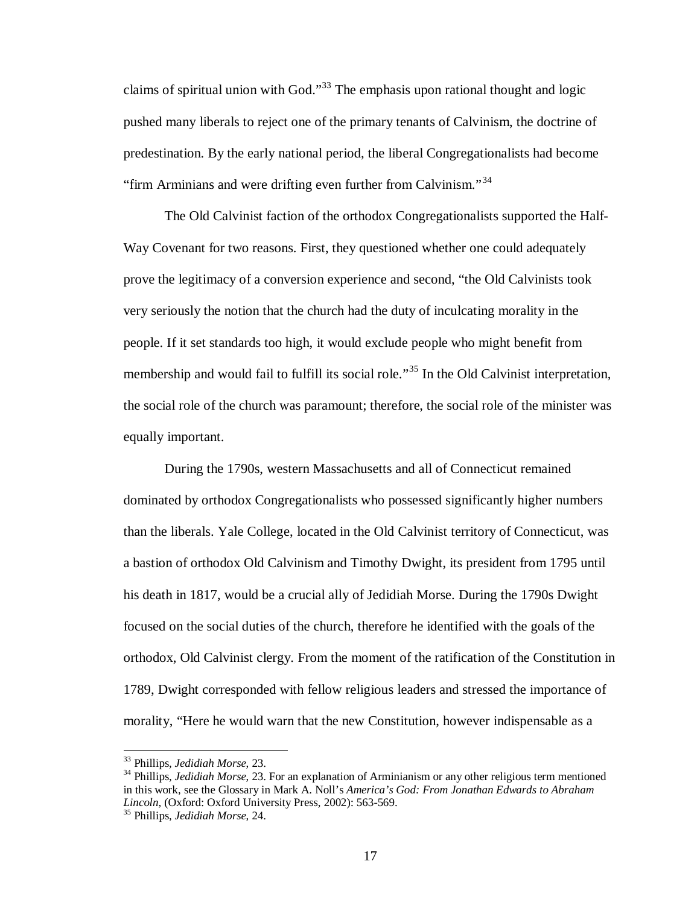claims of spiritual union with God."<sup>[33](#page-22-0)</sup> The emphasis upon rational thought and logic pushed many liberals to reject one of the primary tenants of Calvinism, the doctrine of predestination. By the early national period, the liberal Congregationalists had become "firm Arminians and were drifting even further from Calvinism."<sup>[34](#page-22-1)</sup>

The Old Calvinist faction of the orthodox Congregationalists supported the Half-Way Covenant for two reasons. First, they questioned whether one could adequately prove the legitimacy of a conversion experience and second, "the Old Calvinists took very seriously the notion that the church had the duty of inculcating morality in the people. If it set standards too high, it would exclude people who might benefit from membership and would fail to fulfill its social role."<sup>[35](#page-22-2)</sup> In the Old Calvinist interpretation, the social role of the church was paramount; therefore, the social role of the minister was equally important.

During the 1790s, western Massachusetts and all of Connecticut remained dominated by orthodox Congregationalists who possessed significantly higher numbers than the liberals. Yale College, located in the Old Calvinist territory of Connecticut, was a bastion of orthodox Old Calvinism and Timothy Dwight, its president from 1795 until his death in 1817, would be a crucial ally of Jedidiah Morse. During the 1790s Dwight focused on the social duties of the church, therefore he identified with the goals of the orthodox, Old Calvinist clergy. From the moment of the ratification of the Constitution in 1789, Dwight corresponded with fellow religious leaders and stressed the importance of morality, "Here he would warn that the new Constitution, however indispensable as a

<span id="page-22-1"></span><span id="page-22-0"></span><sup>&</sup>lt;sup>33</sup> Phillips, *Jedidiah Morse*, 23.<br><sup>34</sup> Phillips, *Jedidiah Morse*, 23. For an explanation of Arminianism or any other religious term mentioned in this work, see the Glossary in Mark A. Noll's *America's God: From Jonathan Edwards to Abraham Lincoln*, (Oxford: Oxford University Press, 2002): 563-569. <sup>35</sup> Phillips, *Jedidiah Morse*, 24.

<span id="page-22-2"></span>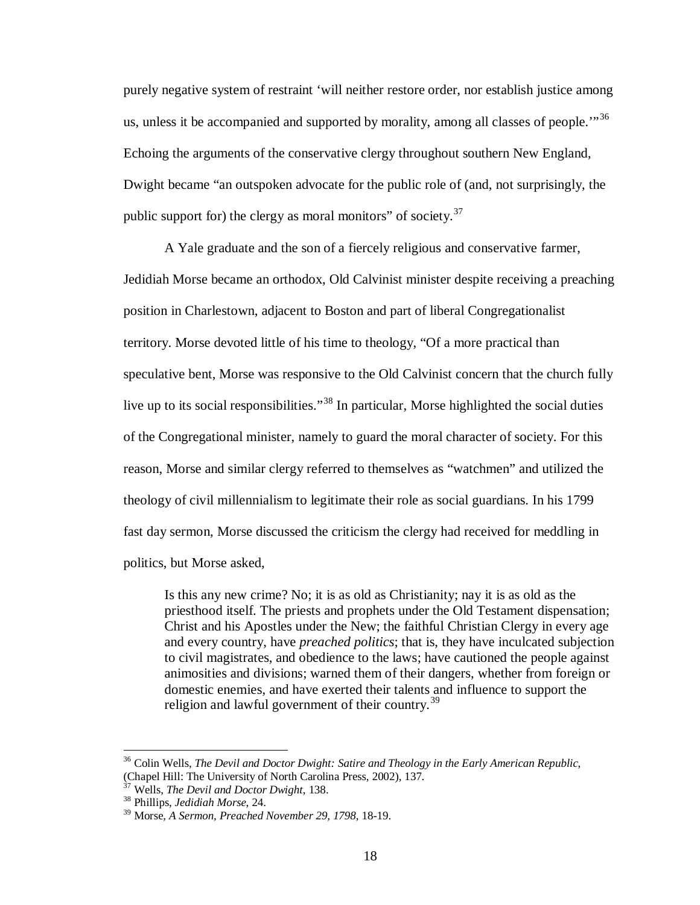purely negative system of restraint 'will neither restore order, nor establish justice among us, unless it be accompanied and supported by morality, among all classes of people."<sup>[36](#page-23-0)</sup> Echoing the arguments of the conservative clergy throughout southern New England, Dwight became "an outspoken advocate for the public role of (and, not surprisingly, the public support for) the clergy as moral monitors" of society. $37$ 

A Yale graduate and the son of a fiercely religious and conservative farmer, Jedidiah Morse became an orthodox, Old Calvinist minister despite receiving a preaching position in Charlestown, adjacent to Boston and part of liberal Congregationalist territory. Morse devoted little of his time to theology, "Of a more practical than speculative bent, Morse was responsive to the Old Calvinist concern that the church fully live up to its social responsibilities."<sup>[38](#page-23-2)</sup> In particular, Morse highlighted the social duties of the Congregational minister, namely to guard the moral character of society. For this reason, Morse and similar clergy referred to themselves as "watchmen" and utilized the theology of civil millennialism to legitimate their role as social guardians. In his 1799 fast day sermon, Morse discussed the criticism the clergy had received for meddling in politics, but Morse asked,

Is this any new crime? No; it is as old as Christianity; nay it is as old as the priesthood itself. The priests and prophets under the Old Testament dispensation; Christ and his Apostles under the New; the faithful Christian Clergy in every age and every country, have *preached politics*; that is, they have inculcated subjection to civil magistrates, and obedience to the laws; have cautioned the people against animosities and divisions; warned them of their dangers, whether from foreign or domestic enemies, and have exerted their talents and influence to support the religion and lawful government of their country.<sup>[39](#page-23-3)</sup>

<span id="page-23-0"></span> <sup>36</sup> Colin Wells, *The Devil and Doctor Dwight: Satire and Theology in the Early American Republic*, (Chapel Hill: The University of North Carolina Press, 2002), 137.

<span id="page-23-1"></span><sup>37</sup> Wells, *The Devil and Doctor Dwight*, 138. <sup>38</sup> Phillips, *Jedidiah Morse*, 24.

<span id="page-23-2"></span>

<span id="page-23-3"></span><sup>39</sup> Morse, *A Sermon, Preached November 29, 1798*, 18-19.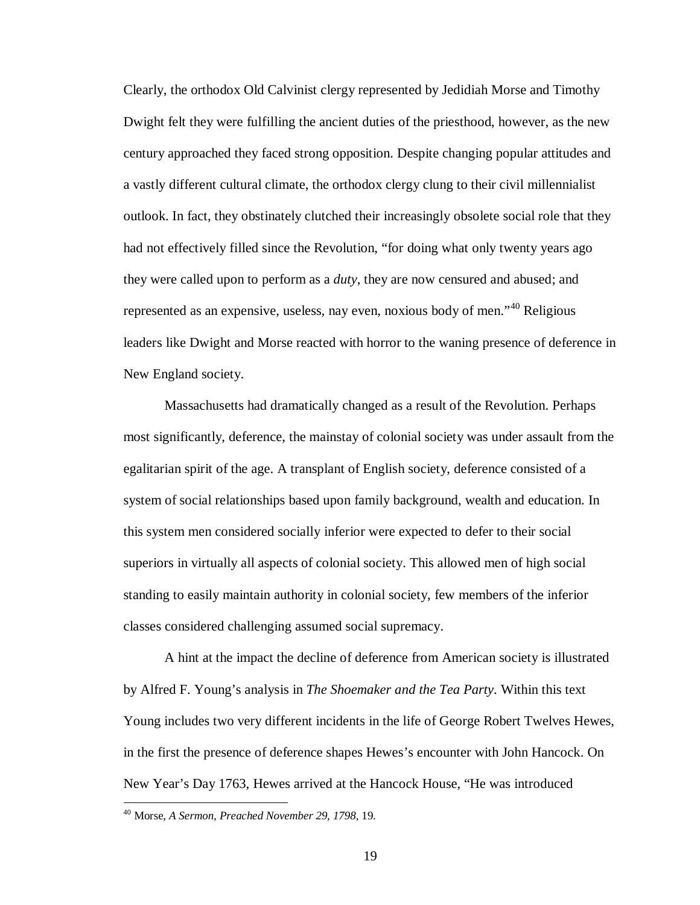Clearly, the orthodox Old Calvinist clergy represented by Jedidiah Morse and Timothy Dwight felt they were fulfilling the ancient duties of the priesthood, however, as the new century approached they faced strong opposition. Despite changing popular attitudes and a vastly different cultural climate, the orthodox clergy clung to their civil millennialist outlook. In fact, they obstinately clutched their increasingly obsolete social role that they had not effectively filled since the Revolution, "for doing what only twenty years ago they were called upon to perform as a *duty*, they are now censured and abused; and represented as an expensive, useless, nay even, noxious body of men."[40](#page-24-0) Religious leaders like Dwight and Morse reacted with horror to the waning presence of deference in New England society.

Massachusetts had dramatically changed as a result of the Revolution. Perhaps most significantly, deference, the mainstay of colonial society was under assault from the egalitarian spirit of the age. A transplant of English society, deference consisted of a system of social relationships based upon family background, wealth and education. In this system men considered socially inferior were expected to defer to their social superiors in virtually all aspects of colonial society. This allowed men of high social standing to easily maintain authority in colonial society, few members of the inferior classes considered challenging assumed social supremacy.

A hint at the impact the decline of deference from American society is illustrated by Alfred F. Young's analysis in *The Shoemaker and the Tea Party*. Within this text Young includes two very different incidents in the life of George Robert Twelves Hewes, in the first the presence of deference shapes Hewes's encounter with John Hancock. On New Year's Day 1763, Hewes arrived at the Hancock House, "He was introduced

<span id="page-24-0"></span> <sup>40</sup> Morse, *A Sermon, Preached November 29, 1798*, 19.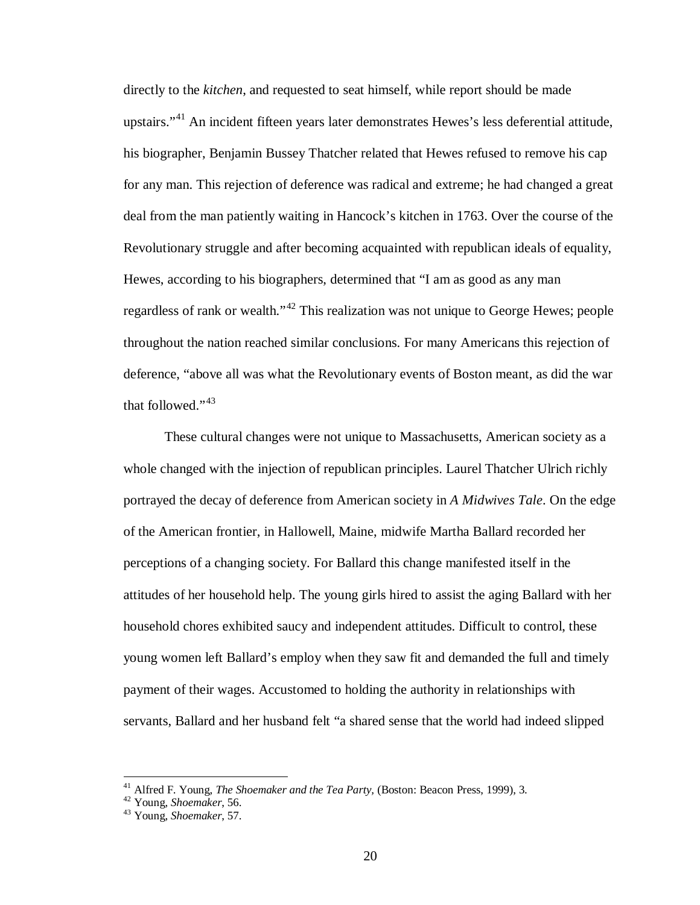directly to the *kitchen*, and requested to seat himself, while report should be made upstairs."<sup>[41](#page-25-0)</sup> An incident fifteen years later demonstrates Hewes's less deferential attitude, his biographer, Benjamin Bussey Thatcher related that Hewes refused to remove his cap for any man. This rejection of deference was radical and extreme; he had changed a great deal from the man patiently waiting in Hancock's kitchen in 1763. Over the course of the Revolutionary struggle and after becoming acquainted with republican ideals of equality, Hewes, according to his biographers, determined that "I am as good as any man regardless of rank or wealth."<sup>[42](#page-25-1)</sup> This realization was not unique to George Hewes; people throughout the nation reached similar conclusions. For many Americans this rejection of deference, "above all was what the Revolutionary events of Boston meant, as did the war that followed."<sup>[43](#page-25-2)</sup>

These cultural changes were not unique to Massachusetts, American society as a whole changed with the injection of republican principles. Laurel Thatcher Ulrich richly portrayed the decay of deference from American society in *A Midwives Tale*. On the edge of the American frontier, in Hallowell, Maine, midwife Martha Ballard recorded her perceptions of a changing society. For Ballard this change manifested itself in the attitudes of her household help. The young girls hired to assist the aging Ballard with her household chores exhibited saucy and independent attitudes. Difficult to control, these young women left Ballard's employ when they saw fit and demanded the full and timely payment of their wages. Accustomed to holding the authority in relationships with servants, Ballard and her husband felt "a shared sense that the world had indeed slipped

<span id="page-25-1"></span><span id="page-25-0"></span><sup>41</sup> Alfred F. Young, *The Shoemaker and the Tea Party,* (Boston: Beacon Press, 1999), 3. <sup>42</sup> Young, *Shoemaker*, 56. <sup>43</sup> Young, *Shoemaker*, 57.

<span id="page-25-2"></span>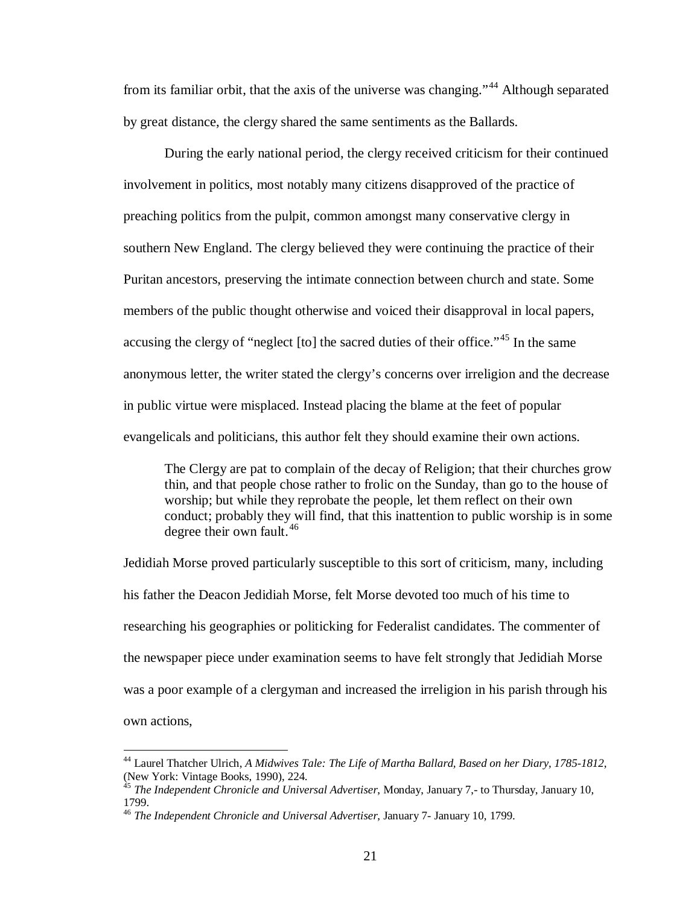from its familiar orbit, that the axis of the universe was changing."<sup>[44](#page-26-0)</sup> Although separated by great distance, the clergy shared the same sentiments as the Ballards.

During the early national period, the clergy received criticism for their continued involvement in politics, most notably many citizens disapproved of the practice of preaching politics from the pulpit, common amongst many conservative clergy in southern New England. The clergy believed they were continuing the practice of their Puritan ancestors, preserving the intimate connection between church and state. Some members of the public thought otherwise and voiced their disapproval in local papers, accusing the clergy of "neglect  $[$ to $]$  the sacred duties of their office."<sup>[45](#page-26-1)</sup> In the same anonymous letter, the writer stated the clergy's concerns over irreligion and the decrease in public virtue were misplaced. Instead placing the blame at the feet of popular evangelicals and politicians, this author felt they should examine their own actions.

The Clergy are pat to complain of the decay of Religion; that their churches grow thin, and that people chose rather to frolic on the Sunday, than go to the house of worship; but while they reprobate the people, let them reflect on their own conduct; probably they will find, that this inattention to public worship is in some degree their own fault.<sup>[46](#page-26-2)</sup>

Jedidiah Morse proved particularly susceptible to this sort of criticism, many, including his father the Deacon Jedidiah Morse, felt Morse devoted too much of his time to researching his geographies or politicking for Federalist candidates. The commenter of the newspaper piece under examination seems to have felt strongly that Jedidiah Morse was a poor example of a clergyman and increased the irreligion in his parish through his own actions,

<span id="page-26-0"></span> <sup>44</sup> Laurel Thatcher Ulrich, *A Midwives Tale: The Life of Martha Ballard, Based on her Diary, 1785-1812*, (New York: Vintage Books, 1990), 224.

<span id="page-26-1"></span><sup>45</sup> *The Independent Chronicle and Universal Advertiser*, Monday, January 7,- to Thursday, January 10, 1799.

<span id="page-26-2"></span><sup>46</sup> *The Independent Chronicle and Universal Advertiser*, January 7- January 10, 1799.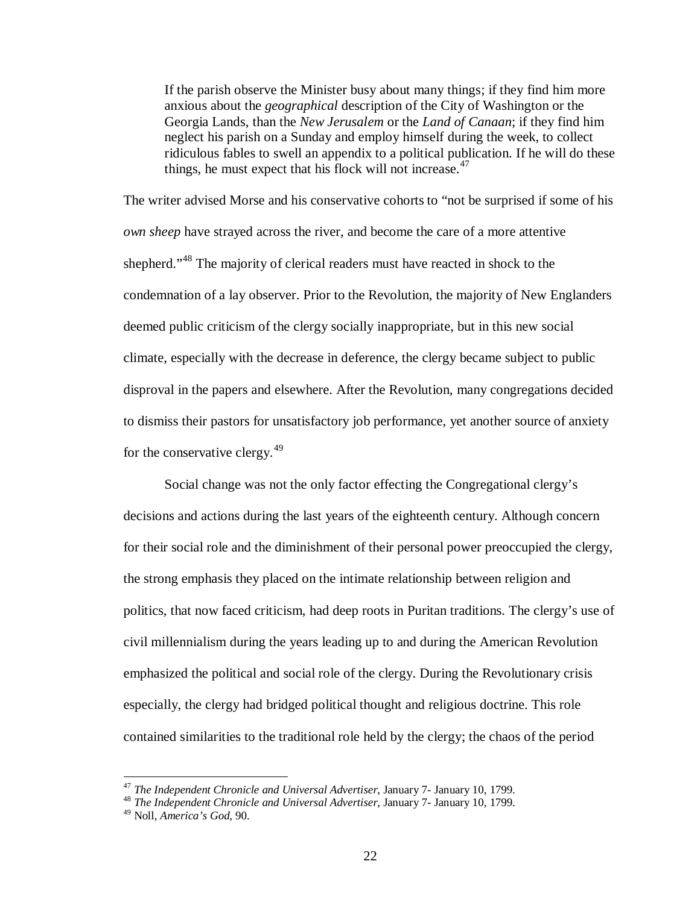If the parish observe the Minister busy about many things; if they find him more anxious about the *geographical* description of the City of Washington or the Georgia Lands, than the *New Jerusalem* or the *Land of Canaan*; if they find him neglect his parish on a Sunday and employ himself during the week, to collect ridiculous fables to swell an appendix to a political publication. If he will do these things, he must expect that his flock will not increase. $47$ 

The writer advised Morse and his conservative cohorts to "not be surprised if some of his *own sheep* have strayed across the river, and become the care of a more attentive shepherd."<sup>[48](#page-27-1)</sup> The majority of clerical readers must have reacted in shock to the condemnation of a lay observer. Prior to the Revolution, the majority of New Englanders deemed public criticism of the clergy socially inappropriate, but in this new social climate, especially with the decrease in deference, the clergy became subject to public disproval in the papers and elsewhere. After the Revolution, many congregations decided to dismiss their pastors for unsatisfactory job performance, yet another source of anxiety for the conservative clergy.<sup>[49](#page-27-2)</sup>

Social change was not the only factor effecting the Congregational clergy's decisions and actions during the last years of the eighteenth century. Although concern for their social role and the diminishment of their personal power preoccupied the clergy, the strong emphasis they placed on the intimate relationship between religion and politics, that now faced criticism, had deep roots in Puritan traditions. The clergy's use of civil millennialism during the years leading up to and during the American Revolution emphasized the political and social role of the clergy. During the Revolutionary crisis especially, the clergy had bridged political thought and religious doctrine. This role contained similarities to the traditional role held by the clergy; the chaos of the period

<span id="page-27-0"></span><sup>&</sup>lt;sup>47</sup> *The Independent Chronicle and Universal Advertiser*, January 7- January 10, 1799.<br><sup>48</sup> *The Independent Chronicle and Universal Advertiser*, January 7- January 10, 1799.

<span id="page-27-1"></span>

<span id="page-27-2"></span><sup>49</sup> Noll, *America's God*, 90.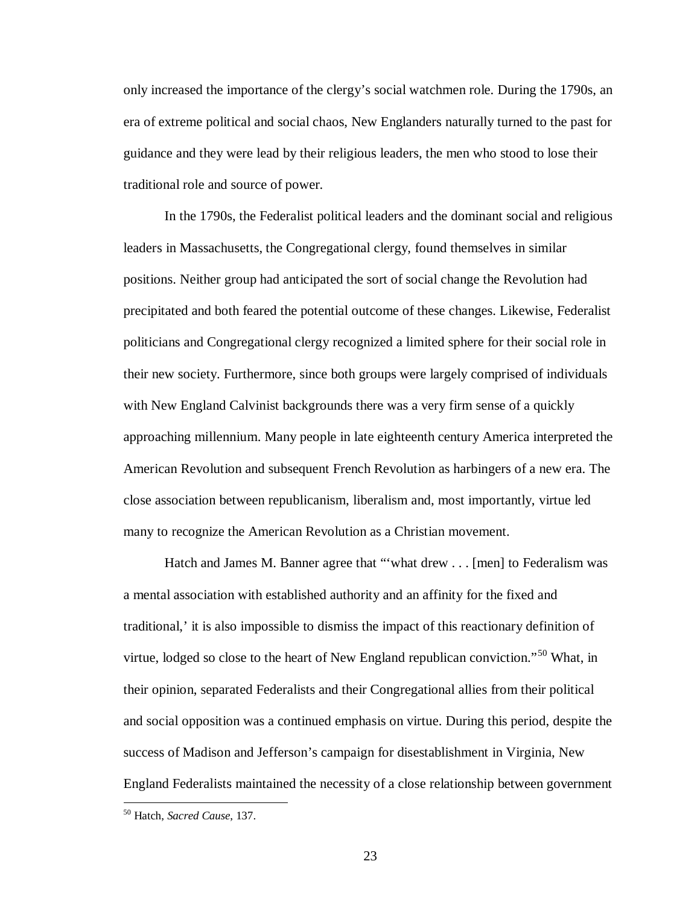only increased the importance of the clergy's social watchmen role. During the 1790s, an era of extreme political and social chaos, New Englanders naturally turned to the past for guidance and they were lead by their religious leaders, the men who stood to lose their traditional role and source of power.

In the 1790s, the Federalist political leaders and the dominant social and religious leaders in Massachusetts, the Congregational clergy, found themselves in similar positions. Neither group had anticipated the sort of social change the Revolution had precipitated and both feared the potential outcome of these changes. Likewise, Federalist politicians and Congregational clergy recognized a limited sphere for their social role in their new society. Furthermore, since both groups were largely comprised of individuals with New England Calvinist backgrounds there was a very firm sense of a quickly approaching millennium. Many people in late eighteenth century America interpreted the American Revolution and subsequent French Revolution as harbingers of a new era. The close association between republicanism, liberalism and, most importantly, virtue led many to recognize the American Revolution as a Christian movement.

Hatch and James M. Banner agree that "'what drew . . . [men] to Federalism was a mental association with established authority and an affinity for the fixed and traditional,' it is also impossible to dismiss the impact of this reactionary definition of virtue, lodged so close to the heart of New England republican conviction.<sup>"[50](#page-28-0)</sup> What, in their opinion, separated Federalists and their Congregational allies from their political and social opposition was a continued emphasis on virtue. During this period, despite the success of Madison and Jefferson's campaign for disestablishment in Virginia, New England Federalists maintained the necessity of a close relationship between government

<span id="page-28-0"></span> <sup>50</sup> Hatch, *Sacred Cause*, 137.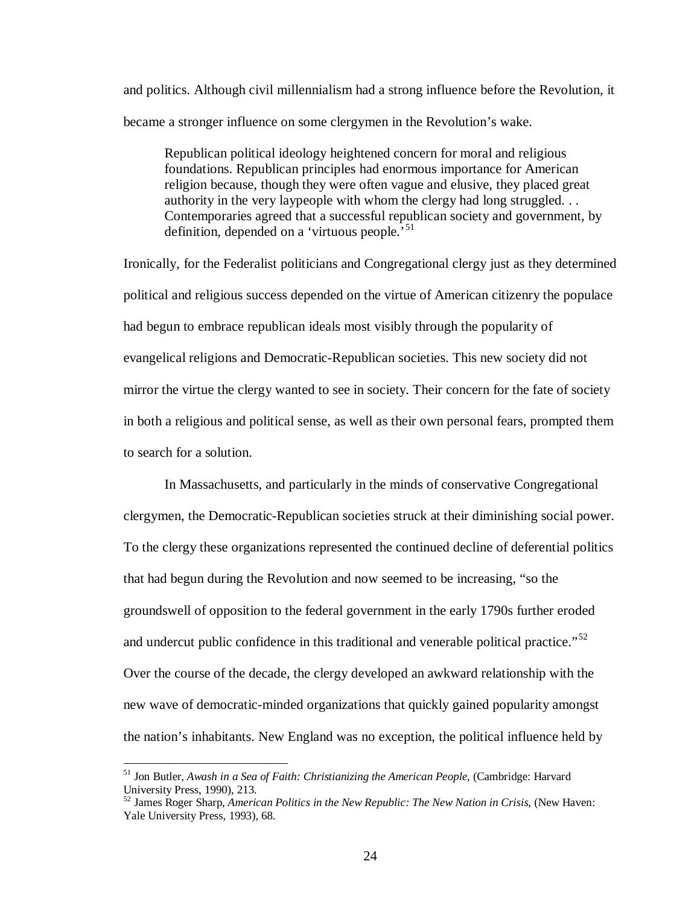and politics. Although civil millennialism had a strong influence before the Revolution, it became a stronger influence on some clergymen in the Revolution's wake.

Republican political ideology heightened concern for moral and religious foundations. Republican principles had enormous importance for American religion because, though they were often vague and elusive, they placed great authority in the very laypeople with whom the clergy had long struggled. . . Contemporaries agreed that a successful republican society and government, by definition, depended on a 'virtuous people.'<sup>[51](#page-29-0)</sup>

Ironically, for the Federalist politicians and Congregational clergy just as they determined political and religious success depended on the virtue of American citizenry the populace had begun to embrace republican ideals most visibly through the popularity of evangelical religions and Democratic-Republican societies. This new society did not mirror the virtue the clergy wanted to see in society. Their concern for the fate of society in both a religious and political sense, as well as their own personal fears, prompted them to search for a solution.

In Massachusetts, and particularly in the minds of conservative Congregational clergymen, the Democratic-Republican societies struck at their diminishing social power. To the clergy these organizations represented the continued decline of deferential politics that had begun during the Revolution and now seemed to be increasing, "so the groundswell of opposition to the federal government in the early 1790s further eroded and undercut public confidence in this traditional and venerable political practice."<sup>[52](#page-29-1)</sup> Over the course of the decade, the clergy developed an awkward relationship with the new wave of democratic-minded organizations that quickly gained popularity amongst the nation's inhabitants. New England was no exception, the political influence held by

<span id="page-29-0"></span> <sup>51</sup> Jon Butler, *Awash in a Sea of Faith: Christianizing the American People*, (Cambridge: Harvard University Press, 1990), 213.

<span id="page-29-1"></span><sup>52</sup> James Roger Sharp, *American Politics in the New Republic: The New Nation in Crisis*, (New Haven: Yale University Press, 1993), 68.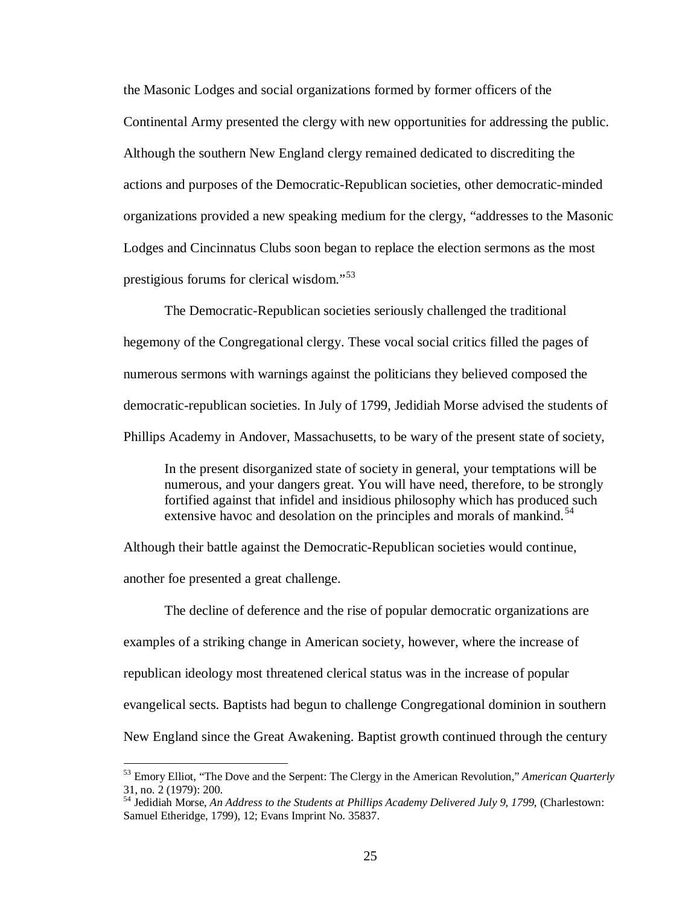the Masonic Lodges and social organizations formed by former officers of the Continental Army presented the clergy with new opportunities for addressing the public. Although the southern New England clergy remained dedicated to discrediting the actions and purposes of the Democratic-Republican societies, other democratic-minded organizations provided a new speaking medium for the clergy, "addresses to the Masonic Lodges and Cincinnatus Clubs soon began to replace the election sermons as the most prestigious forums for clerical wisdom."[53](#page-30-0)

The Democratic-Republican societies seriously challenged the traditional hegemony of the Congregational clergy. These vocal social critics filled the pages of numerous sermons with warnings against the politicians they believed composed the democratic-republican societies. In July of 1799, Jedidiah Morse advised the students of Phillips Academy in Andover, Massachusetts, to be wary of the present state of society,

In the present disorganized state of society in general, your temptations will be numerous, and your dangers great. You will have need, therefore, to be strongly fortified against that infidel and insidious philosophy which has produced such extensive havoc and desolation on the principles and morals of mankind.<sup>[54](#page-30-1)</sup>

Although their battle against the Democratic-Republican societies would continue,

another foe presented a great challenge.

The decline of deference and the rise of popular democratic organizations are examples of a striking change in American society, however, where the increase of republican ideology most threatened clerical status was in the increase of popular evangelical sects. Baptists had begun to challenge Congregational dominion in southern New England since the Great Awakening. Baptist growth continued through the century

<span id="page-30-0"></span> <sup>53</sup> Emory Elliot, "The Dove and the Serpent: The Clergy in the American Revolution," *American Quarterly* 31, no. 2 (1979): 200.

<span id="page-30-1"></span><sup>54</sup> Jedidiah Morse, *An Address to the Students at Phillips Academy Delivered July 9, 1799*, (Charlestown: Samuel Etheridge, 1799), 12; Evans Imprint No. 35837.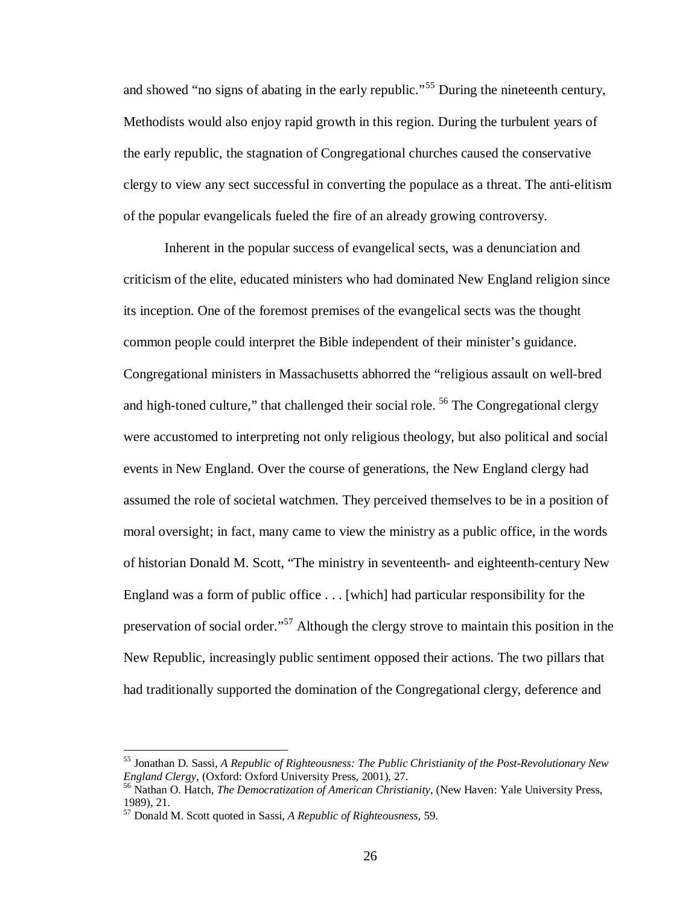and showed "no signs of abating in the early republic."<sup>[55](#page-31-0)</sup> During the nineteenth century, Methodists would also enjoy rapid growth in this region. During the turbulent years of the early republic, the stagnation of Congregational churches caused the conservative clergy to view any sect successful in converting the populace as a threat. The anti-elitism of the popular evangelicals fueled the fire of an already growing controversy.

Inherent in the popular success of evangelical sects, was a denunciation and criticism of the elite, educated ministers who had dominated New England religion since its inception. One of the foremost premises of the evangelical sects was the thought common people could interpret the Bible independent of their minister's guidance. Congregational ministers in Massachusetts abhorred the "religious assault on well-bred and high-toned culture," that challenged their social role.  $56$  The Congregational clergy were accustomed to interpreting not only religious theology, but also political and social events in New England. Over the course of generations, the New England clergy had assumed the role of societal watchmen. They perceived themselves to be in a position of moral oversight; in fact, many came to view the ministry as a public office, in the words of historian Donald M. Scott, "The ministry in seventeenth- and eighteenth-century New England was a form of public office . . . [which] had particular responsibility for the preservation of social order."<sup>[57](#page-31-2)</sup> Although the clergy strove to maintain this position in the New Republic, increasingly public sentiment opposed their actions. The two pillars that had traditionally supported the domination of the Congregational clergy, deference and

<span id="page-31-0"></span> <sup>55</sup> Jonathan D. Sassi, *A Republic of Righteousness: The Public Christianity of the Post-Revolutionary New* 

<span id="page-31-1"></span><sup>&</sup>lt;sup>56</sup> Nathan O. Hatch, *The Democratization of American Christianity*, (New Haven: Yale University Press, 1989), 21.

<span id="page-31-2"></span><sup>57</sup> Donald M. Scott quoted in Sassi, *A Republic of Righteousness,* 59.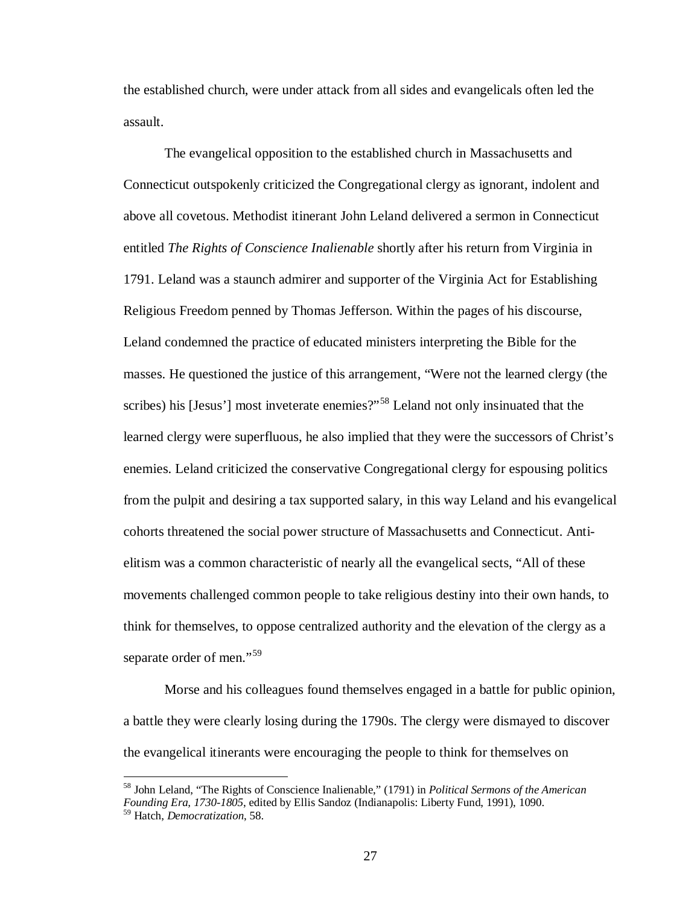the established church, were under attack from all sides and evangelicals often led the assault.

The evangelical opposition to the established church in Massachusetts and Connecticut outspokenly criticized the Congregational clergy as ignorant, indolent and above all covetous. Methodist itinerant John Leland delivered a sermon in Connecticut entitled *The Rights of Conscience Inalienable* shortly after his return from Virginia in 1791. Leland was a staunch admirer and supporter of the Virginia Act for Establishing Religious Freedom penned by Thomas Jefferson. Within the pages of his discourse, Leland condemned the practice of educated ministers interpreting the Bible for the masses. He questioned the justice of this arrangement, "Were not the learned clergy (the scribes) his [Jesus'] most inveterate enemies?"<sup>[58](#page-32-0)</sup> Leland not only insinuated that the learned clergy were superfluous, he also implied that they were the successors of Christ's enemies. Leland criticized the conservative Congregational clergy for espousing politics from the pulpit and desiring a tax supported salary, in this way Leland and his evangelical cohorts threatened the social power structure of Massachusetts and Connecticut. Antielitism was a common characteristic of nearly all the evangelical sects, "All of these movements challenged common people to take religious destiny into their own hands, to think for themselves, to oppose centralized authority and the elevation of the clergy as a separate order of men."<sup>[59](#page-32-1)</sup>

Morse and his colleagues found themselves engaged in a battle for public opinion, a battle they were clearly losing during the 1790s. The clergy were dismayed to discover the evangelical itinerants were encouraging the people to think for themselves on

<span id="page-32-1"></span><span id="page-32-0"></span> <sup>58</sup> John Leland, "The Rights of Conscience Inalienable," (1791) in *Political Sermons of the American Founding Era, 1730-1805*, edited by Ellis Sandoz (Indianapolis: Liberty Fund, 1991), 1090. <sup>59</sup> Hatch, *Democratization*, 58.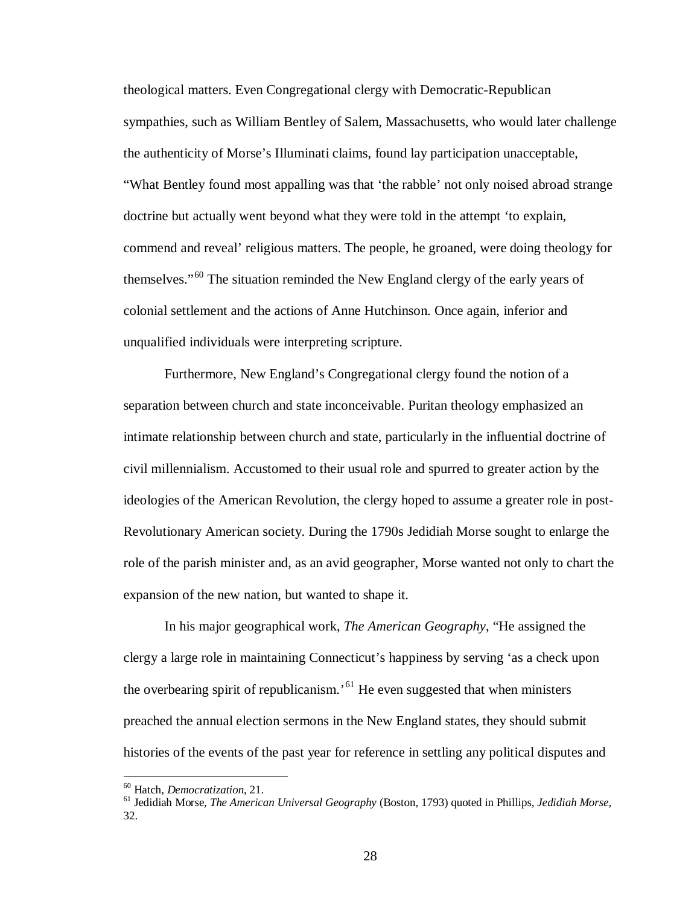theological matters. Even Congregational clergy with Democratic-Republican sympathies, such as William Bentley of Salem, Massachusetts, who would later challenge the authenticity of Morse's Illuminati claims, found lay participation unacceptable, "What Bentley found most appalling was that 'the rabble' not only noised abroad strange doctrine but actually went beyond what they were told in the attempt 'to explain, commend and reveal' religious matters. The people, he groaned, were doing theology for themselves."[60](#page-33-0) The situation reminded the New England clergy of the early years of colonial settlement and the actions of Anne Hutchinson. Once again, inferior and unqualified individuals were interpreting scripture.

Furthermore, New England's Congregational clergy found the notion of a separation between church and state inconceivable. Puritan theology emphasized an intimate relationship between church and state, particularly in the influential doctrine of civil millennialism. Accustomed to their usual role and spurred to greater action by the ideologies of the American Revolution, the clergy hoped to assume a greater role in post-Revolutionary American society. During the 1790s Jedidiah Morse sought to enlarge the role of the parish minister and, as an avid geographer, Morse wanted not only to chart the expansion of the new nation, but wanted to shape it.

In his major geographical work, *The American Geography*, "He assigned the clergy a large role in maintaining Connecticut's happiness by serving 'as a check upon the overbearing spirit of republicanism.<sup> $61$ </sup> He even suggested that when ministers preached the annual election sermons in the New England states, they should submit histories of the events of the past year for reference in settling any political disputes and

<span id="page-33-1"></span><span id="page-33-0"></span><sup>&</sup>lt;sup>60</sup> Hatch, *Democratization*, 21.<br><sup>61</sup> Jedidiah Morse, *The American Universal Geography* (Boston, 1793) quoted in Phillips, *Jedidiah Morse*, 32.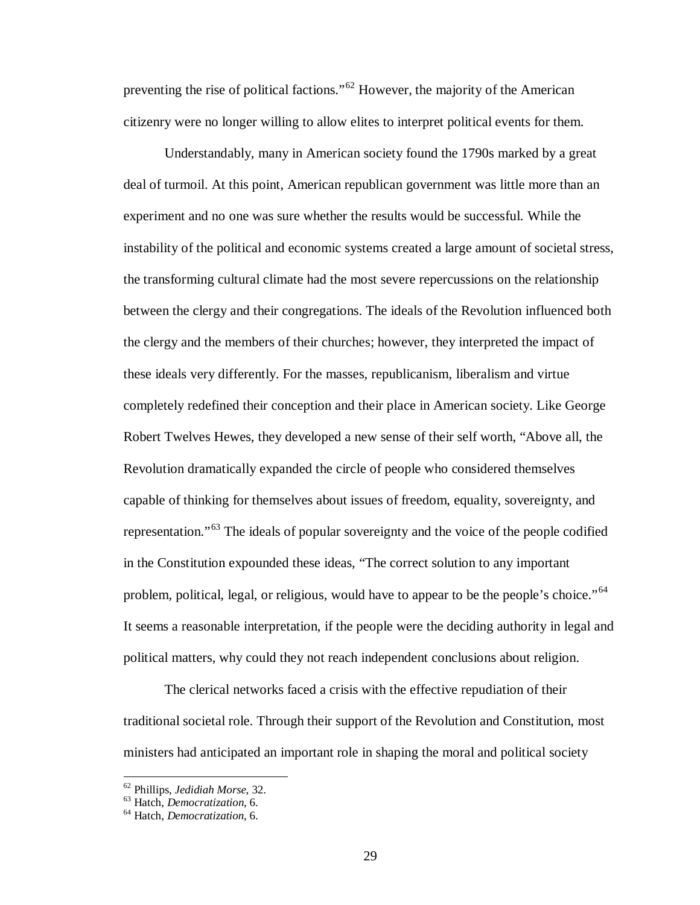preventing the rise of political factions."[62](#page-34-0) However, the majority of the American citizenry were no longer willing to allow elites to interpret political events for them.

Understandably, many in American society found the 1790s marked by a great deal of turmoil. At this point, American republican government was little more than an experiment and no one was sure whether the results would be successful. While the instability of the political and economic systems created a large amount of societal stress, the transforming cultural climate had the most severe repercussions on the relationship between the clergy and their congregations. The ideals of the Revolution influenced both the clergy and the members of their churches; however, they interpreted the impact of these ideals very differently. For the masses, republicanism, liberalism and virtue completely redefined their conception and their place in American society. Like George Robert Twelves Hewes, they developed a new sense of their self worth, "Above all, the Revolution dramatically expanded the circle of people who considered themselves capable of thinking for themselves about issues of freedom, equality, sovereignty, and representation."[63](#page-34-1) The ideals of popular sovereignty and the voice of the people codified in the Constitution expounded these ideas, "The correct solution to any important problem, political, legal, or religious, would have to appear to be the people's choice."<sup>[64](#page-34-2)</sup> It seems a reasonable interpretation, if the people were the deciding authority in legal and political matters, why could they not reach independent conclusions about religion.

The clerical networks faced a crisis with the effective repudiation of their traditional societal role. Through their support of the Revolution and Constitution, most ministers had anticipated an important role in shaping the moral and political society

<span id="page-34-0"></span><sup>62</sup> Phillips, *Jedidiah Morse*, 32. 63 Hatch, *Democratization*, 6. <sup>64</sup> Hatch, *Democratization*, 6.

<span id="page-34-1"></span>

<span id="page-34-2"></span>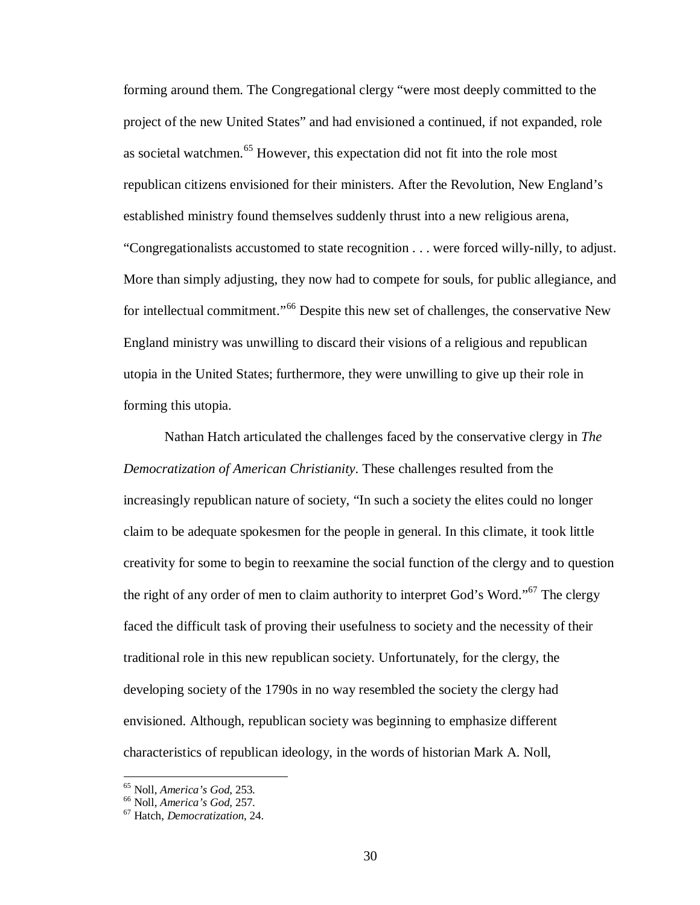forming around them. The Congregational clergy "were most deeply committed to the project of the new United States" and had envisioned a continued, if not expanded, role as societal watchmen.<sup>[65](#page-35-0)</sup> However, this expectation did not fit into the role most republican citizens envisioned for their ministers. After the Revolution, New England's established ministry found themselves suddenly thrust into a new religious arena, "Congregationalists accustomed to state recognition . . . were forced willy-nilly, to adjust. More than simply adjusting, they now had to compete for souls, for public allegiance, and for intellectual commitment."<sup>[66](#page-35-1)</sup> Despite this new set of challenges, the conservative New England ministry was unwilling to discard their visions of a religious and republican utopia in the United States; furthermore, they were unwilling to give up their role in forming this utopia.

Nathan Hatch articulated the challenges faced by the conservative clergy in *The Democratization of American Christianity*. These challenges resulted from the increasingly republican nature of society, "In such a society the elites could no longer claim to be adequate spokesmen for the people in general. In this climate, it took little creativity for some to begin to reexamine the social function of the clergy and to question the right of any order of men to claim authority to interpret God's Word."<sup>[67](#page-35-2)</sup> The clergy faced the difficult task of proving their usefulness to society and the necessity of their traditional role in this new republican society. Unfortunately, for the clergy, the developing society of the 1790s in no way resembled the society the clergy had envisioned. Although, republican society was beginning to emphasize different characteristics of republican ideology, in the words of historian Mark A. Noll,

<span id="page-35-0"></span><sup>&</sup>lt;sup>65</sup> Noll, *America's God*, 253.<br><sup>66</sup> Noll, *America's God*, 257.<br><sup>67</sup> Hatch, *Democratization*, 24.

<span id="page-35-1"></span>

<span id="page-35-2"></span>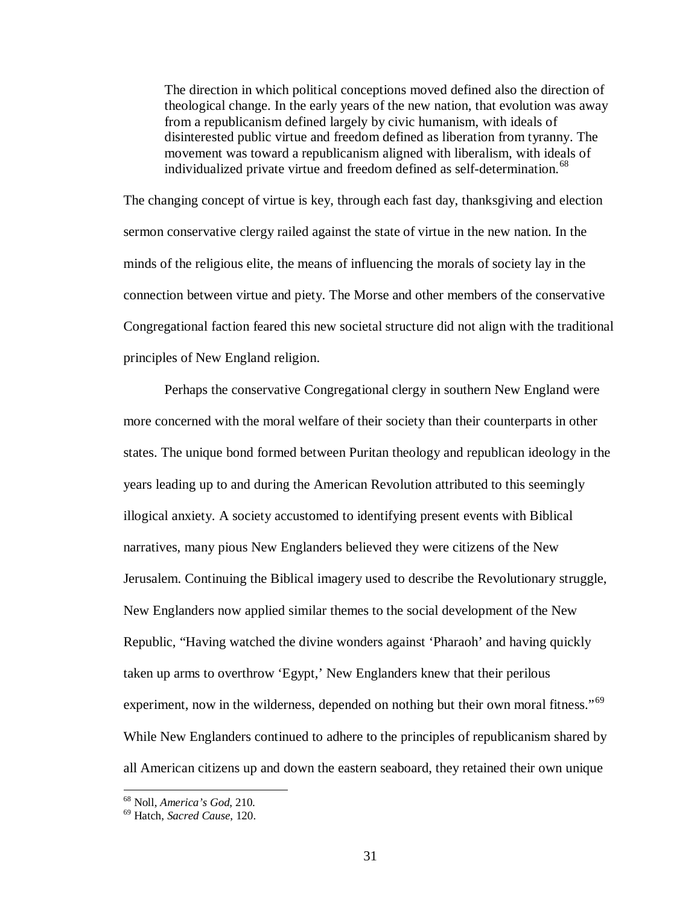The direction in which political conceptions moved defined also the direction of theological change. In the early years of the new nation, that evolution was away from a republicanism defined largely by civic humanism, with ideals of disinterested public virtue and freedom defined as liberation from tyranny. The movement was toward a republicanism aligned with liberalism, with ideals of individualized private virtue and freedom defined as self-determination.<sup>[68](#page-36-0)</sup>

The changing concept of virtue is key, through each fast day, thanksgiving and election sermon conservative clergy railed against the state of virtue in the new nation. In the minds of the religious elite, the means of influencing the morals of society lay in the connection between virtue and piety. The Morse and other members of the conservative Congregational faction feared this new societal structure did not align with the traditional principles of New England religion.

Perhaps the conservative Congregational clergy in southern New England were more concerned with the moral welfare of their society than their counterparts in other states. The unique bond formed between Puritan theology and republican ideology in the years leading up to and during the American Revolution attributed to this seemingly illogical anxiety. A society accustomed to identifying present events with Biblical narratives, many pious New Englanders believed they were citizens of the New Jerusalem. Continuing the Biblical imagery used to describe the Revolutionary struggle, New Englanders now applied similar themes to the social development of the New Republic, "Having watched the divine wonders against 'Pharaoh' and having quickly taken up arms to overthrow 'Egypt,' New Englanders knew that their perilous experiment, now in the wilderness, depended on nothing but their own moral fitness."<sup>[69](#page-36-1)</sup> While New Englanders continued to adhere to the principles of republicanism shared by all American citizens up and down the eastern seaboard, they retained their own unique

<span id="page-36-1"></span><span id="page-36-0"></span><sup>68</sup> Noll, *America's God*, 210. <sup>69</sup> Hatch, *Sacred Cause*, 120.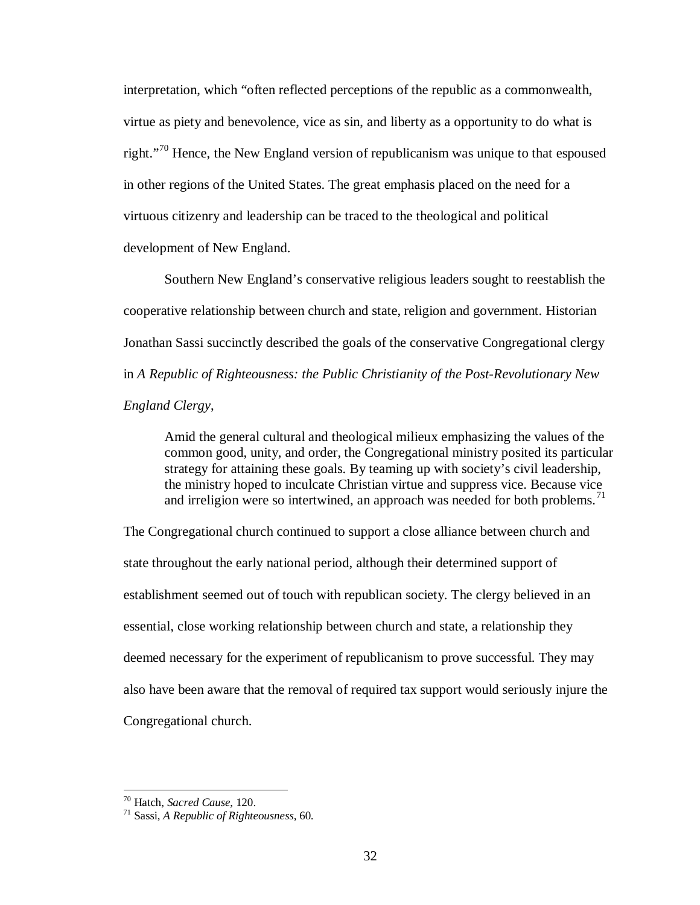interpretation, which "often reflected perceptions of the republic as a commonwealth, virtue as piety and benevolence, vice as sin, and liberty as a opportunity to do what is right."<sup>[70](#page-37-0)</sup> Hence, the New England version of republicanism was unique to that espoused in other regions of the United States. The great emphasis placed on the need for a virtuous citizenry and leadership can be traced to the theological and political development of New England.

Southern New England's conservative religious leaders sought to reestablish the cooperative relationship between church and state, religion and government. Historian Jonathan Sassi succinctly described the goals of the conservative Congregational clergy in *A Republic of Righteousness: the Public Christianity of the Post-Revolutionary New England Clergy*,

Amid the general cultural and theological milieux emphasizing the values of the common good, unity, and order, the Congregational ministry posited its particular strategy for attaining these goals. By teaming up with society's civil leadership, the ministry hoped to inculcate Christian virtue and suppress vice. Because vice and irreligion were so intertwined, an approach was needed for both problems.<sup>[71](#page-37-1)</sup>

The Congregational church continued to support a close alliance between church and state throughout the early national period, although their determined support of establishment seemed out of touch with republican society. The clergy believed in an essential, close working relationship between church and state, a relationship they deemed necessary for the experiment of republicanism to prove successful. They may also have been aware that the removal of required tax support would seriously injure the Congregational church.

<span id="page-37-1"></span><span id="page-37-0"></span>

<sup>70</sup> Hatch, *Sacred Cause*, 120. <sup>71</sup> Sassi, *A Republic of Righteousness*, 60.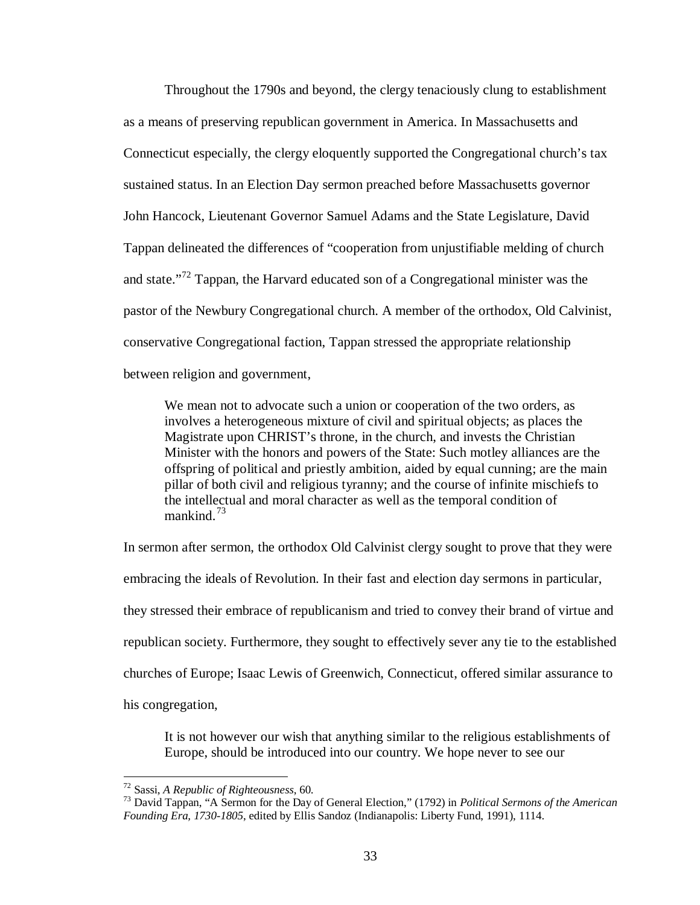Throughout the 1790s and beyond, the clergy tenaciously clung to establishment as a means of preserving republican government in America. In Massachusetts and Connecticut especially, the clergy eloquently supported the Congregational church's tax sustained status. In an Election Day sermon preached before Massachusetts governor John Hancock, Lieutenant Governor Samuel Adams and the State Legislature, David Tappan delineated the differences of "cooperation from unjustifiable melding of church and state."<sup>[72](#page-38-0)</sup> Tappan, the Harvard educated son of a Congregational minister was the pastor of the Newbury Congregational church. A member of the orthodox, Old Calvinist, conservative Congregational faction, Tappan stressed the appropriate relationship between religion and government,

We mean not to advocate such a union or cooperation of the two orders, as involves a heterogeneous mixture of civil and spiritual objects; as places the Magistrate upon CHRIST's throne, in the church, and invests the Christian Minister with the honors and powers of the State: Such motley alliances are the offspring of political and priestly ambition, aided by equal cunning; are the main pillar of both civil and religious tyranny; and the course of infinite mischiefs to the intellectual and moral character as well as the temporal condition of mankind. $73$ 

In sermon after sermon, the orthodox Old Calvinist clergy sought to prove that they were embracing the ideals of Revolution. In their fast and election day sermons in particular, they stressed their embrace of republicanism and tried to convey their brand of virtue and republican society. Furthermore, they sought to effectively sever any tie to the established churches of Europe; Isaac Lewis of Greenwich, Connecticut, offered similar assurance to his congregation,

It is not however our wish that anything similar to the religious establishments of Europe, should be introduced into our country. We hope never to see our

<span id="page-38-1"></span><span id="page-38-0"></span><sup>72</sup> Sassi, *A Republic of Righteousness*, 60. <sup>73</sup> David Tappan, "A Sermon for the Day of General Election," (1792) in *Political Sermons of the American Founding Era, 1730-1805*, edited by Ellis Sandoz (Indianapolis: Liberty Fund, 1991), 1114.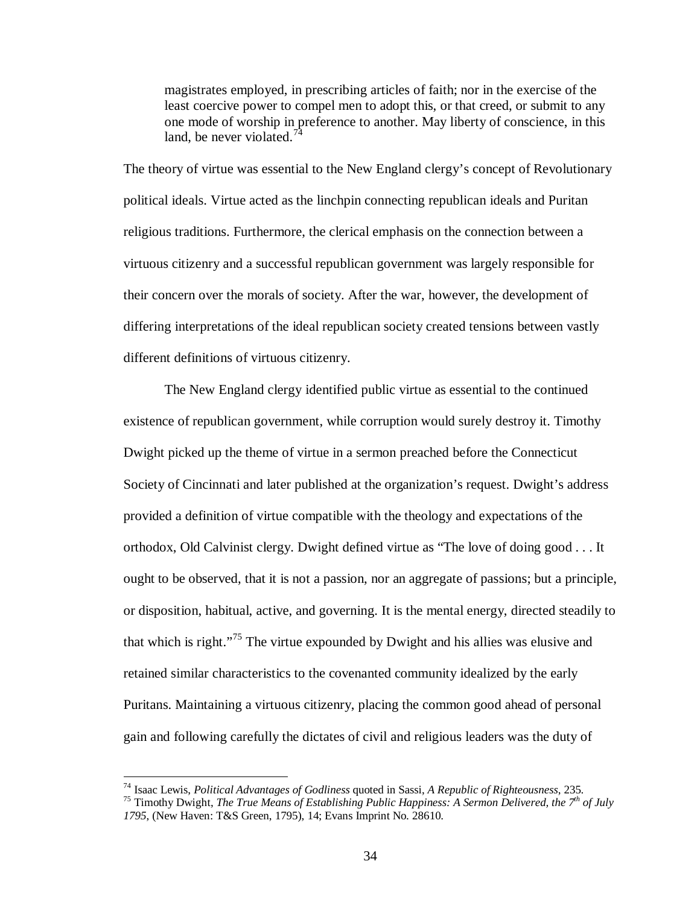magistrates employed, in prescribing articles of faith; nor in the exercise of the least coercive power to compel men to adopt this, or that creed, or submit to any one mode of worship in preference to another. May liberty of conscience, in this land, be never violated. $7<sup>4</sup>$ 

The theory of virtue was essential to the New England clergy's concept of Revolutionary political ideals. Virtue acted as the linchpin connecting republican ideals and Puritan religious traditions. Furthermore, the clerical emphasis on the connection between a virtuous citizenry and a successful republican government was largely responsible for their concern over the morals of society. After the war, however, the development of differing interpretations of the ideal republican society created tensions between vastly different definitions of virtuous citizenry.

The New England clergy identified public virtue as essential to the continued existence of republican government, while corruption would surely destroy it. Timothy Dwight picked up the theme of virtue in a sermon preached before the Connecticut Society of Cincinnati and later published at the organization's request. Dwight's address provided a definition of virtue compatible with the theology and expectations of the orthodox, Old Calvinist clergy. Dwight defined virtue as "The love of doing good . . . It ought to be observed, that it is not a passion, nor an aggregate of passions; but a principle, or disposition, habitual, active, and governing. It is the mental energy, directed steadily to that which is right."[75](#page-39-1) The virtue expounded by Dwight and his allies was elusive and retained similar characteristics to the covenanted community idealized by the early Puritans. Maintaining a virtuous citizenry, placing the common good ahead of personal gain and following carefully the dictates of civil and religious leaders was the duty of

<span id="page-39-0"></span><sup>&</sup>lt;sup>74</sup> Isaac Lewis, *Political Advantages of Godliness* quoted in Sassi, *A Republic of Righteousness*, 235.<br><sup>75</sup> Timothy Dwight, *The True Means of Establishing Public Happiness: A Sermon Delivered, the 7<sup>th</sup> of July* 

<span id="page-39-1"></span>*<sup>1795</sup>*, (New Haven: T&S Green, 1795), 14; Evans Imprint No. 28610.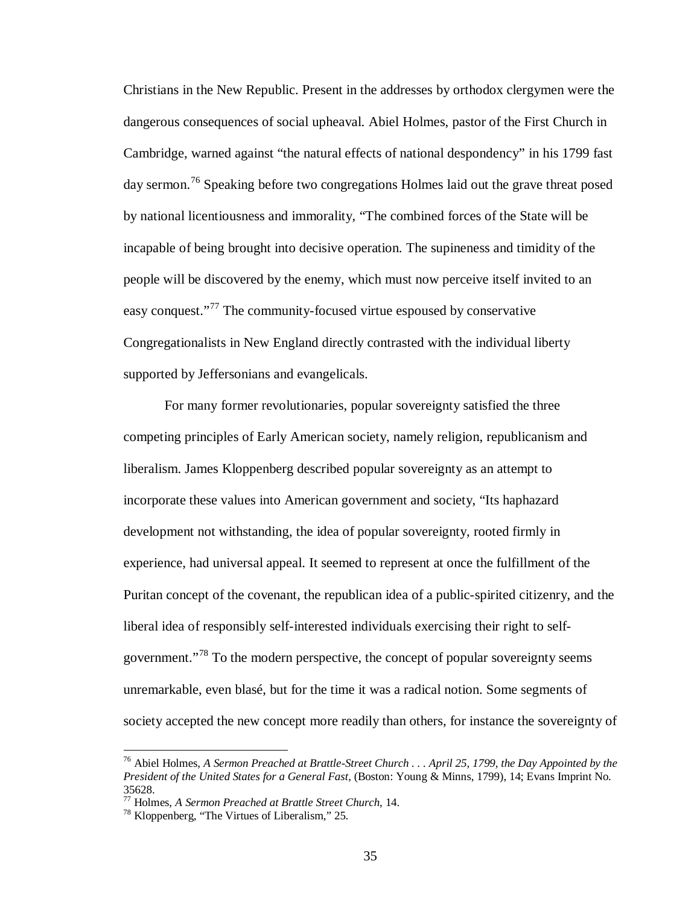Christians in the New Republic. Present in the addresses by orthodox clergymen were the dangerous consequences of social upheaval. Abiel Holmes, pastor of the First Church in Cambridge, warned against "the natural effects of national despondency" in his 1799 fast day sermon.<sup>[76](#page-40-0)</sup> Speaking before two congregations Holmes laid out the grave threat posed by national licentiousness and immorality, "The combined forces of the State will be incapable of being brought into decisive operation. The supineness and timidity of the people will be discovered by the enemy, which must now perceive itself invited to an easy conquest."<sup>[77](#page-40-1)</sup> The community-focused virtue espoused by conservative Congregationalists in New England directly contrasted with the individual liberty supported by Jeffersonians and evangelicals.

For many former revolutionaries, popular sovereignty satisfied the three competing principles of Early American society, namely religion, republicanism and liberalism. James Kloppenberg described popular sovereignty as an attempt to incorporate these values into American government and society, "Its haphazard development not withstanding, the idea of popular sovereignty, rooted firmly in experience, had universal appeal. It seemed to represent at once the fulfillment of the Puritan concept of the covenant, the republican idea of a public-spirited citizenry, and the liberal idea of responsibly self-interested individuals exercising their right to selfgovernment."[78](#page-40-2) To the modern perspective, the concept of popular sovereignty seems unremarkable, even blasé, but for the time it was a radical notion. Some segments of society accepted the new concept more readily than others, for instance the sovereignty of

<span id="page-40-0"></span> <sup>76</sup> Abiel Holmes, *A Sermon Preached at Brattle-Street Church . . . April 25, 1799, the Day Appointed by the President of the United States for a General Fast*, (Boston: Young & Minns, 1799), 14; Evans Imprint No. 35628.

<span id="page-40-1"></span><sup>&</sup>lt;sup>77</sup> Holmes, *A Sermon Preached at Brattle Street Church*, 14.<br><sup>78</sup> Kloppenberg, "The Virtues of Liberalism," 25.

<span id="page-40-2"></span>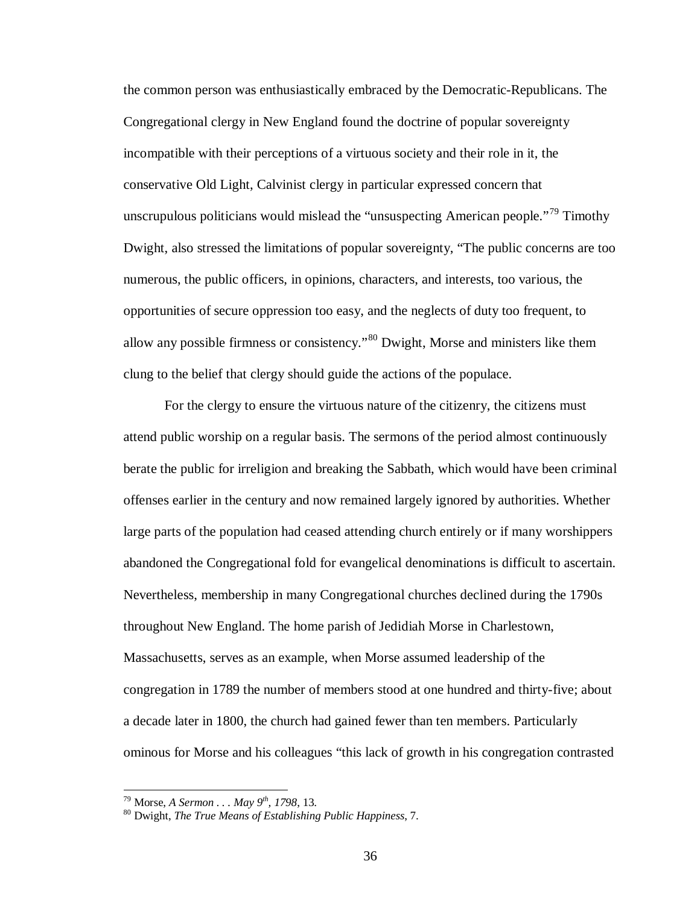the common person was enthusiastically embraced by the Democratic-Republicans. The Congregational clergy in New England found the doctrine of popular sovereignty incompatible with their perceptions of a virtuous society and their role in it, the conservative Old Light, Calvinist clergy in particular expressed concern that unscrupulous politicians would mislead the "unsuspecting American people."<sup>[79](#page-41-0)</sup> Timothy Dwight, also stressed the limitations of popular sovereignty, "The public concerns are too numerous, the public officers, in opinions, characters, and interests, too various, the opportunities of secure oppression too easy, and the neglects of duty too frequent, to allow any possible firmness or consistency."[80](#page-41-1) Dwight, Morse and ministers like them clung to the belief that clergy should guide the actions of the populace.

For the clergy to ensure the virtuous nature of the citizenry, the citizens must attend public worship on a regular basis. The sermons of the period almost continuously berate the public for irreligion and breaking the Sabbath, which would have been criminal offenses earlier in the century and now remained largely ignored by authorities. Whether large parts of the population had ceased attending church entirely or if many worshippers abandoned the Congregational fold for evangelical denominations is difficult to ascertain. Nevertheless, membership in many Congregational churches declined during the 1790s throughout New England. The home parish of Jedidiah Morse in Charlestown, Massachusetts, serves as an example, when Morse assumed leadership of the congregation in 1789 the number of members stood at one hundred and thirty-five; about a decade later in 1800, the church had gained fewer than ten members. Particularly ominous for Morse and his colleagues "this lack of growth in his congregation contrasted

<span id="page-41-1"></span><span id="page-41-0"></span>

<sup>&</sup>lt;sup>79</sup> Morse, *A Sermon . . . May 9<sup>th</sup>, 1798*, 13.<br><sup>80</sup> Dwight, *The True Means of Establishing Public Happiness*, 7.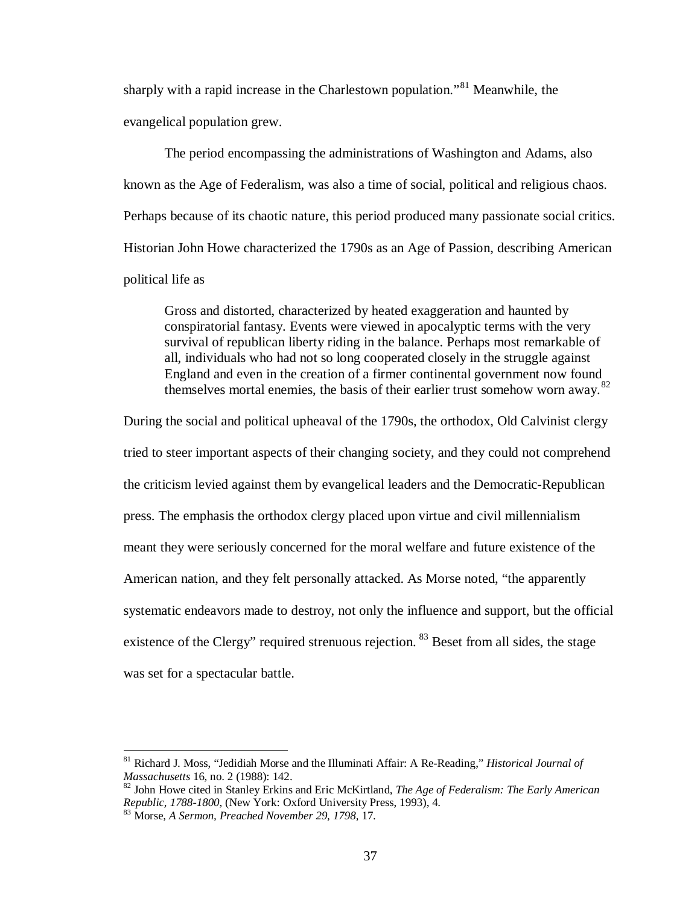sharply with a rapid increase in the Charlestown population."<sup>[81](#page-42-0)</sup> Meanwhile, the evangelical population grew.

The period encompassing the administrations of Washington and Adams, also known as the Age of Federalism, was also a time of social, political and religious chaos. Perhaps because of its chaotic nature, this period produced many passionate social critics. Historian John Howe characterized the 1790s as an Age of Passion, describing American political life as

Gross and distorted, characterized by heated exaggeration and haunted by conspiratorial fantasy. Events were viewed in apocalyptic terms with the very survival of republican liberty riding in the balance. Perhaps most remarkable of all, individuals who had not so long cooperated closely in the struggle against England and even in the creation of a firmer continental government now found themselves mortal enemies, the basis of their earlier trust somehow worn away.<sup>[82](#page-42-1)</sup>

During the social and political upheaval of the 1790s, the orthodox, Old Calvinist clergy tried to steer important aspects of their changing society, and they could not comprehend the criticism levied against them by evangelical leaders and the Democratic-Republican press. The emphasis the orthodox clergy placed upon virtue and civil millennialism meant they were seriously concerned for the moral welfare and future existence of the American nation, and they felt personally attacked. As Morse noted, "the apparently systematic endeavors made to destroy, not only the influence and support, but the official existence of the Clergy" required strenuous rejection. <sup>[83](#page-42-2)</sup> Beset from all sides, the stage was set for a spectacular battle.

<span id="page-42-0"></span> <sup>81</sup> Richard J. Moss, "Jedidiah Morse and the Illuminati Affair: A Re-Reading," *Historical Journal of* 

<span id="page-42-1"></span>*Massachusetts* 16, no. 2 (1988): 142. <sup>82</sup> John Howe cited in Stanley Erkins and Eric McKirtland, *The Age of Federalism: The Early American Republic, 1788-1800*, (New York: Oxford University Press, 1993), 4. <sup>83</sup> Morse, *A Sermon, Preached November 29, 1798*, 17.

<span id="page-42-2"></span>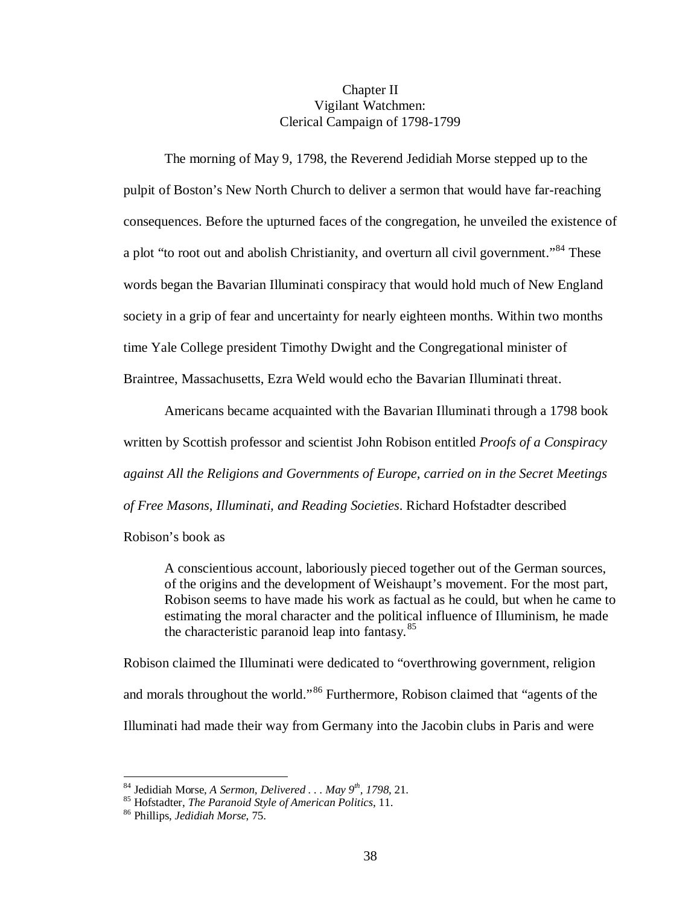## Chapter II Vigilant Watchmen: Clerical Campaign of 1798-1799

The morning of May 9, 1798, the Reverend Jedidiah Morse stepped up to the pulpit of Boston's New North Church to deliver a sermon that would have far-reaching consequences. Before the upturned faces of the congregation, he unveiled the existence of a plot "to root out and abolish Christianity, and overturn all civil government."<sup>[84](#page-43-0)</sup> These words began the Bavarian Illuminati conspiracy that would hold much of New England society in a grip of fear and uncertainty for nearly eighteen months. Within two months time Yale College president Timothy Dwight and the Congregational minister of Braintree, Massachusetts, Ezra Weld would echo the Bavarian Illuminati threat.

Americans became acquainted with the Bavarian Illuminati through a 1798 book written by Scottish professor and scientist John Robison entitled *Proofs of a Conspiracy against All the Religions and Governments of Europe, carried on in the Secret Meetings of Free Masons, Illuminati, and Reading Societies*. Richard Hofstadter described

Robison's book as

A conscientious account, laboriously pieced together out of the German sources, of the origins and the development of Weishaupt's movement. For the most part, Robison seems to have made his work as factual as he could, but when he came to estimating the moral character and the political influence of Illuminism, he made the characteristic paranoid leap into fantasy. $85$ 

Robison claimed the Illuminati were dedicated to "overthrowing government, religion and morals throughout the world."[86](#page-43-2) Furthermore, Robison claimed that "agents of the Illuminati had made their way from Germany into the Jacobin clubs in Paris and were

<span id="page-43-1"></span><span id="page-43-0"></span><sup>84</sup> Jedidiah Morse, *A Sermon, Delivered . . . May 9th, 1798*, 21. <sup>85</sup> Hofstadter, *The Paranoid Style of American Politics*, 11. <sup>86</sup> Phillips, *Jedidiah Morse*, 75.

<span id="page-43-2"></span>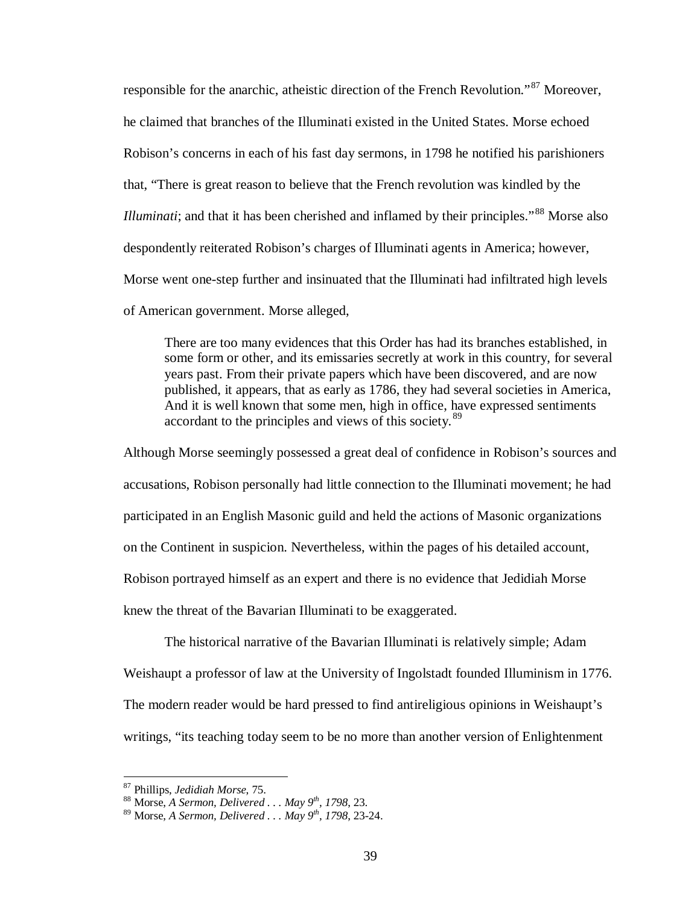responsible for the anarchic, atheistic direction of the French Revolution."<sup>[87](#page-44-0)</sup> Moreover. he claimed that branches of the Illuminati existed in the United States. Morse echoed Robison's concerns in each of his fast day sermons, in 1798 he notified his parishioners that, "There is great reason to believe that the French revolution was kindled by the *Illuminati*; and that it has been cherished and inflamed by their principles."<sup>[88](#page-44-1)</sup> Morse also despondently reiterated Robison's charges of Illuminati agents in America; however, Morse went one-step further and insinuated that the Illuminati had infiltrated high levels of American government. Morse alleged,

There are too many evidences that this Order has had its branches established, in some form or other, and its emissaries secretly at work in this country, for several years past. From their private papers which have been discovered, and are now published, it appears, that as early as 1786, they had several societies in America, And it is well known that some men, high in office, have expressed sentiments accordant to the principles and views of this society.<sup>[89](#page-44-2)</sup>

Although Morse seemingly possessed a great deal of confidence in Robison's sources and accusations, Robison personally had little connection to the Illuminati movement; he had participated in an English Masonic guild and held the actions of Masonic organizations on the Continent in suspicion. Nevertheless, within the pages of his detailed account, Robison portrayed himself as an expert and there is no evidence that Jedidiah Morse knew the threat of the Bavarian Illuminati to be exaggerated.

The historical narrative of the Bavarian Illuminati is relatively simple; Adam Weishaupt a professor of law at the University of Ingolstadt founded Illuminism in 1776. The modern reader would be hard pressed to find antireligious opinions in Weishaupt's writings, "its teaching today seem to be no more than another version of Enlightenment

<span id="page-44-1"></span><span id="page-44-0"></span>

<sup>&</sup>lt;sup>87</sup> Phillips, *Jedidiah Morse*, 75.<br><sup>88</sup> Morse, *A Sermon, Delivered . . . May 9<sup>th</sup>, 1798*, 23.

<span id="page-44-2"></span><sup>89</sup> Morse, *A Sermon, Delivered . . . May 9th, 1798*, 23-24.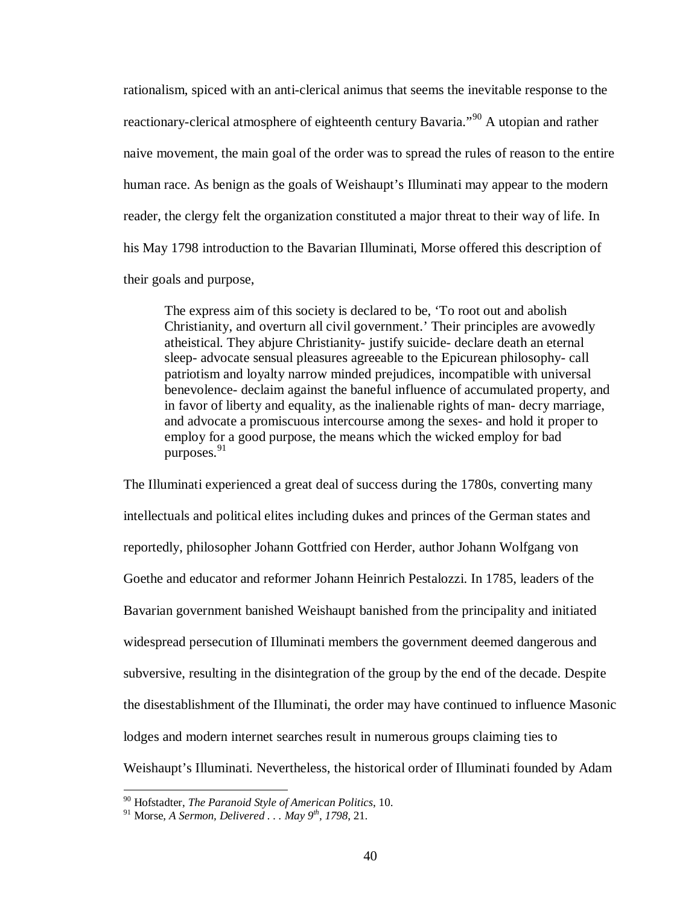rationalism, spiced with an anti-clerical animus that seems the inevitable response to the reactionary-clerical atmosphere of eighteenth century Bavaria."<sup>[90](#page-45-0)</sup> A utopian and rather naive movement, the main goal of the order was to spread the rules of reason to the entire human race. As benign as the goals of Weishaupt's Illuminati may appear to the modern reader, the clergy felt the organization constituted a major threat to their way of life. In his May 1798 introduction to the Bavarian Illuminati, Morse offered this description of their goals and purpose,

The express aim of this society is declared to be, 'To root out and abolish Christianity, and overturn all civil government.' Their principles are avowedly atheistical. They abjure Christianity- justify suicide- declare death an eternal sleep- advocate sensual pleasures agreeable to the Epicurean philosophy- call patriotism and loyalty narrow minded prejudices, incompatible with universal benevolence- declaim against the baneful influence of accumulated property, and in favor of liberty and equality, as the inalienable rights of man- decry marriage, and advocate a promiscuous intercourse among the sexes- and hold it proper to employ for a good purpose, the means which the wicked employ for bad purposes.<sup>[91](#page-45-1)</sup>

The Illuminati experienced a great deal of success during the 1780s, converting many intellectuals and political elites including dukes and princes of the German states and reportedly, philosopher Johann Gottfried con Herder, author Johann Wolfgang von Goethe and educator and reformer Johann Heinrich Pestalozzi. In 1785, leaders of the Bavarian government banished Weishaupt banished from the principality and initiated widespread persecution of Illuminati members the government deemed dangerous and subversive, resulting in the disintegration of the group by the end of the decade. Despite the disestablishment of the Illuminati, the order may have continued to influence Masonic lodges and modern internet searches result in numerous groups claiming ties to Weishaupt's Illuminati. Nevertheless, the historical order of Illuminati founded by Adam

<span id="page-45-0"></span> <sup>90</sup> Hofstadter, *The Paranoid Style of American Politics*, 10.

<span id="page-45-1"></span><sup>91</sup> Morse, *A Sermon, Delivered . . . May 9th, 1798*, 21.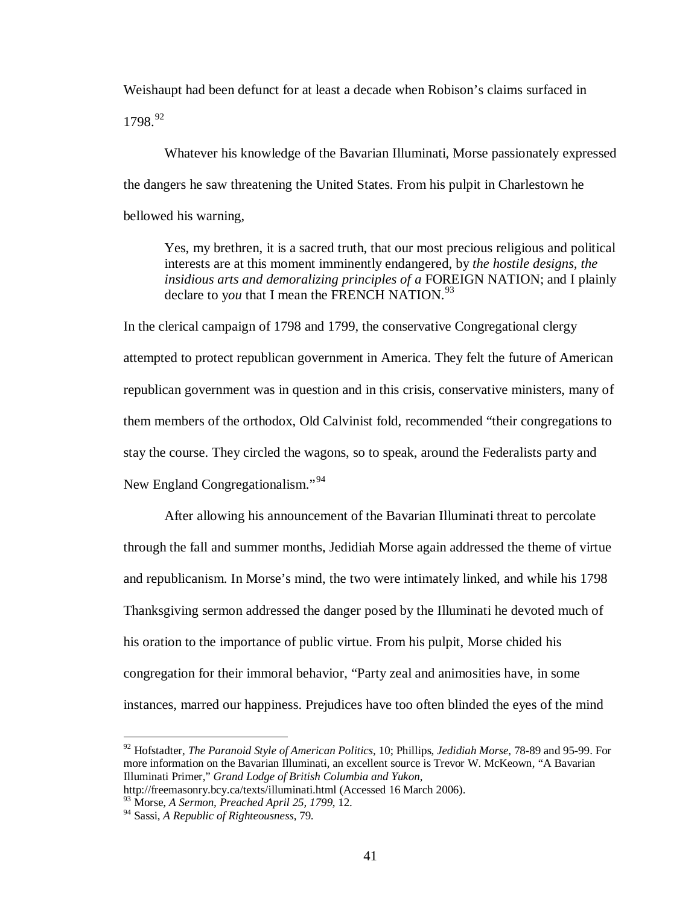Weishaupt had been defunct for at least a decade when Robison's claims surfaced in 1798.[92](#page-46-0)

Whatever his knowledge of the Bavarian Illuminati, Morse passionately expressed the dangers he saw threatening the United States. From his pulpit in Charlestown he bellowed his warning,

Yes, my brethren, it is a sacred truth, that our most precious religious and political interests are at this moment imminently endangered, by *the hostile designs, the insidious arts and demoralizing principles of a* FOREIGN NATION; and I plainly declare to you that I mean the FRENCH NATION.<sup>[93](#page-46-1)</sup>

In the clerical campaign of 1798 and 1799, the conservative Congregational clergy attempted to protect republican government in America. They felt the future of American republican government was in question and in this crisis, conservative ministers, many of them members of the orthodox, Old Calvinist fold, recommended "their congregations to stay the course. They circled the wagons, so to speak, around the Federalists party and New England Congregationalism."<sup>[94](#page-46-2)</sup>

After allowing his announcement of the Bavarian Illuminati threat to percolate through the fall and summer months, Jedidiah Morse again addressed the theme of virtue and republicanism. In Morse's mind, the two were intimately linked, and while his 1798 Thanksgiving sermon addressed the danger posed by the Illuminati he devoted much of his oration to the importance of public virtue. From his pulpit, Morse chided his congregation for their immoral behavior, "Party zeal and animosities have, in some instances, marred our happiness. Prejudices have too often blinded the eyes of the mind

<span id="page-46-0"></span> <sup>92</sup> Hofstadter, *The Paranoid Style of American Politics*, 10; Phillips, *Jedidiah Morse*, 78-89 and 95-99. For more information on the Bavarian Illuminati, an excellent source is Trevor W. McKeown, "A Bavarian Illuminati Primer," *Grand Lodge of British Columbia and Yukon*,

http://freemasonry.bcy.ca/texts/illuminati.html (Accessed 16 March 2006).

<sup>93</sup> Morse, *A Sermon, Preached April 25, 1799*, 12.

<span id="page-46-2"></span><span id="page-46-1"></span><sup>94</sup> Sassi, *A Republic of Righteousness*, 79.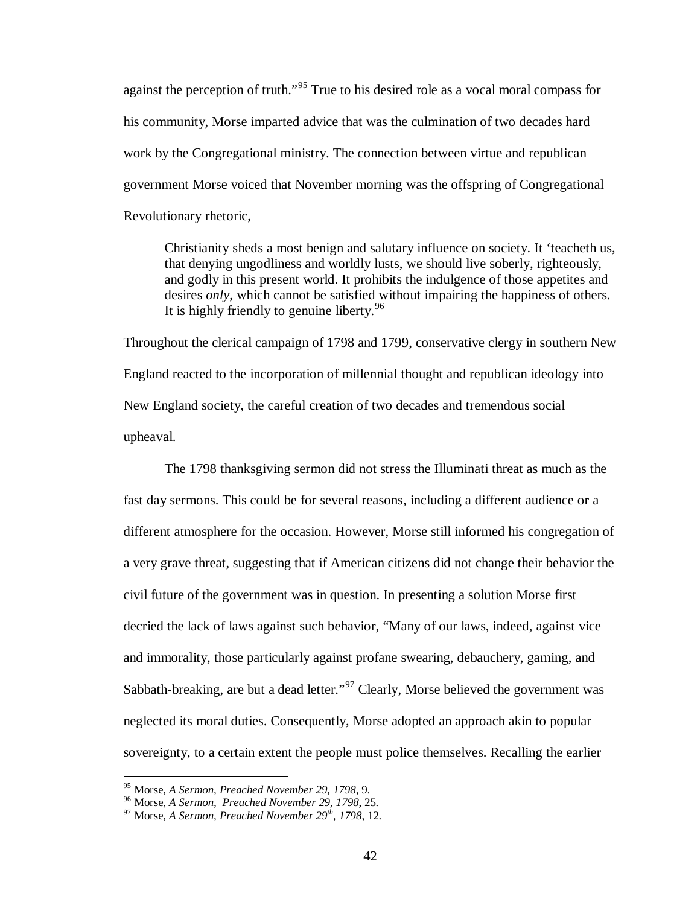against the perception of truth."[95](#page-47-0) True to his desired role as a vocal moral compass for his community, Morse imparted advice that was the culmination of two decades hard work by the Congregational ministry. The connection between virtue and republican government Morse voiced that November morning was the offspring of Congregational Revolutionary rhetoric,

Christianity sheds a most benign and salutary influence on society. It 'teacheth us, that denying ungodliness and worldly lusts, we should live soberly, righteously, and godly in this present world. It prohibits the indulgence of those appetites and desires *only*, which cannot be satisfied without impairing the happiness of others. It is highly friendly to genuine liberty.  $96$ 

Throughout the clerical campaign of 1798 and 1799, conservative clergy in southern New England reacted to the incorporation of millennial thought and republican ideology into New England society, the careful creation of two decades and tremendous social upheaval.

The 1798 thanksgiving sermon did not stress the Illuminati threat as much as the fast day sermons. This could be for several reasons, including a different audience or a different atmosphere for the occasion. However, Morse still informed his congregation of a very grave threat, suggesting that if American citizens did not change their behavior the civil future of the government was in question. In presenting a solution Morse first decried the lack of laws against such behavior, "Many of our laws, indeed, against vice and immorality, those particularly against profane swearing, debauchery, gaming, and Sabbath-breaking, are but a dead letter."<sup>[97](#page-47-2)</sup> Clearly, Morse believed the government was neglected its moral duties. Consequently, Morse adopted an approach akin to popular sovereignty, to a certain extent the people must police themselves. Recalling the earlier

<span id="page-47-1"></span><span id="page-47-0"></span><sup>&</sup>lt;sup>95</sup> Morse, *A Sermon, Preached November 29, 1798*, 9.<br><sup>96</sup> Morse, *A Sermon, Preached November 29, 1798*, 25.<br><sup>97</sup> Morse. *A Sermon, Preached November 29*<sup>*th</sup>, 1798*, 12.</sup>

<span id="page-47-2"></span>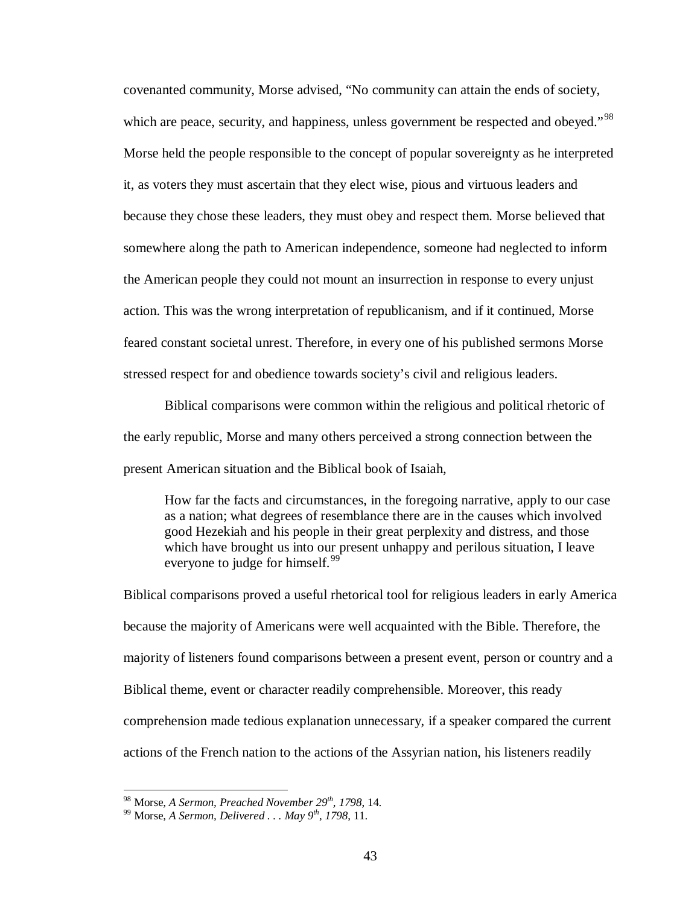covenanted community, Morse advised, "No community can attain the ends of society, which are peace, security, and happiness, unless government be respected and obeyed."<sup>[98](#page-48-0)</sup> Morse held the people responsible to the concept of popular sovereignty as he interpreted it, as voters they must ascertain that they elect wise, pious and virtuous leaders and because they chose these leaders, they must obey and respect them. Morse believed that somewhere along the path to American independence, someone had neglected to inform the American people they could not mount an insurrection in response to every unjust action. This was the wrong interpretation of republicanism, and if it continued, Morse feared constant societal unrest. Therefore, in every one of his published sermons Morse stressed respect for and obedience towards society's civil and religious leaders.

Biblical comparisons were common within the religious and political rhetoric of the early republic, Morse and many others perceived a strong connection between the present American situation and the Biblical book of Isaiah,

How far the facts and circumstances, in the foregoing narrative, apply to our case as a nation; what degrees of resemblance there are in the causes which involved good Hezekiah and his people in their great perplexity and distress, and those which have brought us into our present unhappy and perilous situation, I leave everyone to judge for himself.<sup>[99](#page-48-1)</sup>

Biblical comparisons proved a useful rhetorical tool for religious leaders in early America because the majority of Americans were well acquainted with the Bible. Therefore, the majority of listeners found comparisons between a present event, person or country and a Biblical theme, event or character readily comprehensible. Moreover, this ready comprehension made tedious explanation unnecessary, if a speaker compared the current actions of the French nation to the actions of the Assyrian nation, his listeners readily

<span id="page-48-1"></span><span id="page-48-0"></span><sup>98</sup> Morse, *A Sermon, Preached November 29th, 1798*, 14. <sup>99</sup> Morse, *A Sermon, Delivered . . . May 9th, 1798*, 11.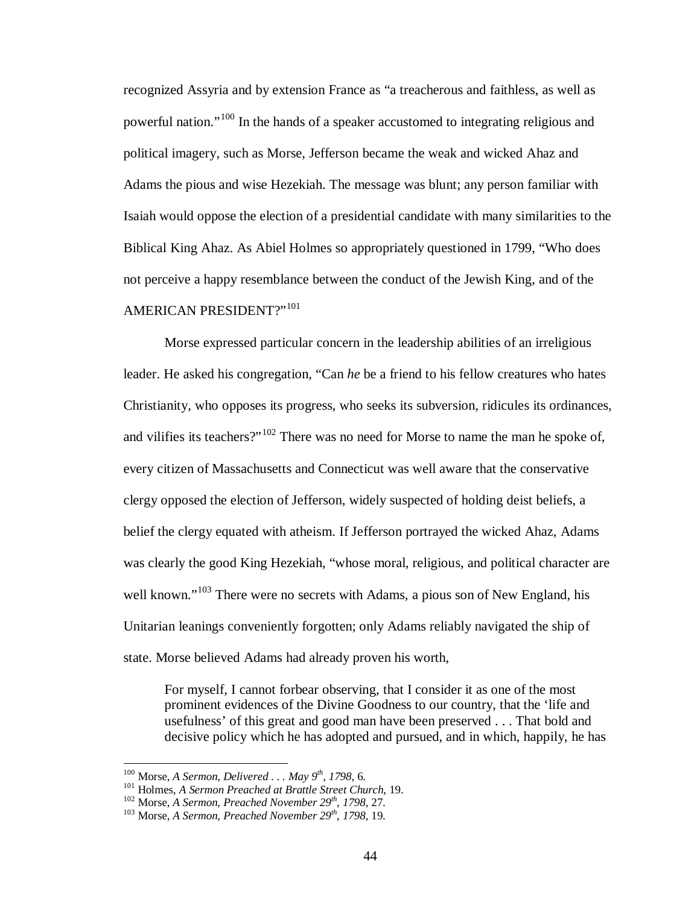recognized Assyria and by extension France as "a treacherous and faithless, as well as powerful nation."<sup>[100](#page-49-0)</sup> In the hands of a speaker accustomed to integrating religious and political imagery, such as Morse, Jefferson became the weak and wicked Ahaz and Adams the pious and wise Hezekiah. The message was blunt; any person familiar with Isaiah would oppose the election of a presidential candidate with many similarities to the Biblical King Ahaz. As Abiel Holmes so appropriately questioned in 1799, "Who does not perceive a happy resemblance between the conduct of the Jewish King, and of the AMERICAN PRESIDENT?"[101](#page-49-1)

Morse expressed particular concern in the leadership abilities of an irreligious leader. He asked his congregation, "Can *he* be a friend to his fellow creatures who hates Christianity, who opposes its progress, who seeks its subversion, ridicules its ordinances, and vilifies its teachers?"<sup>[102](#page-49-2)</sup> There was no need for Morse to name the man he spoke of, every citizen of Massachusetts and Connecticut was well aware that the conservative clergy opposed the election of Jefferson, widely suspected of holding deist beliefs, a belief the clergy equated with atheism. If Jefferson portrayed the wicked Ahaz, Adams was clearly the good King Hezekiah, "whose moral, religious, and political character are well known."<sup>[103](#page-49-3)</sup> There were no secrets with Adams, a pious son of New England, his Unitarian leanings conveniently forgotten; only Adams reliably navigated the ship of state. Morse believed Adams had already proven his worth,

For myself, I cannot forbear observing, that I consider it as one of the most prominent evidences of the Divine Goodness to our country, that the 'life and usefulness' of this great and good man have been preserved . . . That bold and decisive policy which he has adopted and pursued, and in which, happily, he has

<span id="page-49-1"></span>

<span id="page-49-0"></span><sup>&</sup>lt;sup>100</sup> Morse, *A Sermon, Delivered... May 9<sup>th</sup>, 1798*, 6.<br><sup>101</sup> Holmes, *A Sermon Preached at Brattle Street Church*, 19.<br><sup>102</sup> Morse, *A Sermon, Preached November 29<sup>th</sup>, 1798*, 27.<br><sup>103</sup> Morse, *A Sermon, Preached Novem* 

<span id="page-49-3"></span><span id="page-49-2"></span>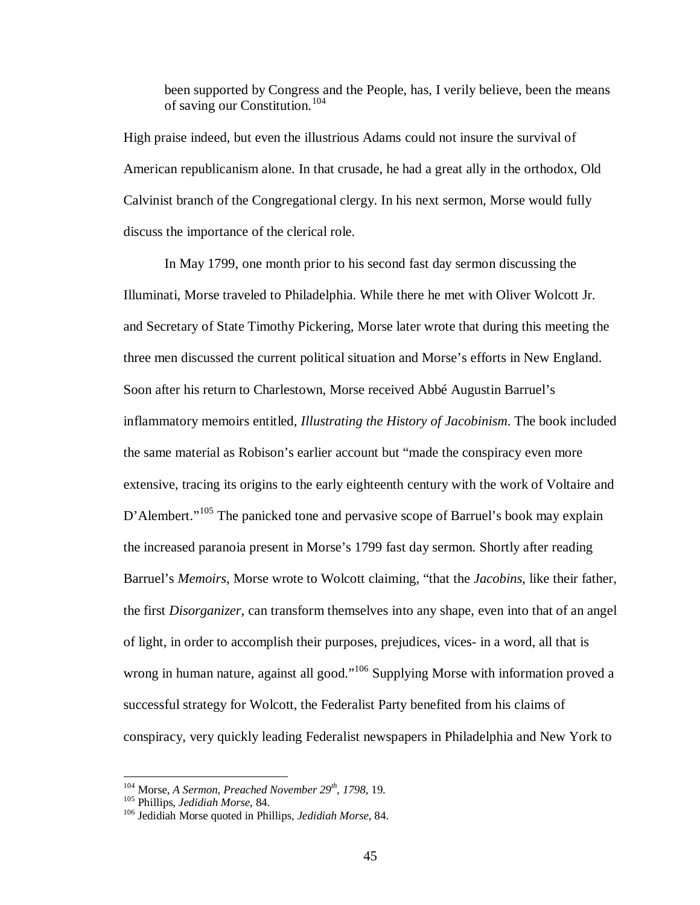been supported by Congress and the People, has, I verily believe, been the means of saving our Constitution.[104](#page-50-0)

High praise indeed, but even the illustrious Adams could not insure the survival of American republicanism alone. In that crusade, he had a great ally in the orthodox, Old Calvinist branch of the Congregational clergy. In his next sermon, Morse would fully discuss the importance of the clerical role.

In May 1799, one month prior to his second fast day sermon discussing the Illuminati, Morse traveled to Philadelphia. While there he met with Oliver Wolcott Jr. and Secretary of State Timothy Pickering, Morse later wrote that during this meeting the three men discussed the current political situation and Morse's efforts in New England. Soon after his return to Charlestown, Morse received Abbé Augustin Barruel's inflammatory memoirs entitled, *Illustrating the History of Jacobinism*. The book included the same material as Robison's earlier account but "made the conspiracy even more extensive, tracing its origins to the early eighteenth century with the work of Voltaire and D'Alembert."<sup>[105](#page-50-1)</sup> The panicked tone and pervasive scope of Barruel's book may explain the increased paranoia present in Morse's 1799 fast day sermon. Shortly after reading Barruel's *Memoirs*, Morse wrote to Wolcott claiming, "that the *Jacobins*, like their father, the first *Disorganizer*, can transform themselves into any shape, even into that of an angel of light, in order to accomplish their purposes, prejudices, vices- in a word, all that is wrong in human nature, against all good."<sup>[106](#page-50-2)</sup> Supplying Morse with information proved a successful strategy for Wolcott, the Federalist Party benefited from his claims of conspiracy, very quickly leading Federalist newspapers in Philadelphia and New York to

<span id="page-50-2"></span>

<span id="page-50-1"></span><span id="page-50-0"></span><sup>&</sup>lt;sup>104</sup> Morse, *A Sermon, Preached November 29<sup>th</sup>, 1798*, 19.<br><sup>105</sup> Phillips, *Jedidiah Morse*, 84.<br><sup>106</sup> Jedidiah Morse quoted in Phillips, *Jedidiah Morse*, 84.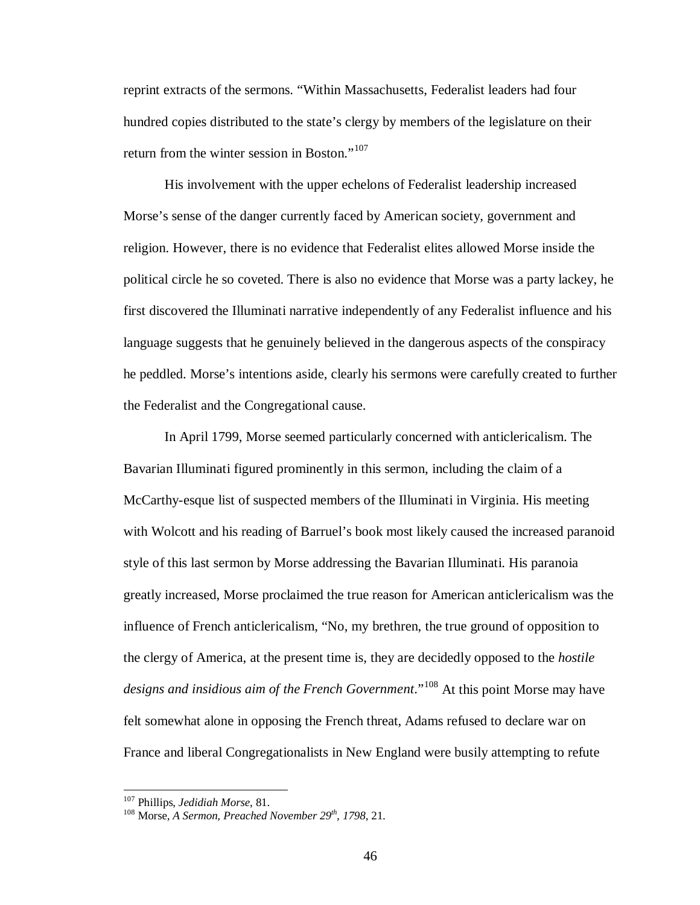reprint extracts of the sermons. "Within Massachusetts, Federalist leaders had four hundred copies distributed to the state's clergy by members of the legislature on their return from the winter session in Boston."<sup>[107](#page-51-0)</sup>

His involvement with the upper echelons of Federalist leadership increased Morse's sense of the danger currently faced by American society, government and religion. However, there is no evidence that Federalist elites allowed Morse inside the political circle he so coveted. There is also no evidence that Morse was a party lackey, he first discovered the Illuminati narrative independently of any Federalist influence and his language suggests that he genuinely believed in the dangerous aspects of the conspiracy he peddled. Morse's intentions aside, clearly his sermons were carefully created to further the Federalist and the Congregational cause.

In April 1799, Morse seemed particularly concerned with anticlericalism. The Bavarian Illuminati figured prominently in this sermon, including the claim of a McCarthy-esque list of suspected members of the Illuminati in Virginia. His meeting with Wolcott and his reading of Barruel's book most likely caused the increased paranoid style of this last sermon by Morse addressing the Bavarian Illuminati. His paranoia greatly increased, Morse proclaimed the true reason for American anticlericalism was the influence of French anticlericalism, "No, my brethren, the true ground of opposition to the clergy of America, at the present time is, they are decidedly opposed to the *hostile*  designs and insidious aim of the French Government."<sup>[108](#page-51-1)</sup> At this point Morse may have felt somewhat alone in opposing the French threat, Adams refused to declare war on France and liberal Congregationalists in New England were busily attempting to refute

<span id="page-51-1"></span>

<span id="page-51-0"></span><sup>&</sup>lt;sup>107</sup> Phillips, *Jedidiah Morse*, 81.<br><sup>108</sup> Morse, *A Sermon, Preached November* 29<sup>th</sup>, 1798, 21.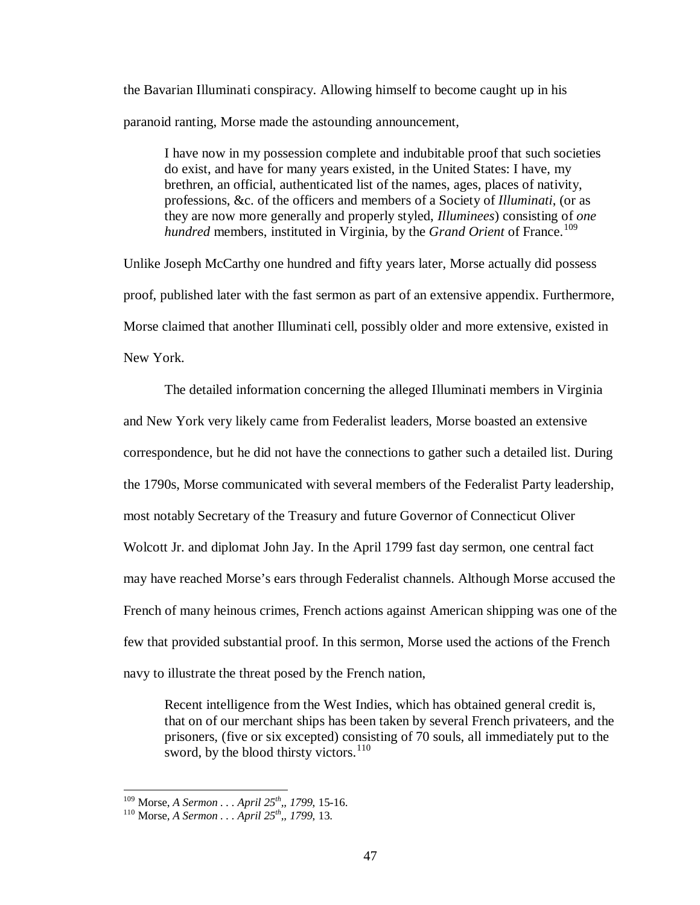the Bavarian Illuminati conspiracy. Allowing himself to become caught up in his paranoid ranting, Morse made the astounding announcement,

I have now in my possession complete and indubitable proof that such societies do exist, and have for many years existed, in the United States: I have, my brethren, an official, authenticated list of the names, ages, places of nativity, professions, &c. of the officers and members of a Society of *Illuminati*, (or as they are now more generally and properly styled, *Illuminees*) consisting of *one hundred* members, instituted in Virginia, by the *Grand Orient* of France.<sup>[109](#page-52-0)</sup>

Unlike Joseph McCarthy one hundred and fifty years later, Morse actually did possess proof, published later with the fast sermon as part of an extensive appendix. Furthermore, Morse claimed that another Illuminati cell, possibly older and more extensive, existed in New York.

The detailed information concerning the alleged Illuminati members in Virginia and New York very likely came from Federalist leaders, Morse boasted an extensive correspondence, but he did not have the connections to gather such a detailed list. During the 1790s, Morse communicated with several members of the Federalist Party leadership, most notably Secretary of the Treasury and future Governor of Connecticut Oliver Wolcott Jr. and diplomat John Jay. In the April 1799 fast day sermon, one central fact may have reached Morse's ears through Federalist channels. Although Morse accused the French of many heinous crimes, French actions against American shipping was one of the few that provided substantial proof. In this sermon, Morse used the actions of the French navy to illustrate the threat posed by the French nation,

Recent intelligence from the West Indies, which has obtained general credit is, that on of our merchant ships has been taken by several French privateers, and the prisoners, (five or six excepted) consisting of 70 souls, all immediately put to the sword, by the blood thirsty victors. $110$ 

<span id="page-52-1"></span><span id="page-52-0"></span><sup>109</sup> Morse, *A Sermon . . . April 25th,, 1799*, 15-16. <sup>110</sup> Morse, *A Sermon . . . April 25th,, 1799*, 13.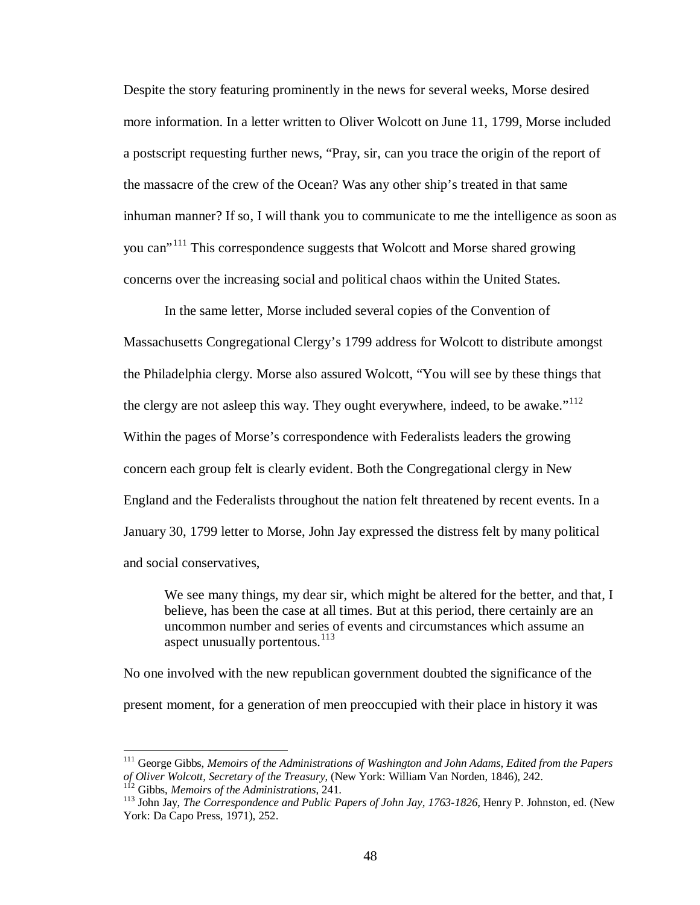Despite the story featuring prominently in the news for several weeks, Morse desired more information. In a letter written to Oliver Wolcott on June 11, 1799, Morse included a postscript requesting further news, "Pray, sir, can you trace the origin of the report of the massacre of the crew of the Ocean? Was any other ship's treated in that same inhuman manner? If so, I will thank you to communicate to me the intelligence as soon as you can<sup>"[111](#page-53-0)</sup> This correspondence suggests that Wolcott and Morse shared growing concerns over the increasing social and political chaos within the United States.

In the same letter, Morse included several copies of the Convention of Massachusetts Congregational Clergy's 1799 address for Wolcott to distribute amongst the Philadelphia clergy. Morse also assured Wolcott, "You will see by these things that the clergy are not asleep this way. They ought everywhere, indeed, to be awake."<sup>[112](#page-53-1)</sup> Within the pages of Morse's correspondence with Federalists leaders the growing concern each group felt is clearly evident. Both the Congregational clergy in New England and the Federalists throughout the nation felt threatened by recent events. In a January 30, 1799 letter to Morse, John Jay expressed the distress felt by many political and social conservatives,

We see many things, my dear sir, which might be altered for the better, and that, I believe, has been the case at all times. But at this period, there certainly are an uncommon number and series of events and circumstances which assume an aspect unusually portentous. $^{113}$  $^{113}$  $^{113}$ 

No one involved with the new republican government doubted the significance of the present moment, for a generation of men preoccupied with their place in history it was

<span id="page-53-0"></span><sup>&</sup>lt;sup>111</sup> George Gibbs, *Memoirs of the Administrations of Washington and John Adams, Edited from the Papers* of Oliver Wolcott, Secretary of the Treasury, (New York: William Van Norden, 1846), 242.

<span id="page-53-2"></span>

<span id="page-53-1"></span> $1^{12}$  Gibbs, *Memoirs of the Administrations*, 241.<br><sup>113</sup> John Jav, *The Correspondence and Public Papers of John Jay, 1763-1826*, Henry P. Johnston, ed. (New York: Da Capo Press, 1971), 252.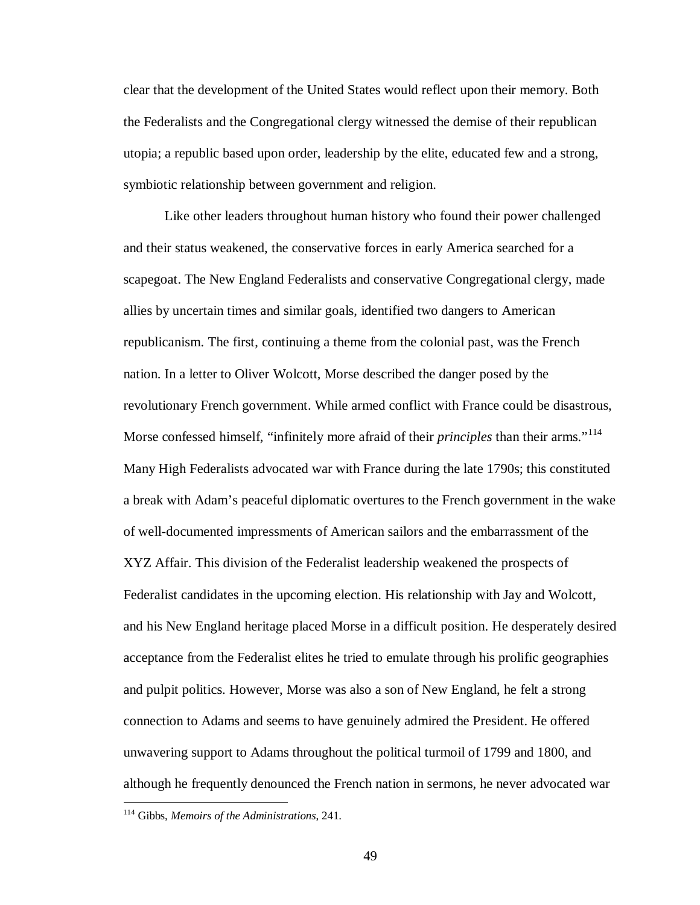clear that the development of the United States would reflect upon their memory. Both the Federalists and the Congregational clergy witnessed the demise of their republican utopia; a republic based upon order, leadership by the elite, educated few and a strong, symbiotic relationship between government and religion.

Like other leaders throughout human history who found their power challenged and their status weakened, the conservative forces in early America searched for a scapegoat. The New England Federalists and conservative Congregational clergy, made allies by uncertain times and similar goals, identified two dangers to American republicanism. The first, continuing a theme from the colonial past, was the French nation. In a letter to Oliver Wolcott, Morse described the danger posed by the revolutionary French government. While armed conflict with France could be disastrous, Morse confessed himself, "infinitely more afraid of their *principles* than their arms."<sup>[114](#page-54-0)</sup> Many High Federalists advocated war with France during the late 1790s; this constituted a break with Adam's peaceful diplomatic overtures to the French government in the wake of well-documented impressments of American sailors and the embarrassment of the XYZ Affair. This division of the Federalist leadership weakened the prospects of Federalist candidates in the upcoming election. His relationship with Jay and Wolcott, and his New England heritage placed Morse in a difficult position. He desperately desired acceptance from the Federalist elites he tried to emulate through his prolific geographies and pulpit politics. However, Morse was also a son of New England, he felt a strong connection to Adams and seems to have genuinely admired the President. He offered unwavering support to Adams throughout the political turmoil of 1799 and 1800, and although he frequently denounced the French nation in sermons, he never advocated war

<span id="page-54-0"></span> <sup>114</sup> Gibbs, *Memoirs of the Administrations*, 241.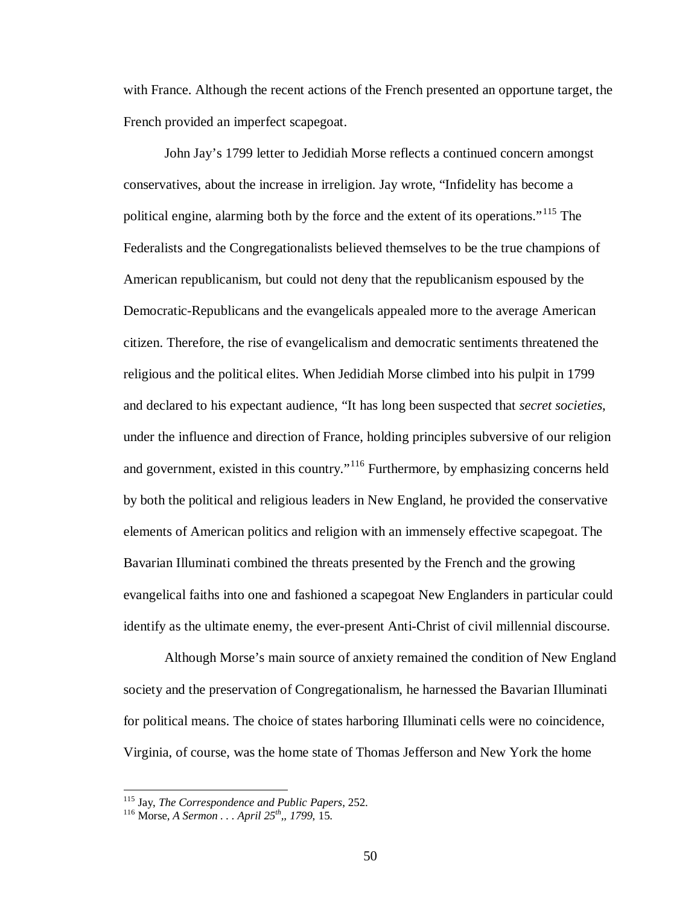with France. Although the recent actions of the French presented an opportune target, the French provided an imperfect scapegoat.

John Jay's 1799 letter to Jedidiah Morse reflects a continued concern amongst conservatives, about the increase in irreligion. Jay wrote, "Infidelity has become a political engine, alarming both by the force and the extent of its operations."<sup>[115](#page-55-0)</sup> The Federalists and the Congregationalists believed themselves to be the true champions of American republicanism, but could not deny that the republicanism espoused by the Democratic-Republicans and the evangelicals appealed more to the average American citizen. Therefore, the rise of evangelicalism and democratic sentiments threatened the religious and the political elites. When Jedidiah Morse climbed into his pulpit in 1799 and declared to his expectant audience, "It has long been suspected that *secret societies*, under the influence and direction of France, holding principles subversive of our religion and government, existed in this country."<sup>[116](#page-55-1)</sup> Furthermore, by emphasizing concerns held by both the political and religious leaders in New England, he provided the conservative elements of American politics and religion with an immensely effective scapegoat. The Bavarian Illuminati combined the threats presented by the French and the growing evangelical faiths into one and fashioned a scapegoat New Englanders in particular could identify as the ultimate enemy, the ever-present Anti-Christ of civil millennial discourse.

Although Morse's main source of anxiety remained the condition of New England society and the preservation of Congregationalism, he harnessed the Bavarian Illuminati for political means. The choice of states harboring Illuminati cells were no coincidence, Virginia, of course, was the home state of Thomas Jefferson and New York the home

<span id="page-55-1"></span><span id="page-55-0"></span><sup>115</sup> Jay, *The Correspondence and Public Papers*, 252. <sup>116</sup> Morse, *A Sermon . . . April 25th,, 1799*, 15.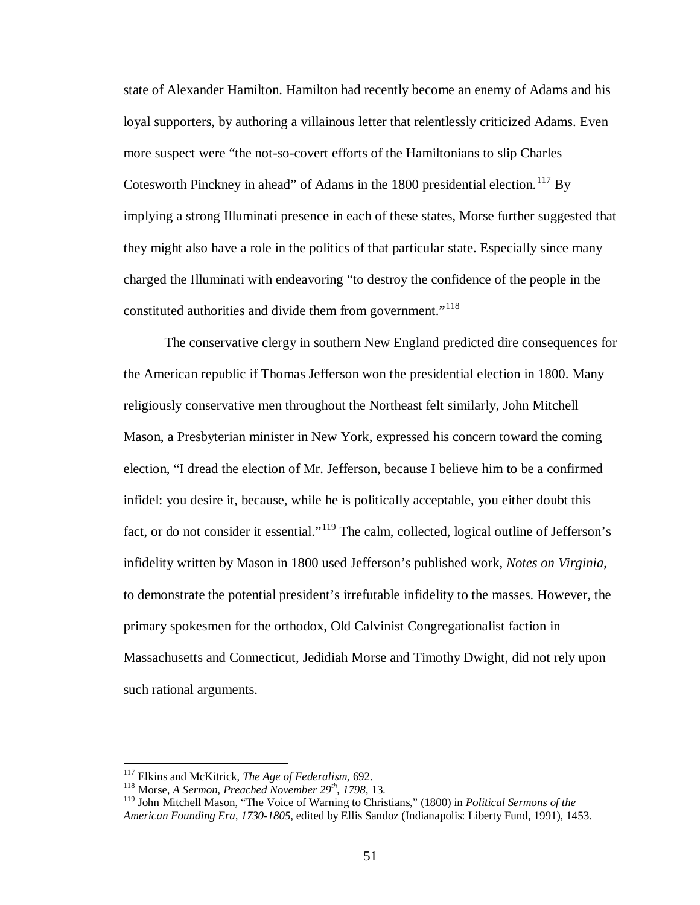state of Alexander Hamilton. Hamilton had recently become an enemy of Adams and his loyal supporters, by authoring a villainous letter that relentlessly criticized Adams. Even more suspect were "the not-so-covert efforts of the Hamiltonians to slip Charles Cotesworth Pinckney in ahead" of Adams in the 1800 presidential election.<sup>[117](#page-56-0)</sup> By implying a strong Illuminati presence in each of these states, Morse further suggested that they might also have a role in the politics of that particular state. Especially since many charged the Illuminati with endeavoring "to destroy the confidence of the people in the constituted authorities and divide them from government."<sup>[118](#page-56-1)</sup>

The conservative clergy in southern New England predicted dire consequences for the American republic if Thomas Jefferson won the presidential election in 1800. Many religiously conservative men throughout the Northeast felt similarly, John Mitchell Mason, a Presbyterian minister in New York, expressed his concern toward the coming election, "I dread the election of Mr. Jefferson, because I believe him to be a confirmed infidel: you desire it, because, while he is politically acceptable, you either doubt this fact, or do not consider it essential."<sup>[119](#page-56-2)</sup> The calm, collected, logical outline of Jefferson's infidelity written by Mason in 1800 used Jefferson's published work, *Notes on Virginia*, to demonstrate the potential president's irrefutable infidelity to the masses. However, the primary spokesmen for the orthodox, Old Calvinist Congregationalist faction in Massachusetts and Connecticut, Jedidiah Morse and Timothy Dwight, did not rely upon such rational arguments.

<span id="page-56-0"></span><sup>&</sup>lt;sup>117</sup> Elkins and McKitrick, *The Age of Federalism*, 692.<br><sup>118</sup> Morse, *A Sermon, Preached November 29<sup>th</sup>, 1798*, 13.

<span id="page-56-1"></span>

<span id="page-56-2"></span><sup>119</sup> John Mitchell Mason, "The Voice of Warning to Christians," (1800) in *Political Sermons of the American Founding Era, 1730-1805*, edited by Ellis Sandoz (Indianapolis: Liberty Fund, 1991), 1453.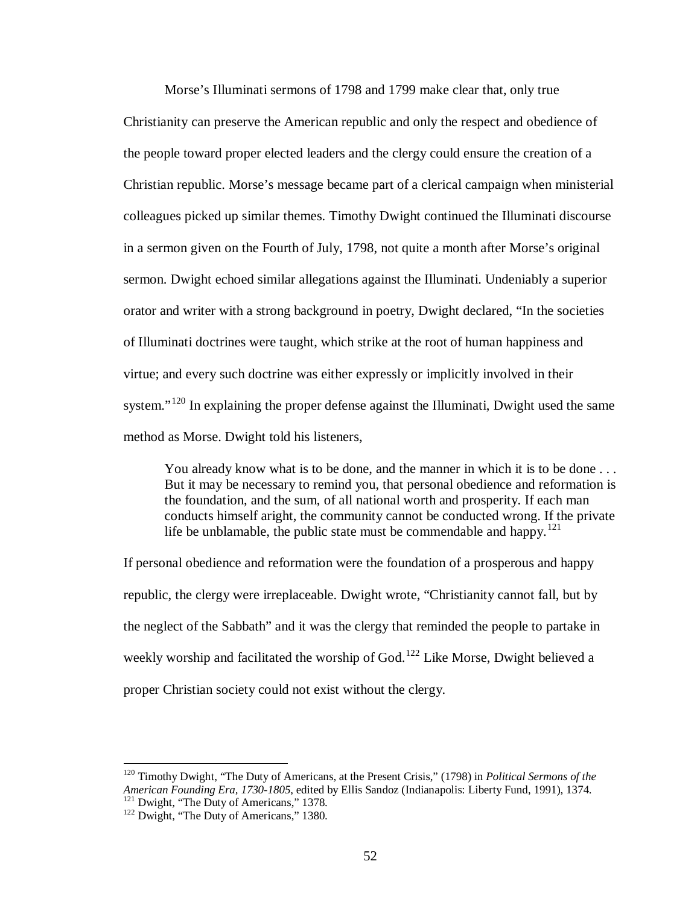Morse's Illuminati sermons of 1798 and 1799 make clear that, only true Christianity can preserve the American republic and only the respect and obedience of the people toward proper elected leaders and the clergy could ensure the creation of a Christian republic. Morse's message became part of a clerical campaign when ministerial colleagues picked up similar themes. Timothy Dwight continued the Illuminati discourse in a sermon given on the Fourth of July, 1798, not quite a month after Morse's original sermon. Dwight echoed similar allegations against the Illuminati. Undeniably a superior orator and writer with a strong background in poetry, Dwight declared, "In the societies of Illuminati doctrines were taught, which strike at the root of human happiness and virtue; and every such doctrine was either expressly or implicitly involved in their system."<sup>[120](#page-57-0)</sup> In explaining the proper defense against the Illuminati, Dwight used the same method as Morse. Dwight told his listeners,

You already know what is to be done, and the manner in which it is to be done ... But it may be necessary to remind you, that personal obedience and reformation is the foundation, and the sum, of all national worth and prosperity. If each man conducts himself aright, the community cannot be conducted wrong. If the private life be unblamable, the public state must be commendable and happy.<sup>[121](#page-57-1)</sup>

If personal obedience and reformation were the foundation of a prosperous and happy republic, the clergy were irreplaceable. Dwight wrote, "Christianity cannot fall, but by the neglect of the Sabbath" and it was the clergy that reminded the people to partake in weekly worship and facilitated the worship of God.<sup>[122](#page-57-2)</sup> Like Morse, Dwight believed a proper Christian society could not exist without the clergy.

<span id="page-57-0"></span><sup>&</sup>lt;sup>120</sup> Timothy Dwight, "The Duty of Americans, at the Present Crisis," (1798) in *Political Sermons of the American Founding Era, 1730-1805*, edited by Ellis Sandoz (Indianapolis: Liberty Fund, 1991), 1374. *AMERICAN FOUNDING ERA, 1730-1805, edited by Ellis Sandong Era, 1730-1805*, 1378.<br><sup>122</sup> Dwight, "The Duty of Americans," 1380.

<span id="page-57-2"></span><span id="page-57-1"></span>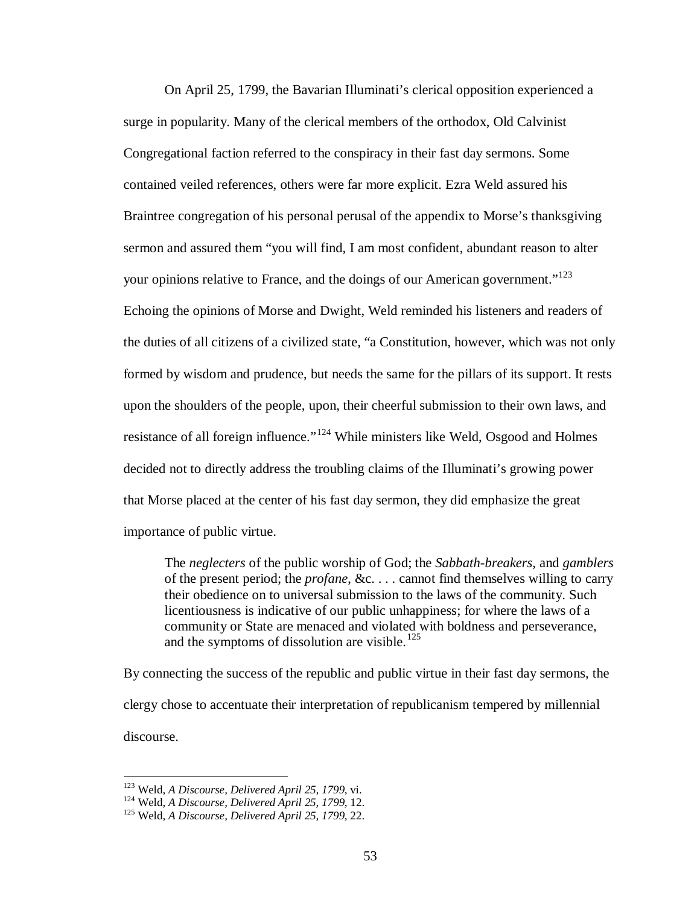On April 25, 1799, the Bavarian Illuminati's clerical opposition experienced a surge in popularity. Many of the clerical members of the orthodox, Old Calvinist Congregational faction referred to the conspiracy in their fast day sermons. Some contained veiled references, others were far more explicit. Ezra Weld assured his Braintree congregation of his personal perusal of the appendix to Morse's thanksgiving sermon and assured them "you will find, I am most confident, abundant reason to alter your opinions relative to France, and the doings of our American government."<sup>[123](#page-58-0)</sup> Echoing the opinions of Morse and Dwight, Weld reminded his listeners and readers of the duties of all citizens of a civilized state, "a Constitution, however, which was not only formed by wisdom and prudence, but needs the same for the pillars of its support. It rests upon the shoulders of the people, upon, their cheerful submission to their own laws, and resistance of all foreign influence."<sup>[124](#page-58-1)</sup> While ministers like Weld, Osgood and Holmes decided not to directly address the troubling claims of the Illuminati's growing power that Morse placed at the center of his fast day sermon, they did emphasize the great importance of public virtue.

The *neglecters* of the public worship of God; the *Sabbath-breakers*, and *gamblers* of the present period; the *profane*, &c. . . . cannot find themselves willing to carry their obedience on to universal submission to the laws of the community. Such licentiousness is indicative of our public unhappiness; for where the laws of a community or State are menaced and violated with boldness and perseverance, and the symptoms of dissolution are visible. $125$ 

By connecting the success of the republic and public virtue in their fast day sermons, the clergy chose to accentuate their interpretation of republicanism tempered by millennial discourse.

<span id="page-58-1"></span><span id="page-58-0"></span><sup>&</sup>lt;sup>123</sup> Weld, *A Discourse, Delivered April 25, 1799*, vi.<br><sup>124</sup> Weld, *A Discourse, Delivered April 25, 1799*, 12.<br><sup>125</sup> Weld, *A Discourse, Delivered April 25, 1799*, 22.

<span id="page-58-2"></span>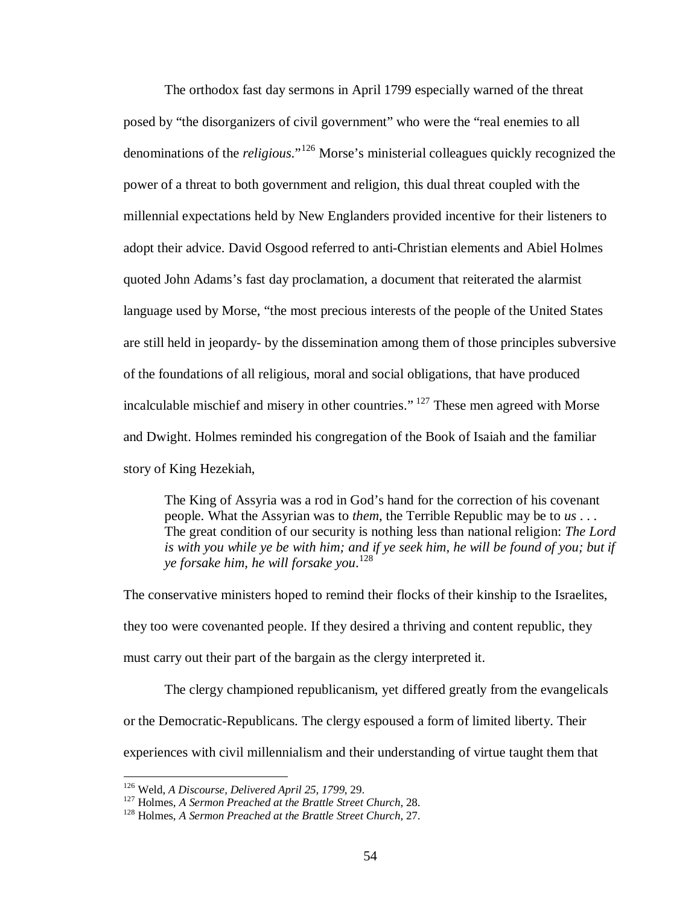The orthodox fast day sermons in April 1799 especially warned of the threat posed by "the disorganizers of civil government" who were the "real enemies to all denominations of the *religious*."[126](#page-59-0) Morse's ministerial colleagues quickly recognized the power of a threat to both government and religion, this dual threat coupled with the millennial expectations held by New Englanders provided incentive for their listeners to adopt their advice. David Osgood referred to anti-Christian elements and Abiel Holmes quoted John Adams's fast day proclamation, a document that reiterated the alarmist language used by Morse, "the most precious interests of the people of the United States are still held in jeopardy- by the dissemination among them of those principles subversive of the foundations of all religious, moral and social obligations, that have produced incalculable mischief and misery in other countries." [127](#page-59-1) These men agreed with Morse and Dwight. Holmes reminded his congregation of the Book of Isaiah and the familiar story of King Hezekiah,

The King of Assyria was a rod in God's hand for the correction of his covenant people. What the Assyrian was to *them*, the Terrible Republic may be to *us* . . . The great condition of our security is nothing less than national religion: *The Lord is with you while ye be with him; and if ye seek him, he will be found of you; but if ye forsake him, he will forsake you*. [128](#page-59-2)

The conservative ministers hoped to remind their flocks of their kinship to the Israelites, they too were covenanted people. If they desired a thriving and content republic, they must carry out their part of the bargain as the clergy interpreted it.

The clergy championed republicanism, yet differed greatly from the evangelicals or the Democratic-Republicans. The clergy espoused a form of limited liberty. Their experiences with civil millennialism and their understanding of virtue taught them that

<span id="page-59-1"></span>

<span id="page-59-0"></span><sup>&</sup>lt;sup>126</sup> Weld, *A Discourse, Delivered April 25, 1799*, 29.<br><sup>127</sup> Holmes, *A Sermon Preached at the Brattle Street Church*, 28.<br><sup>128</sup> Holmes, *A Sermon Preached at the Brattle Street Church*, 27.

<span id="page-59-2"></span>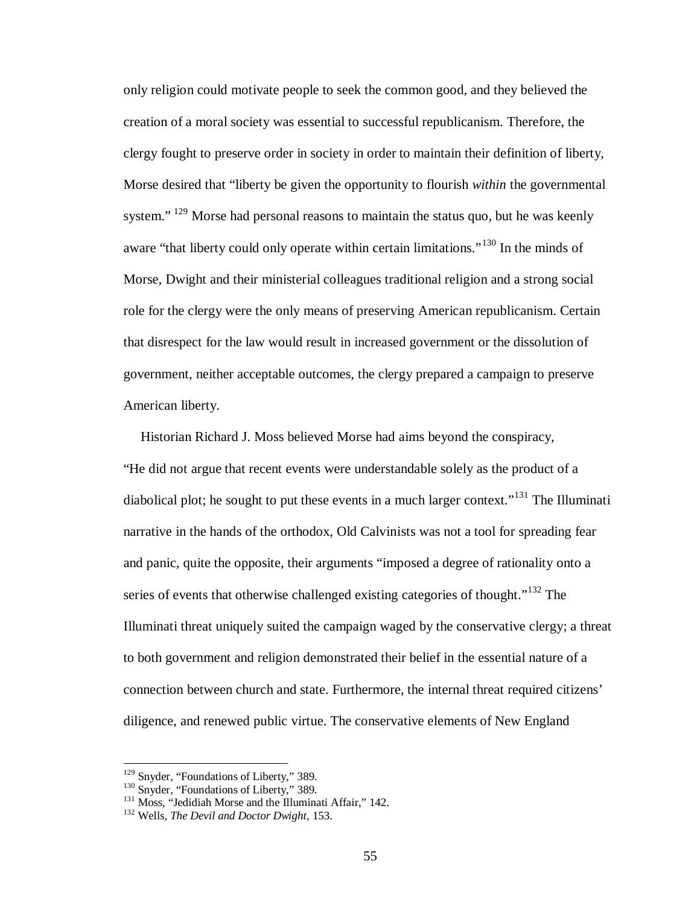only religion could motivate people to seek the common good, and they believed the creation of a moral society was essential to successful republicanism. Therefore, the clergy fought to preserve order in society in order to maintain their definition of liberty, Morse desired that "liberty be given the opportunity to flourish *within* the governmental system." <sup>[129](#page-60-0)</sup> Morse had personal reasons to maintain the status quo, but he was keenly aware "that liberty could only operate within certain limitations."<sup>[130](#page-60-1)</sup> In the minds of Morse, Dwight and their ministerial colleagues traditional religion and a strong social role for the clergy were the only means of preserving American republicanism. Certain that disrespect for the law would result in increased government or the dissolution of government, neither acceptable outcomes, the clergy prepared a campaign to preserve American liberty.

 Historian Richard J. Moss believed Morse had aims beyond the conspiracy, "He did not argue that recent events were understandable solely as the product of a diabolical plot; he sought to put these events in a much larger context."<sup>[131](#page-60-2)</sup> The Illuminati narrative in the hands of the orthodox, Old Calvinists was not a tool for spreading fear and panic, quite the opposite, their arguments "imposed a degree of rationality onto a series of events that otherwise challenged existing categories of thought."<sup>[132](#page-60-3)</sup> The Illuminati threat uniquely suited the campaign waged by the conservative clergy; a threat to both government and religion demonstrated their belief in the essential nature of a connection between church and state. Furthermore, the internal threat required citizens' diligence, and renewed public virtue. The conservative elements of New England

<span id="page-60-2"></span><span id="page-60-1"></span>

<span id="page-60-0"></span><sup>&</sup>lt;sup>129</sup> Snyder, "Foundations of Liberty," 389.<br><sup>130</sup> Snyder, "Foundations of Liberty," 389.<br><sup>131</sup> Moss, "Jedidiah Morse and the Illuminati Affair," 142.<br><sup>132</sup> Wells, *The Devil and Doctor Dwight*, 153.

<span id="page-60-3"></span>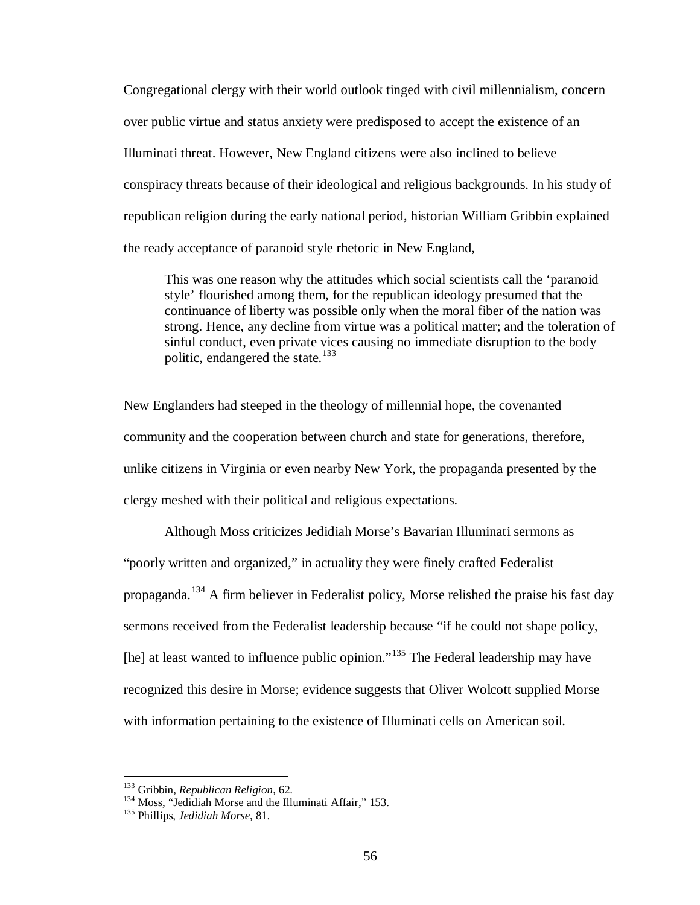Congregational clergy with their world outlook tinged with civil millennialism, concern over public virtue and status anxiety were predisposed to accept the existence of an Illuminati threat. However, New England citizens were also inclined to believe conspiracy threats because of their ideological and religious backgrounds. In his study of republican religion during the early national period, historian William Gribbin explained the ready acceptance of paranoid style rhetoric in New England,

This was one reason why the attitudes which social scientists call the 'paranoid style' flourished among them, for the republican ideology presumed that the continuance of liberty was possible only when the moral fiber of the nation was strong. Hence, any decline from virtue was a political matter; and the toleration of sinful conduct, even private vices causing no immediate disruption to the body politic, endangered the state. $133$ 

New Englanders had steeped in the theology of millennial hope, the covenanted community and the cooperation between church and state for generations, therefore, unlike citizens in Virginia or even nearby New York, the propaganda presented by the clergy meshed with their political and religious expectations.

Although Moss criticizes Jedidiah Morse's Bavarian Illuminati sermons as "poorly written and organized," in actuality they were finely crafted Federalist propaganda.<sup>[134](#page-61-1)</sup> A firm believer in Federalist policy, Morse relished the praise his fast day sermons received from the Federalist leadership because "if he could not shape policy, [he] at least wanted to influence public opinion."<sup>[135](#page-61-2)</sup> The Federal leadership may have recognized this desire in Morse; evidence suggests that Oliver Wolcott supplied Morse with information pertaining to the existence of Illuminati cells on American soil.

<span id="page-61-1"></span>

<span id="page-61-0"></span><sup>&</sup>lt;sup>133</sup> Gribbin, *Republican Religion*, 62.<br><sup>134</sup> Moss, "Jedidiah Morse and the Illuminati Affair," 153.<br><sup>135</sup> Phillips, *Jedidiah Morse*, 81.

<span id="page-61-2"></span>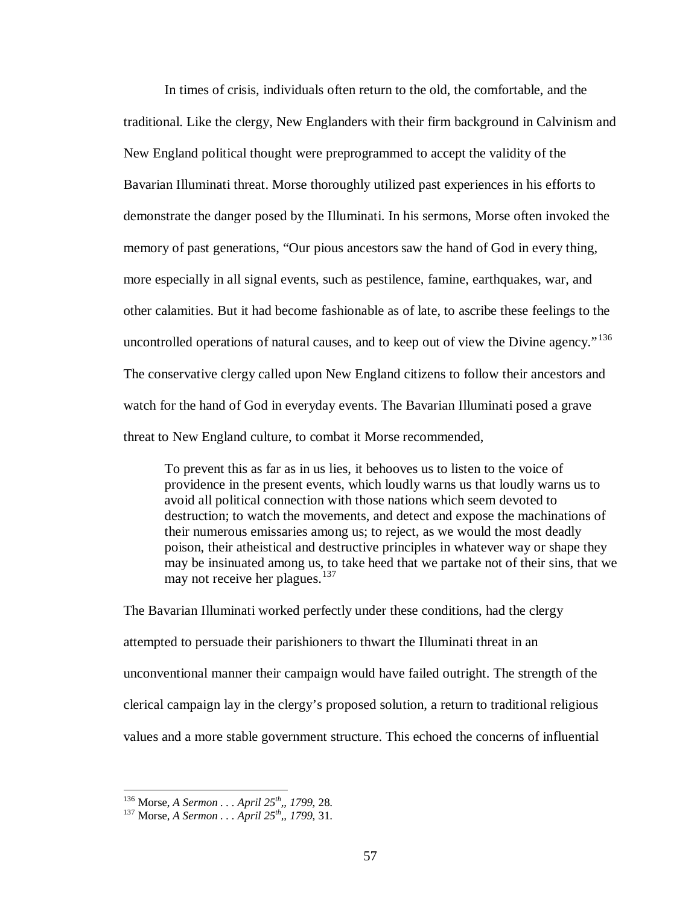In times of crisis, individuals often return to the old, the comfortable, and the traditional. Like the clergy, New Englanders with their firm background in Calvinism and New England political thought were preprogrammed to accept the validity of the Bavarian Illuminati threat. Morse thoroughly utilized past experiences in his efforts to demonstrate the danger posed by the Illuminati. In his sermons, Morse often invoked the memory of past generations, "Our pious ancestors saw the hand of God in every thing, more especially in all signal events, such as pestilence, famine, earthquakes, war, and other calamities. But it had become fashionable as of late, to ascribe these feelings to the uncontrolled operations of natural causes, and to keep out of view the Divine agency."<sup>[136](#page-62-0)</sup> The conservative clergy called upon New England citizens to follow their ancestors and watch for the hand of God in everyday events. The Bavarian Illuminati posed a grave threat to New England culture, to combat it Morse recommended,

To prevent this as far as in us lies, it behooves us to listen to the voice of providence in the present events, which loudly warns us that loudly warns us to avoid all political connection with those nations which seem devoted to destruction; to watch the movements, and detect and expose the machinations of their numerous emissaries among us; to reject, as we would the most deadly poison, their atheistical and destructive principles in whatever way or shape they may be insinuated among us, to take heed that we partake not of their sins, that we may not receive her plagues.<sup>[137](#page-62-1)</sup>

The Bavarian Illuminati worked perfectly under these conditions, had the clergy attempted to persuade their parishioners to thwart the Illuminati threat in an unconventional manner their campaign would have failed outright. The strength of the clerical campaign lay in the clergy's proposed solution, a return to traditional religious values and a more stable government structure. This echoed the concerns of influential

<span id="page-62-1"></span><span id="page-62-0"></span><sup>136</sup> Morse, *A Sermon . . . April 25th,, 1799*, 28. <sup>137</sup> Morse, *A Sermon . . . April 25th,, 1799*, 31.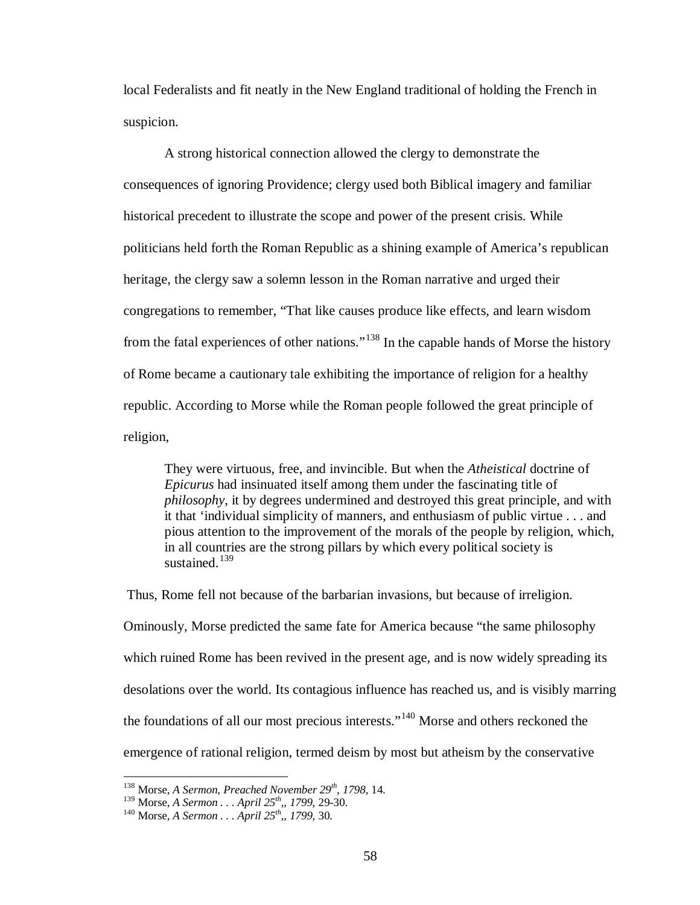local Federalists and fit neatly in the New England traditional of holding the French in suspicion.

A strong historical connection allowed the clergy to demonstrate the consequences of ignoring Providence; clergy used both Biblical imagery and familiar historical precedent to illustrate the scope and power of the present crisis. While politicians held forth the Roman Republic as a shining example of America's republican heritage, the clergy saw a solemn lesson in the Roman narrative and urged their congregations to remember, "That like causes produce like effects, and learn wisdom from the fatal experiences of other nations."<sup>[138](#page-63-0)</sup> In the capable hands of Morse the history of Rome became a cautionary tale exhibiting the importance of religion for a healthy republic. According to Morse while the Roman people followed the great principle of religion,

They were virtuous, free, and invincible. But when the *Atheistical* doctrine of *Epicurus* had insinuated itself among them under the fascinating title of *philosophy*, it by degrees undermined and destroyed this great principle, and with it that 'individual simplicity of manners, and enthusiasm of public virtue . . . and pious attention to the improvement of the morals of the people by religion, which, in all countries are the strong pillars by which every political society is sustained. $139$ 

Thus, Rome fell not because of the barbarian invasions, but because of irreligion. Ominously, Morse predicted the same fate for America because "the same philosophy which ruined Rome has been revived in the present age, and is now widely spreading its desolations over the world. Its contagious influence has reached us, and is visibly marring the foundations of all our most precious interests."[140](#page-63-2) Morse and others reckoned the emergence of rational religion, termed deism by most but atheism by the conservative

 <sup>138</sup> Morse, *A Sermon, Preached November 29th, 1798*, 14.

<span id="page-63-2"></span><span id="page-63-1"></span><span id="page-63-0"></span><sup>139</sup> Morse, *A Sermon . . . April 25th,, 1799*, 29-30. <sup>140</sup> Morse, *A Sermon . . . April 25th,, 1799*, 30.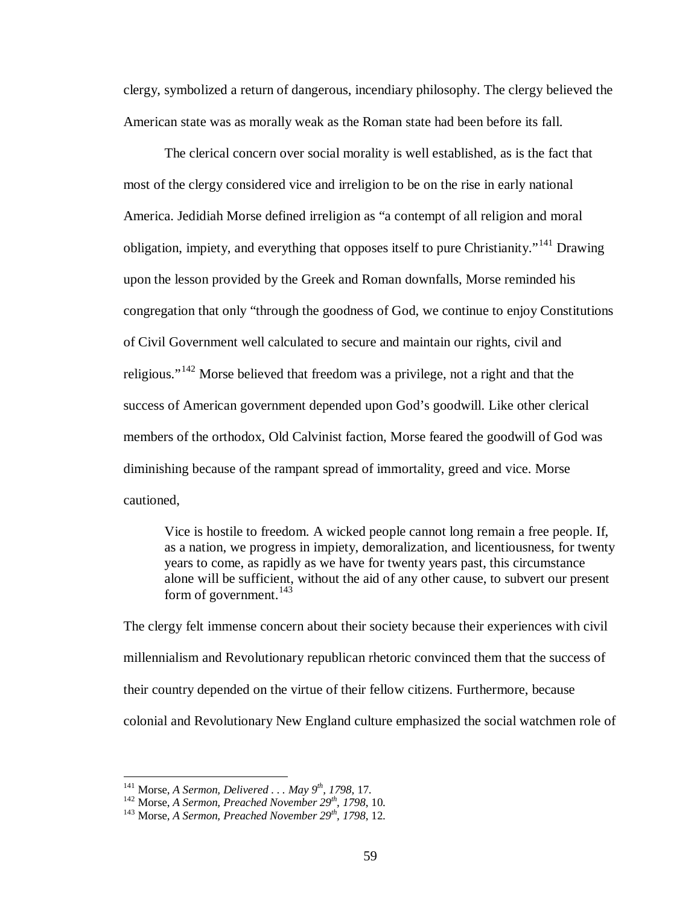clergy, symbolized a return of dangerous, incendiary philosophy. The clergy believed the American state was as morally weak as the Roman state had been before its fall.

The clerical concern over social morality is well established, as is the fact that most of the clergy considered vice and irreligion to be on the rise in early national America. Jedidiah Morse defined irreligion as "a contempt of all religion and moral obligation, impiety, and everything that opposes itself to pure Christianity."<sup>[141](#page-64-0)</sup> Drawing upon the lesson provided by the Greek and Roman downfalls, Morse reminded his congregation that only "through the goodness of God, we continue to enjoy Constitutions of Civil Government well calculated to secure and maintain our rights, civil and religious."[142](#page-64-1) Morse believed that freedom was a privilege, not a right and that the success of American government depended upon God's goodwill. Like other clerical members of the orthodox, Old Calvinist faction, Morse feared the goodwill of God was diminishing because of the rampant spread of immortality, greed and vice. Morse cautioned,

Vice is hostile to freedom. A wicked people cannot long remain a free people. If, as a nation, we progress in impiety, demoralization, and licentiousness, for twenty years to come, as rapidly as we have for twenty years past, this circumstance alone will be sufficient, without the aid of any other cause, to subvert our present form of government. $^{143}$  $^{143}$  $^{143}$ 

The clergy felt immense concern about their society because their experiences with civil millennialism and Revolutionary republican rhetoric convinced them that the success of their country depended on the virtue of their fellow citizens. Furthermore, because colonial and Revolutionary New England culture emphasized the social watchmen role of

<span id="page-64-2"></span>

<span id="page-64-1"></span><span id="page-64-0"></span><sup>&</sup>lt;sup>141</sup> Morse, *A Sermon, Delivered . . . May 9<sup>th</sup>, 1798*, 17.<br><sup>142</sup> Morse, *A Sermon, Preached November 29<sup>th</sup>, 1798*, 10.<br><sup>143</sup> Morse, *A Sermon, Preached November 29<sup>th</sup>, 1798*, 12.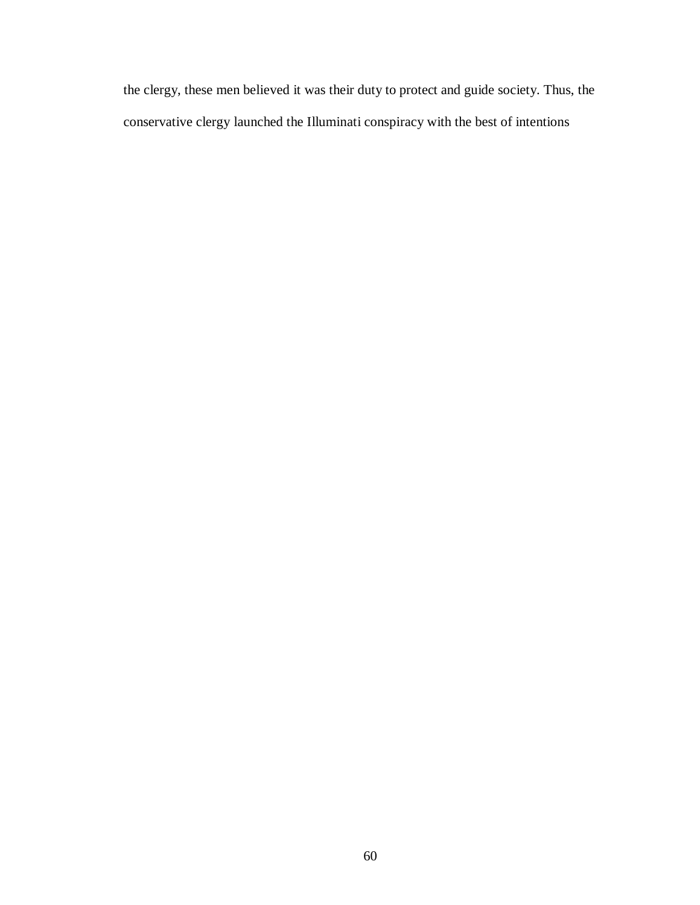the clergy, these men believed it was their duty to protect and guide society. Thus, the conservative clergy launched the Illuminati conspiracy with the best of intentions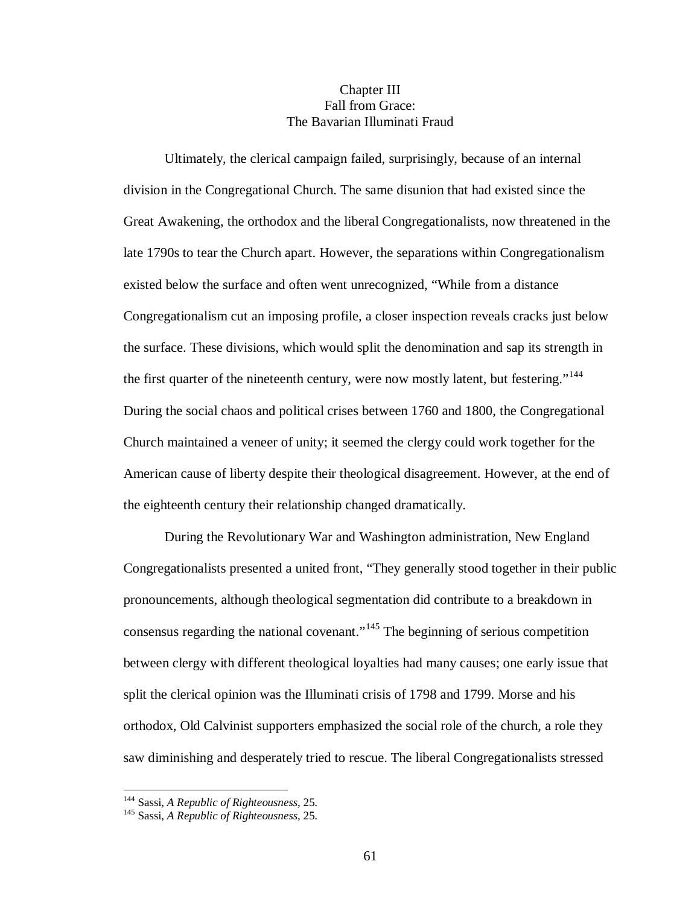## Chapter III Fall from Grace: The Bavarian Illuminati Fraud

Ultimately, the clerical campaign failed, surprisingly, because of an internal division in the Congregational Church. The same disunion that had existed since the Great Awakening, the orthodox and the liberal Congregationalists, now threatened in the late 1790s to tear the Church apart. However, the separations within Congregationalism existed below the surface and often went unrecognized, "While from a distance Congregationalism cut an imposing profile, a closer inspection reveals cracks just below the surface. These divisions, which would split the denomination and sap its strength in the first quarter of the nineteenth century, were now mostly latent, but festering."<sup>[144](#page-66-0)</sup> During the social chaos and political crises between 1760 and 1800, the Congregational Church maintained a veneer of unity; it seemed the clergy could work together for the American cause of liberty despite their theological disagreement. However, at the end of the eighteenth century their relationship changed dramatically.

During the Revolutionary War and Washington administration, New England Congregationalists presented a united front, "They generally stood together in their public pronouncements, although theological segmentation did contribute to a breakdown in consensus regarding the national covenant."[145](#page-66-1) The beginning of serious competition between clergy with different theological loyalties had many causes; one early issue that split the clerical opinion was the Illuminati crisis of 1798 and 1799. Morse and his orthodox, Old Calvinist supporters emphasized the social role of the church, a role they saw diminishing and desperately tried to rescue. The liberal Congregationalists stressed

<span id="page-66-1"></span><span id="page-66-0"></span><sup>144</sup> Sassi, *A Republic of Righteousness*, 25. <sup>145</sup> Sassi, *A Republic of Righteousness*, 25.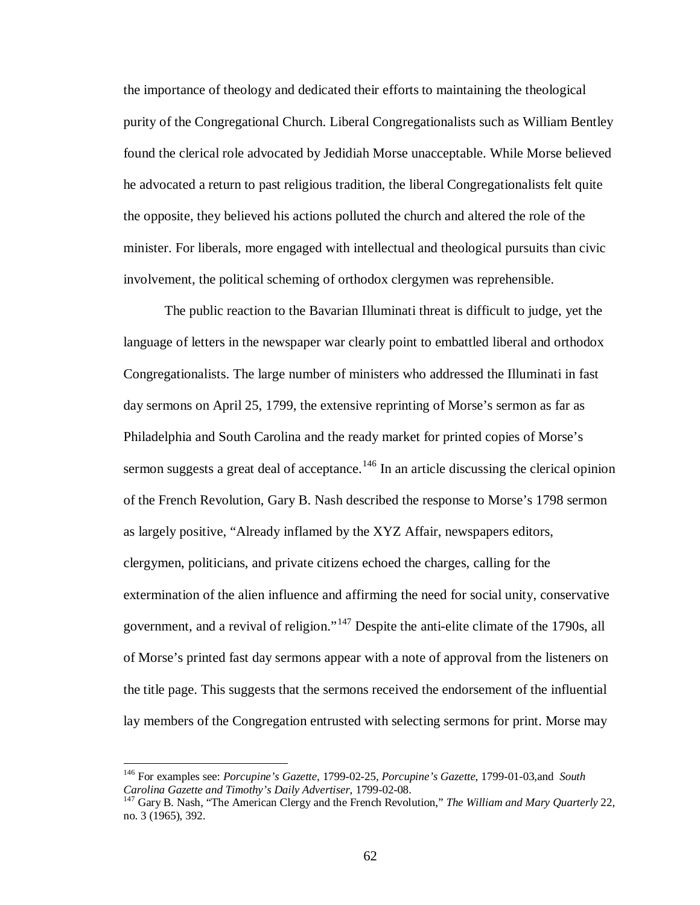the importance of theology and dedicated their efforts to maintaining the theological purity of the Congregational Church. Liberal Congregationalists such as William Bentley found the clerical role advocated by Jedidiah Morse unacceptable. While Morse believed he advocated a return to past religious tradition, the liberal Congregationalists felt quite the opposite, they believed his actions polluted the church and altered the role of the minister. For liberals, more engaged with intellectual and theological pursuits than civic involvement, the political scheming of orthodox clergymen was reprehensible.

The public reaction to the Bavarian Illuminati threat is difficult to judge, yet the language of letters in the newspaper war clearly point to embattled liberal and orthodox Congregationalists. The large number of ministers who addressed the Illuminati in fast day sermons on April 25, 1799, the extensive reprinting of Morse's sermon as far as Philadelphia and South Carolina and the ready market for printed copies of Morse's sermon suggests a great deal of acceptance.<sup>[146](#page-67-0)</sup> In an article discussing the clerical opinion of the French Revolution, Gary B. Nash described the response to Morse's 1798 sermon as largely positive, "Already inflamed by the XYZ Affair, newspapers editors, clergymen, politicians, and private citizens echoed the charges, calling for the extermination of the alien influence and affirming the need for social unity, conservative government, and a revival of religion."<sup>[147](#page-67-1)</sup> Despite the anti-elite climate of the 1790s, all of Morse's printed fast day sermons appear with a note of approval from the listeners on the title page. This suggests that the sermons received the endorsement of the influential lay members of the Congregation entrusted with selecting sermons for print. Morse may

<span id="page-67-0"></span> <sup>146</sup> For examples see: *Porcupine's Gazette*, 1799-02-25, *Porcupine's Gazette*, 1799-01-03,and *South* 

<span id="page-67-1"></span>*Carolina Gazette and Timothy's Daily Advertiser*, 1799-02-08. 147 Gary B. Nash, "The American Clergy and the French Revolution," *The William and Mary Quarterly* 22, no. 3 (1965), 392.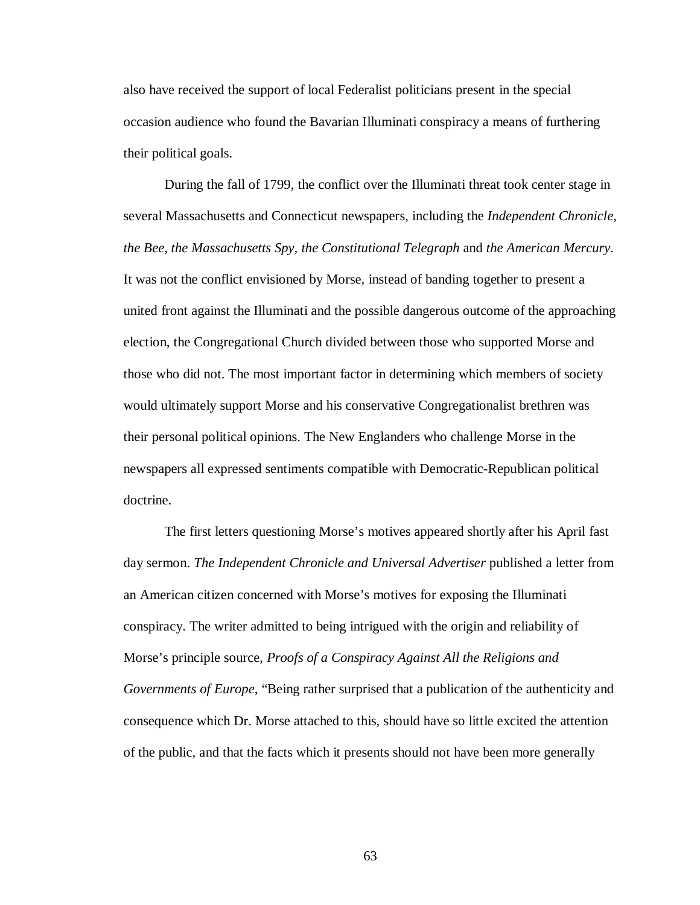also have received the support of local Federalist politicians present in the special occasion audience who found the Bavarian Illuminati conspiracy a means of furthering their political goals.

During the fall of 1799, the conflict over the Illuminati threat took center stage in several Massachusetts and Connecticut newspapers, including the *Independent Chronicle, the Bee, the Massachusetts Spy, the Constitutional Telegraph* and *the American Mercury*. It was not the conflict envisioned by Morse, instead of banding together to present a united front against the Illuminati and the possible dangerous outcome of the approaching election, the Congregational Church divided between those who supported Morse and those who did not. The most important factor in determining which members of society would ultimately support Morse and his conservative Congregationalist brethren was their personal political opinions. The New Englanders who challenge Morse in the newspapers all expressed sentiments compatible with Democratic-Republican political doctrine.

The first letters questioning Morse's motives appeared shortly after his April fast day sermon. *The Independent Chronicle and Universal Advertiser* published a letter from an American citizen concerned with Morse's motives for exposing the Illuminati conspiracy. The writer admitted to being intrigued with the origin and reliability of Morse's principle source, *Proofs of a Conspiracy Against All the Religions and Governments of Europe*, "Being rather surprised that a publication of the authenticity and consequence which Dr. Morse attached to this, should have so little excited the attention of the public, and that the facts which it presents should not have been more generally

63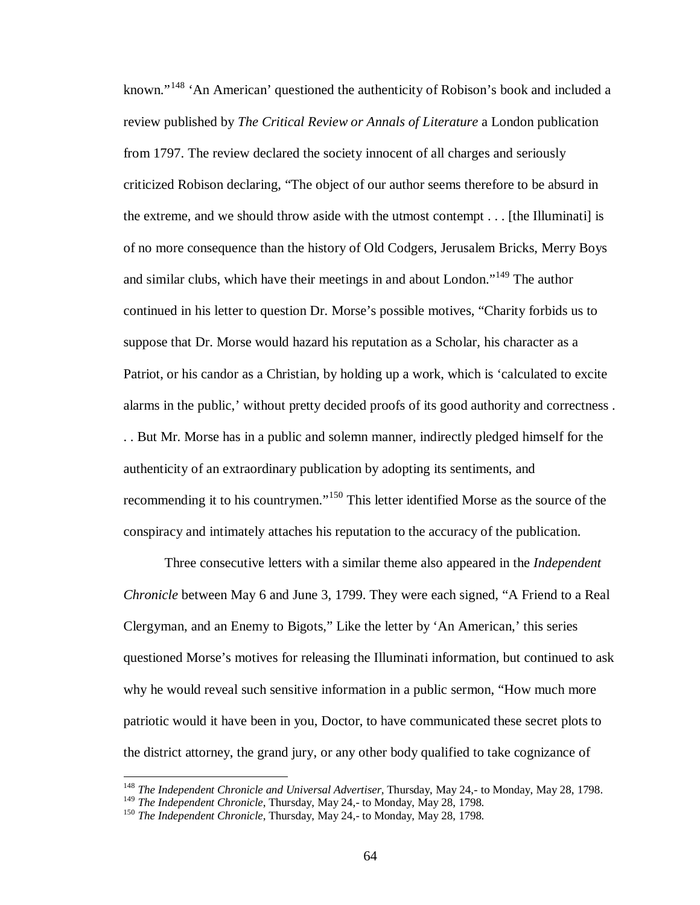known."[148](#page-69-0) 'An American' questioned the authenticity of Robison's book and included a review published by *The Critical Review or Annals of Literature* a London publication from 1797. The review declared the society innocent of all charges and seriously criticized Robison declaring, "The object of our author seems therefore to be absurd in the extreme, and we should throw aside with the utmost contempt . . . [the Illuminati] is of no more consequence than the history of Old Codgers, Jerusalem Bricks, Merry Boys and similar clubs, which have their meetings in and about London."[149](#page-69-1) The author continued in his letter to question Dr. Morse's possible motives, "Charity forbids us to suppose that Dr. Morse would hazard his reputation as a Scholar, his character as a Patriot, or his candor as a Christian, by holding up a work, which is 'calculated to excite alarms in the public,' without pretty decided proofs of its good authority and correctness . . . But Mr. Morse has in a public and solemn manner, indirectly pledged himself for the authenticity of an extraordinary publication by adopting its sentiments, and recommending it to his countrymen."[150](#page-69-2) This letter identified Morse as the source of the conspiracy and intimately attaches his reputation to the accuracy of the publication.

Three consecutive letters with a similar theme also appeared in the *Independent Chronicle* between May 6 and June 3, 1799. They were each signed, "A Friend to a Real Clergyman, and an Enemy to Bigots," Like the letter by 'An American,' this series questioned Morse's motives for releasing the Illuminati information, but continued to ask why he would reveal such sensitive information in a public sermon, "How much more patriotic would it have been in you, Doctor, to have communicated these secret plots to the district attorney, the grand jury, or any other body qualified to take cognizance of

<span id="page-69-0"></span><sup>&</sup>lt;sup>148</sup> *The Independent Chronicle and Universal Advertiser*, Thursday, May 24,- to Monday, May 28, 1798.<br><sup>149</sup> *The Independent Chronicle*, Thursday, May 24,- to Monday, May 28, 1798.

<span id="page-69-2"></span><span id="page-69-1"></span><sup>&</sup>lt;sup>150</sup> *The Independent Chronicle*, Thursday, May 24,- to Monday, May 28, 1798.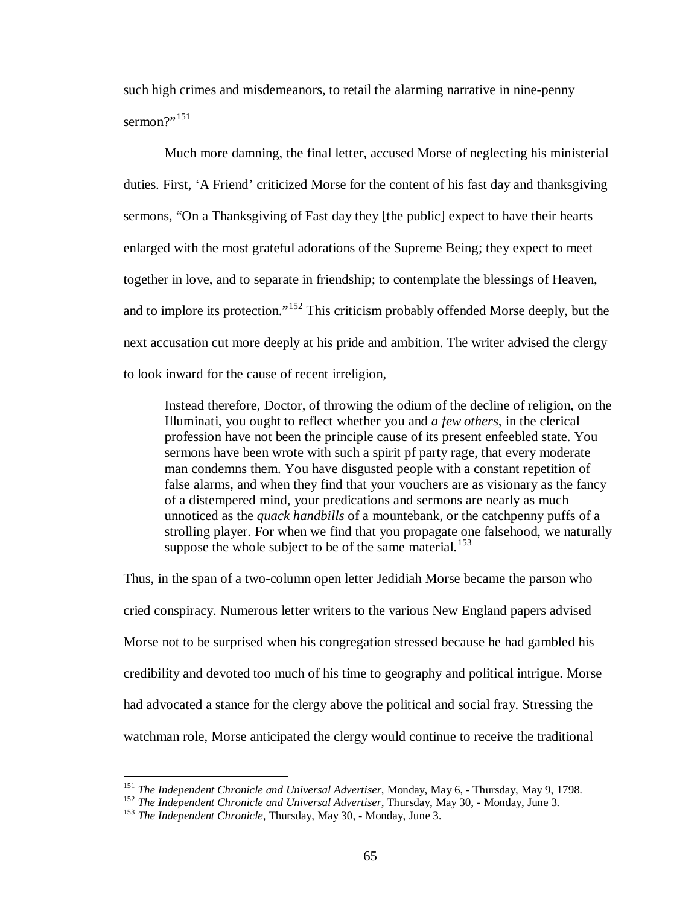such high crimes and misdemeanors, to retail the alarming narrative in nine-penny sermon?" $151$ 

Much more damning, the final letter, accused Morse of neglecting his ministerial duties. First, 'A Friend' criticized Morse for the content of his fast day and thanksgiving sermons, "On a Thanksgiving of Fast day they [the public] expect to have their hearts enlarged with the most grateful adorations of the Supreme Being; they expect to meet together in love, and to separate in friendship; to contemplate the blessings of Heaven, and to implore its protection."<sup>[152](#page-70-1)</sup> This criticism probably offended Morse deeply, but the next accusation cut more deeply at his pride and ambition. The writer advised the clergy to look inward for the cause of recent irreligion,

Instead therefore, Doctor, of throwing the odium of the decline of religion, on the Illuminati, you ought to reflect whether you and *a few others*, in the clerical profession have not been the principle cause of its present enfeebled state. You sermons have been wrote with such a spirit pf party rage, that every moderate man condemns them. You have disgusted people with a constant repetition of false alarms, and when they find that your vouchers are as visionary as the fancy of a distempered mind, your predications and sermons are nearly as much unnoticed as the *quack handbills* of a mountebank, or the catchpenny puffs of a strolling player. For when we find that you propagate one falsehood, we naturally suppose the whole subject to be of the same material.<sup>[153](#page-70-2)</sup>

Thus, in the span of a two-column open letter Jedidiah Morse became the parson who cried conspiracy. Numerous letter writers to the various New England papers advised Morse not to be surprised when his congregation stressed because he had gambled his credibility and devoted too much of his time to geography and political intrigue. Morse had advocated a stance for the clergy above the political and social fray. Stressing the watchman role, Morse anticipated the clergy would continue to receive the traditional

<span id="page-70-0"></span><sup>&</sup>lt;sup>151</sup> The Independent Chronicle and Universal Advertiser, Monday, May 6, - Thursday, May 9, 1798.<br><sup>152</sup> The Independent Chronicle and Universal Advertiser, Thursday, May 30, - Monday, June 3.<br><sup>153</sup> The Independent Chronic

<span id="page-70-1"></span>

<span id="page-70-2"></span>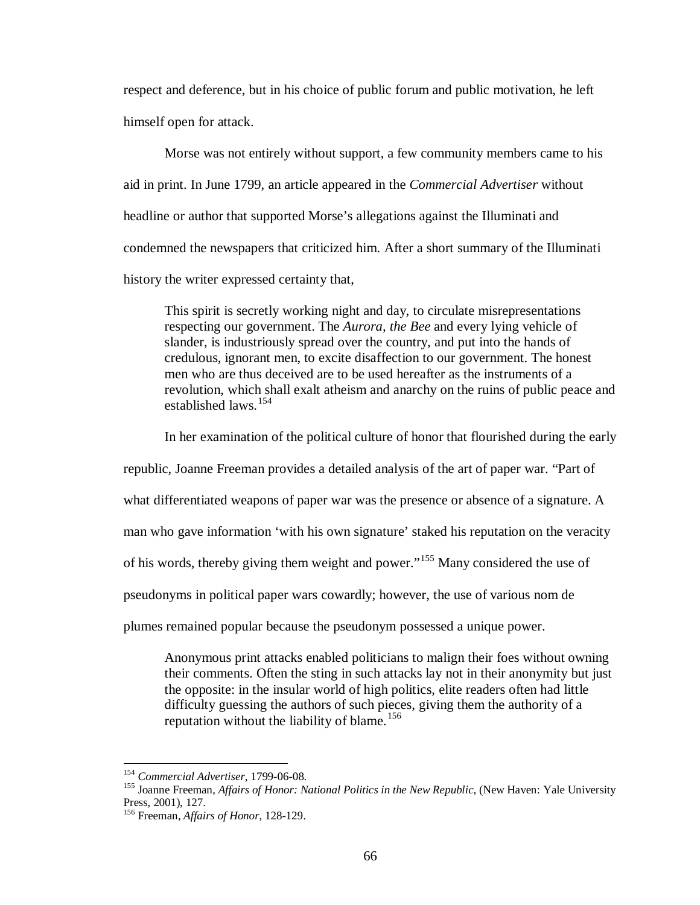respect and deference, but in his choice of public forum and public motivation, he left himself open for attack.

Morse was not entirely without support, a few community members came to his aid in print. In June 1799, an article appeared in the *Commercial Advertiser* without headline or author that supported Morse's allegations against the Illuminati and condemned the newspapers that criticized him. After a short summary of the Illuminati history the writer expressed certainty that,

This spirit is secretly working night and day, to circulate misrepresentations respecting our government. The *Aurora, the Bee* and every lying vehicle of slander, is industriously spread over the country, and put into the hands of credulous, ignorant men, to excite disaffection to our government. The honest men who are thus deceived are to be used hereafter as the instruments of a revolution, which shall exalt atheism and anarchy on the ruins of public peace and established laws.[154](#page-71-0)

In her examination of the political culture of honor that flourished during the early

republic, Joanne Freeman provides a detailed analysis of the art of paper war. "Part of

what differentiated weapons of paper war was the presence or absence of a signature. A

man who gave information 'with his own signature' staked his reputation on the veracity

of his words, thereby giving them weight and power."[155](#page-71-1) Many considered the use of

pseudonyms in political paper wars cowardly; however, the use of various nom de

plumes remained popular because the pseudonym possessed a unique power.

Anonymous print attacks enabled politicians to malign their foes without owning their comments. Often the sting in such attacks lay not in their anonymity but just the opposite: in the insular world of high politics, elite readers often had little difficulty guessing the authors of such pieces, giving them the authority of a reputation without the liability of blame.<sup>[156](#page-71-2)</sup>

<span id="page-71-1"></span><span id="page-71-0"></span><sup>&</sup>lt;sup>154</sup> *Commercial Advertiser*, 1799-06-08.<br><sup>155</sup> Joanne Freeman, *Affairs of Honor: National Politics in the New Republic*, (New Haven: Yale University Press, 2001), 127.

<span id="page-71-2"></span><sup>156</sup> Freeman, *Affairs of Honor*, 128-129.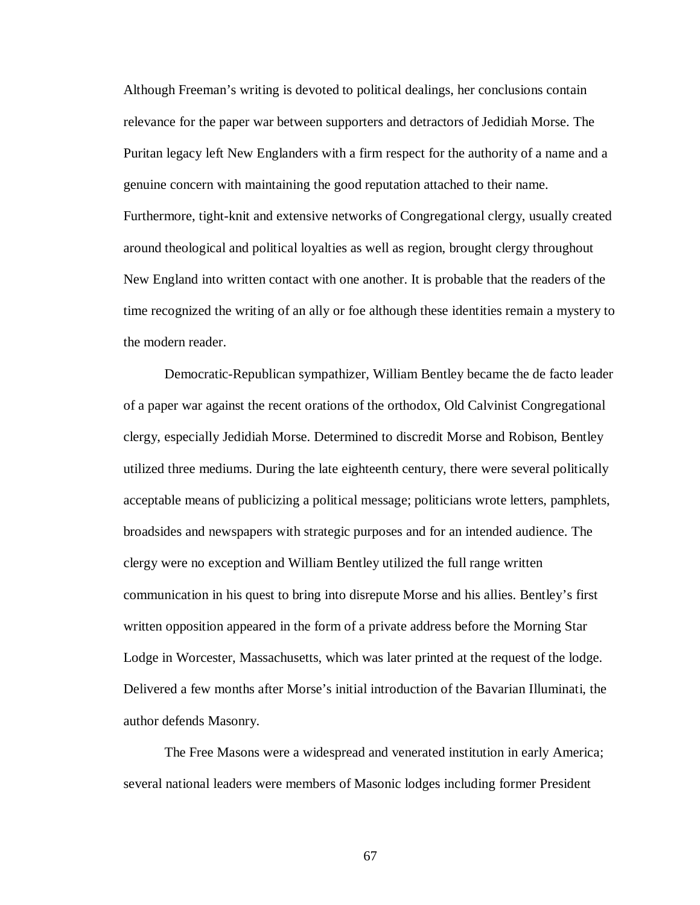Although Freeman's writing is devoted to political dealings, her conclusions contain relevance for the paper war between supporters and detractors of Jedidiah Morse. The Puritan legacy left New Englanders with a firm respect for the authority of a name and a genuine concern with maintaining the good reputation attached to their name. Furthermore, tight-knit and extensive networks of Congregational clergy, usually created around theological and political loyalties as well as region, brought clergy throughout New England into written contact with one another. It is probable that the readers of the time recognized the writing of an ally or foe although these identities remain a mystery to the modern reader.

Democratic-Republican sympathizer, William Bentley became the de facto leader of a paper war against the recent orations of the orthodox, Old Calvinist Congregational clergy, especially Jedidiah Morse. Determined to discredit Morse and Robison, Bentley utilized three mediums. During the late eighteenth century, there were several politically acceptable means of publicizing a political message; politicians wrote letters, pamphlets, broadsides and newspapers with strategic purposes and for an intended audience. The clergy were no exception and William Bentley utilized the full range written communication in his quest to bring into disrepute Morse and his allies. Bentley's first written opposition appeared in the form of a private address before the Morning Star Lodge in Worcester, Massachusetts, which was later printed at the request of the lodge. Delivered a few months after Morse's initial introduction of the Bavarian Illuminati, the author defends Masonry.

The Free Masons were a widespread and venerated institution in early America; several national leaders were members of Masonic lodges including former President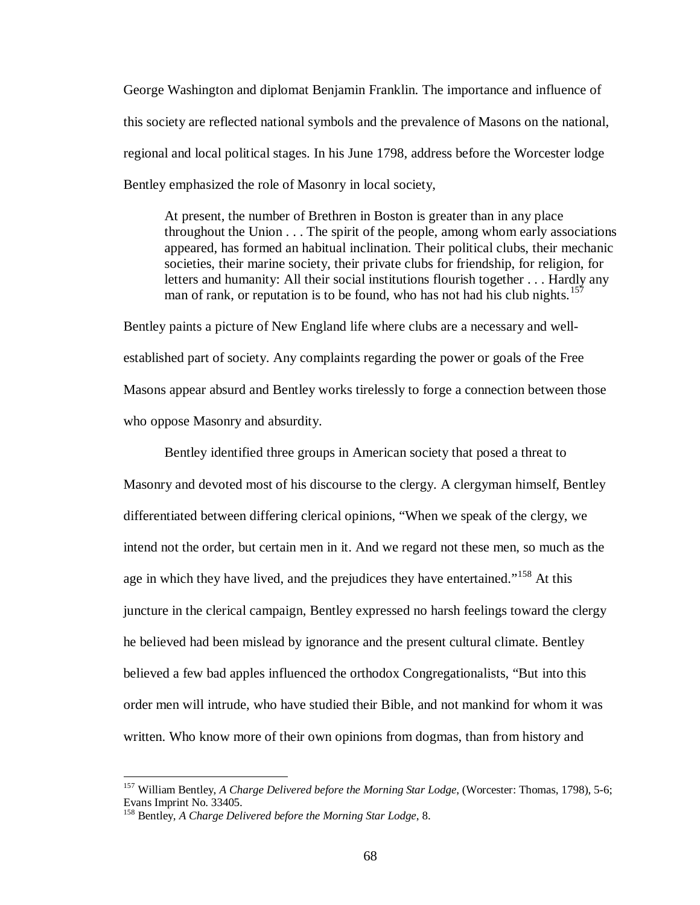George Washington and diplomat Benjamin Franklin. The importance and influence of this society are reflected national symbols and the prevalence of Masons on the national, regional and local political stages. In his June 1798, address before the Worcester lodge Bentley emphasized the role of Masonry in local society,

At present, the number of Brethren in Boston is greater than in any place throughout the Union . . . The spirit of the people, among whom early associations appeared, has formed an habitual inclination. Their political clubs, their mechanic societies, their marine society, their private clubs for friendship, for religion, for letters and humanity: All their social institutions flourish together . . . Hardly any man of rank, or reputation is to be found, who has not had his club nights.<sup>[157](#page-73-0)</sup>

Bentley paints a picture of New England life where clubs are a necessary and wellestablished part of society. Any complaints regarding the power or goals of the Free Masons appear absurd and Bentley works tirelessly to forge a connection between those who oppose Masonry and absurdity.

Bentley identified three groups in American society that posed a threat to Masonry and devoted most of his discourse to the clergy. A clergyman himself, Bentley differentiated between differing clerical opinions, "When we speak of the clergy, we intend not the order, but certain men in it. And we regard not these men, so much as the age in which they have lived, and the prejudices they have entertained."<sup>[158](#page-73-1)</sup> At this juncture in the clerical campaign, Bentley expressed no harsh feelings toward the clergy he believed had been mislead by ignorance and the present cultural climate. Bentley believed a few bad apples influenced the orthodox Congregationalists, "But into this order men will intrude, who have studied their Bible, and not mankind for whom it was written. Who know more of their own opinions from dogmas, than from history and

<span id="page-73-0"></span> <sup>157</sup> William Bentley, *A Charge Delivered before the Morning Star Lodge*, (Worcester: Thomas, 1798), 5-6; Evans Imprint No. 33405.

<span id="page-73-1"></span><sup>158</sup> Bentley, *A Charge Delivered before the Morning Star Lodge*, 8.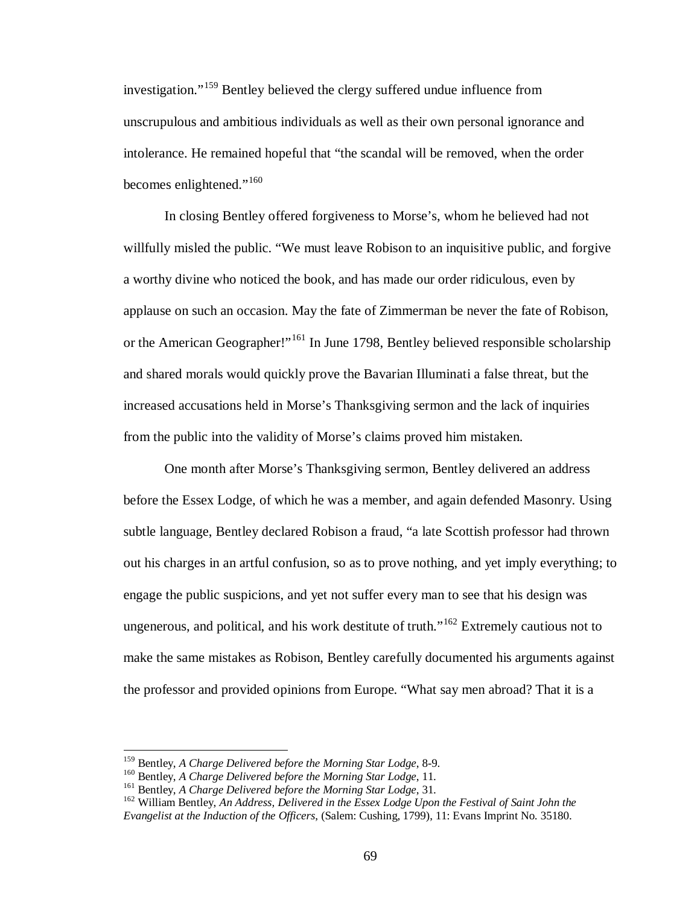investigation."<sup>[159](#page-74-0)</sup> Bentley believed the clergy suffered undue influence from unscrupulous and ambitious individuals as well as their own personal ignorance and intolerance. He remained hopeful that "the scandal will be removed, when the order becomes enlightened."<sup>[160](#page-74-1)</sup>

In closing Bentley offered forgiveness to Morse's, whom he believed had not willfully misled the public. "We must leave Robison to an inquisitive public, and forgive a worthy divine who noticed the book, and has made our order ridiculous, even by applause on such an occasion. May the fate of Zimmerman be never the fate of Robison, or the American Geographer!"<sup>[161](#page-74-2)</sup> In June 1798, Bentley believed responsible scholarship and shared morals would quickly prove the Bavarian Illuminati a false threat, but the increased accusations held in Morse's Thanksgiving sermon and the lack of inquiries from the public into the validity of Morse's claims proved him mistaken.

One month after Morse's Thanksgiving sermon, Bentley delivered an address before the Essex Lodge, of which he was a member, and again defended Masonry. Using subtle language, Bentley declared Robison a fraud, "a late Scottish professor had thrown out his charges in an artful confusion, so as to prove nothing, and yet imply everything; to engage the public suspicions, and yet not suffer every man to see that his design was ungenerous, and political, and his work destitute of truth."<sup>[162](#page-74-3)</sup> Extremely cautious not to make the same mistakes as Robison, Bentley carefully documented his arguments against the professor and provided opinions from Europe. "What say men abroad? That it is a

<span id="page-74-2"></span><span id="page-74-1"></span>

<span id="page-74-3"></span>

<span id="page-74-0"></span><sup>&</sup>lt;sup>159</sup> Bentley, *A Charge Delivered before the Morning Star Lodge*, 8-9.<br><sup>160</sup> Bentley, *A Charge Delivered before the Morning Star Lodge*, 11.<br><sup>161</sup> Bentley, *A Charge Delivered before the Morning Star Lodge*, 31.<br><sup>162</sup> W *Evangelist at the Induction of the Officers*, (Salem: Cushing, 1799), 11: Evans Imprint No. 35180.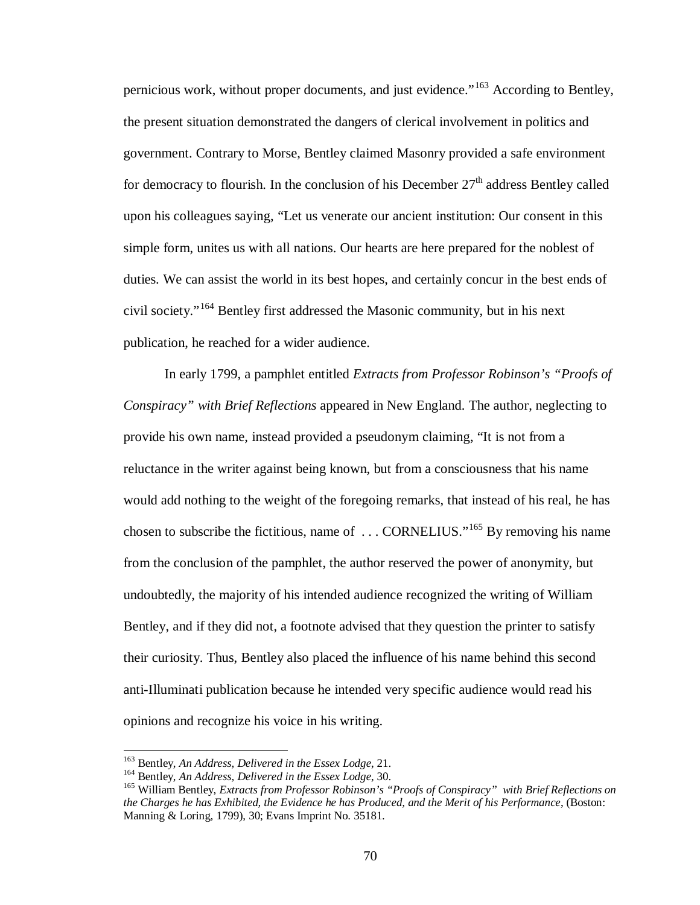pernicious work, without proper documents, and just evidence."<sup>[163](#page-75-0)</sup> According to Bentley, the present situation demonstrated the dangers of clerical involvement in politics and government. Contrary to Morse, Bentley claimed Masonry provided a safe environment for democracy to flourish. In the conclusion of his December  $27<sup>th</sup>$  address Bentley called upon his colleagues saying, "Let us venerate our ancient institution: Our consent in this simple form, unites us with all nations. Our hearts are here prepared for the noblest of duties. We can assist the world in its best hopes, and certainly concur in the best ends of civil society."[164](#page-75-1) Bentley first addressed the Masonic community, but in his next publication, he reached for a wider audience.

In early 1799, a pamphlet entitled *Extracts from Professor Robinson's "Proofs of Conspiracy" with Brief Reflections* appeared in New England. The author, neglecting to provide his own name, instead provided a pseudonym claiming, "It is not from a reluctance in the writer against being known, but from a consciousness that his name would add nothing to the weight of the foregoing remarks, that instead of his real, he has chosen to subscribe the fictitious, name of  $\ldots$  CORNELIUS."<sup>[165](#page-75-2)</sup> By removing his name from the conclusion of the pamphlet, the author reserved the power of anonymity, but undoubtedly, the majority of his intended audience recognized the writing of William Bentley, and if they did not, a footnote advised that they question the printer to satisfy their curiosity. Thus, Bentley also placed the influence of his name behind this second anti-Illuminati publication because he intended very specific audience would read his opinions and recognize his voice in his writing.

<span id="page-75-2"></span><span id="page-75-1"></span>

<span id="page-75-0"></span><sup>&</sup>lt;sup>163</sup> Bentley, An Address, Delivered in the Essex Lodge, 21.<br><sup>164</sup> Bentley, An Address, Delivered in the Essex Lodge, 30.<br><sup>165</sup> William Bentley, Extracts from Professor Robinson's "Proofs of Conspiracy" with Brief Reflecti *the Charges he has Exhibited, the Evidence he has Produced, and the Merit of his Performance*, (Boston: Manning & Loring, 1799), 30; Evans Imprint No. 35181.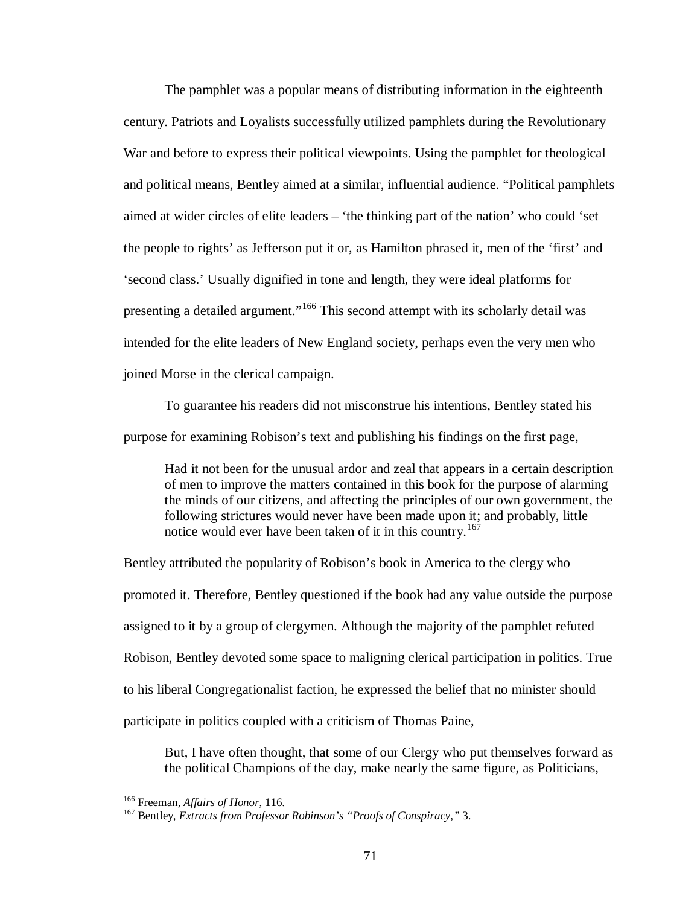The pamphlet was a popular means of distributing information in the eighteenth century. Patriots and Loyalists successfully utilized pamphlets during the Revolutionary War and before to express their political viewpoints. Using the pamphlet for theological and political means, Bentley aimed at a similar, influential audience. "Political pamphlets aimed at wider circles of elite leaders – 'the thinking part of the nation' who could 'set the people to rights' as Jefferson put it or, as Hamilton phrased it, men of the 'first' and 'second class.' Usually dignified in tone and length, they were ideal platforms for presenting a detailed argument."[166](#page-76-0) This second attempt with its scholarly detail was intended for the elite leaders of New England society, perhaps even the very men who joined Morse in the clerical campaign.

To guarantee his readers did not misconstrue his intentions, Bentley stated his purpose for examining Robison's text and publishing his findings on the first page,

Had it not been for the unusual ardor and zeal that appears in a certain description of men to improve the matters contained in this book for the purpose of alarming the minds of our citizens, and affecting the principles of our own government, the following strictures would never have been made upon it; and probably, little notice would ever have been taken of it in this country.[167](#page-76-1)

Bentley attributed the popularity of Robison's book in America to the clergy who promoted it. Therefore, Bentley questioned if the book had any value outside the purpose assigned to it by a group of clergymen. Although the majority of the pamphlet refuted Robison, Bentley devoted some space to maligning clerical participation in politics. True to his liberal Congregationalist faction, he expressed the belief that no minister should participate in politics coupled with a criticism of Thomas Paine,

But, I have often thought, that some of our Clergy who put themselves forward as the political Champions of the day, make nearly the same figure, as Politicians,

<span id="page-76-1"></span><span id="page-76-0"></span>

<sup>&</sup>lt;sup>166</sup> Freeman, *Affairs of Honor*, 116.<br><sup>167</sup> Bentley, *Extracts from Professor Robinson's "Proofs of Conspiracy,"* 3.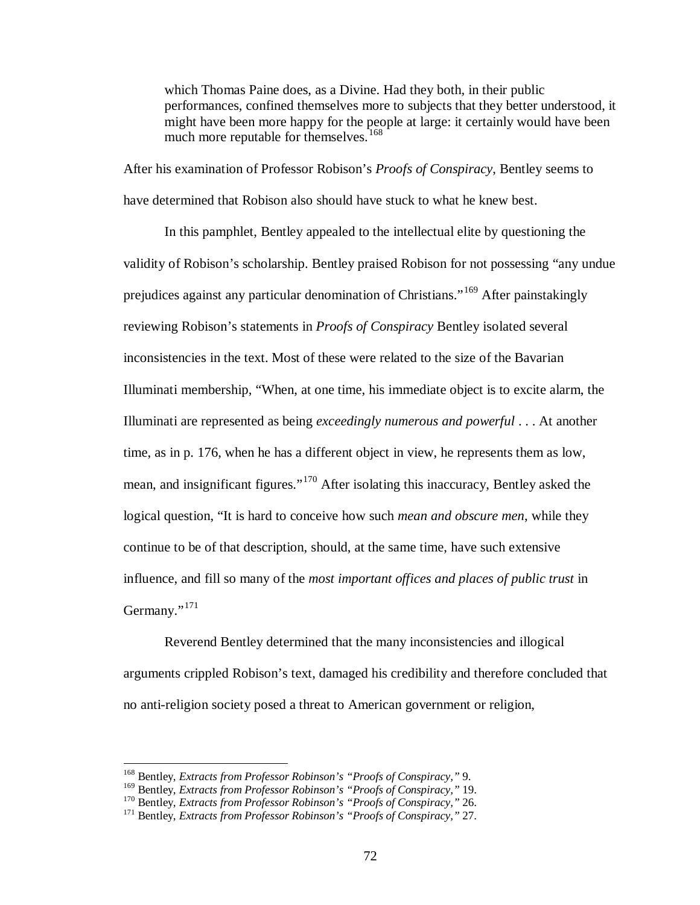which Thomas Paine does, as a Divine. Had they both, in their public performances, confined themselves more to subjects that they better understood, it might have been more happy for the people at large: it certainly would have been much more reputable for themselves.<sup>[168](#page-77-0)</sup>

After his examination of Professor Robison's *Proofs of Conspiracy*, Bentley seems to have determined that Robison also should have stuck to what he knew best.

In this pamphlet, Bentley appealed to the intellectual elite by questioning the validity of Robison's scholarship. Bentley praised Robison for not possessing "any undue prejudices against any particular denomination of Christians."[169](#page-77-1) After painstakingly reviewing Robison's statements in *Proofs of Conspiracy* Bentley isolated several inconsistencies in the text. Most of these were related to the size of the Bavarian Illuminati membership, "When, at one time, his immediate object is to excite alarm, the Illuminati are represented as being *exceedingly numerous and powerful* . . . At another time, as in p. 176, when he has a different object in view, he represents them as low, mean, and insignificant figures."[170](#page-77-2) After isolating this inaccuracy, Bentley asked the logical question, "It is hard to conceive how such *mean and obscure men*, while they continue to be of that description, should, at the same time, have such extensive influence, and fill so many of the *most important offices and places of public trust* in Germany."<sup>[171](#page-77-3)</sup>

Reverend Bentley determined that the many inconsistencies and illogical arguments crippled Robison's text, damaged his credibility and therefore concluded that no anti-religion society posed a threat to American government or religion,

<span id="page-77-0"></span><sup>&</sup>lt;sup>168</sup> Bentley, *Extracts from Professor Robinson's "Proofs of Conspiracy*," 9.<br><sup>169</sup> Bentley, *Extracts from Professor Robinson's "Proofs of Conspiracy*," 19.

<span id="page-77-3"></span><span id="page-77-2"></span><span id="page-77-1"></span><sup>&</sup>lt;sup>170</sup> Bentley, *Extracts from Professor Robinson's "Proofs of Conspiracy*," 26.<br><sup>171</sup> Bentley, *Extracts from Professor Robinson's "Proofs of Conspiracy*," 27.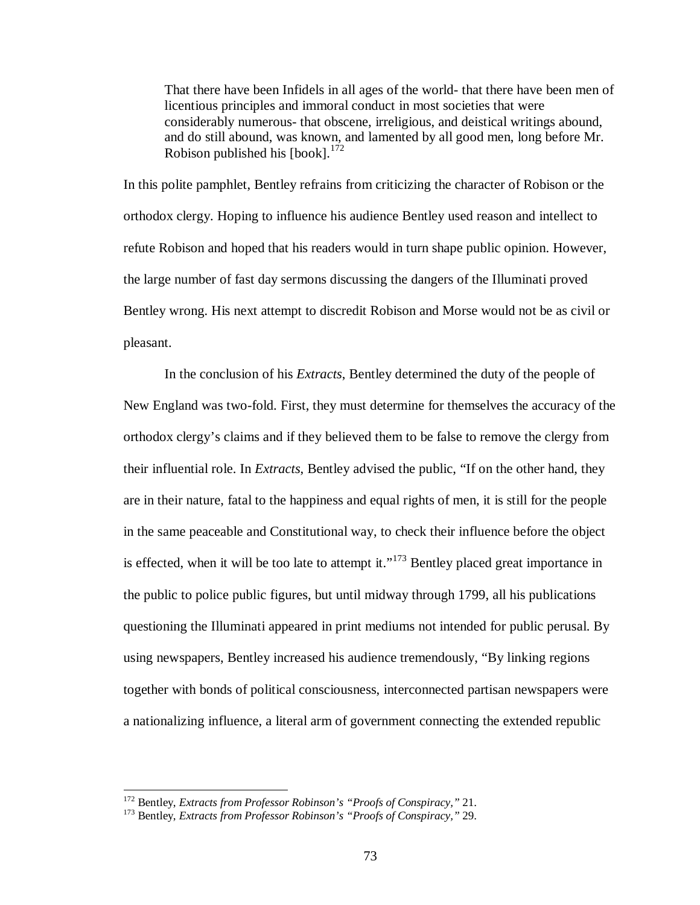That there have been Infidels in all ages of the world- that there have been men of licentious principles and immoral conduct in most societies that were considerably numerous- that obscene, irreligious, and deistical writings abound, and do still abound, was known, and lamented by all good men, long before Mr. Robison published his  $[book].$ <sup>[172](#page-78-0)</sup>

In this polite pamphlet, Bentley refrains from criticizing the character of Robison or the orthodox clergy. Hoping to influence his audience Bentley used reason and intellect to refute Robison and hoped that his readers would in turn shape public opinion. However, the large number of fast day sermons discussing the dangers of the Illuminati proved Bentley wrong. His next attempt to discredit Robison and Morse would not be as civil or pleasant.

In the conclusion of his *Extracts*, Bentley determined the duty of the people of New England was two-fold. First, they must determine for themselves the accuracy of the orthodox clergy's claims and if they believed them to be false to remove the clergy from their influential role. In *Extracts*, Bentley advised the public, "If on the other hand, they are in their nature, fatal to the happiness and equal rights of men, it is still for the people in the same peaceable and Constitutional way, to check their influence before the object is effected, when it will be too late to attempt it."<sup>[173](#page-78-1)</sup> Bentley placed great importance in the public to police public figures, but until midway through 1799, all his publications questioning the Illuminati appeared in print mediums not intended for public perusal. By using newspapers, Bentley increased his audience tremendously, "By linking regions together with bonds of political consciousness, interconnected partisan newspapers were a nationalizing influence, a literal arm of government connecting the extended republic

<span id="page-78-1"></span><span id="page-78-0"></span><sup>172</sup> Bentley, *Extracts from Professor Robinson's "Proofs of Conspiracy,"* 21. <sup>173</sup> Bentley, *Extracts from Professor Robinson's "Proofs of Conspiracy,"* 29.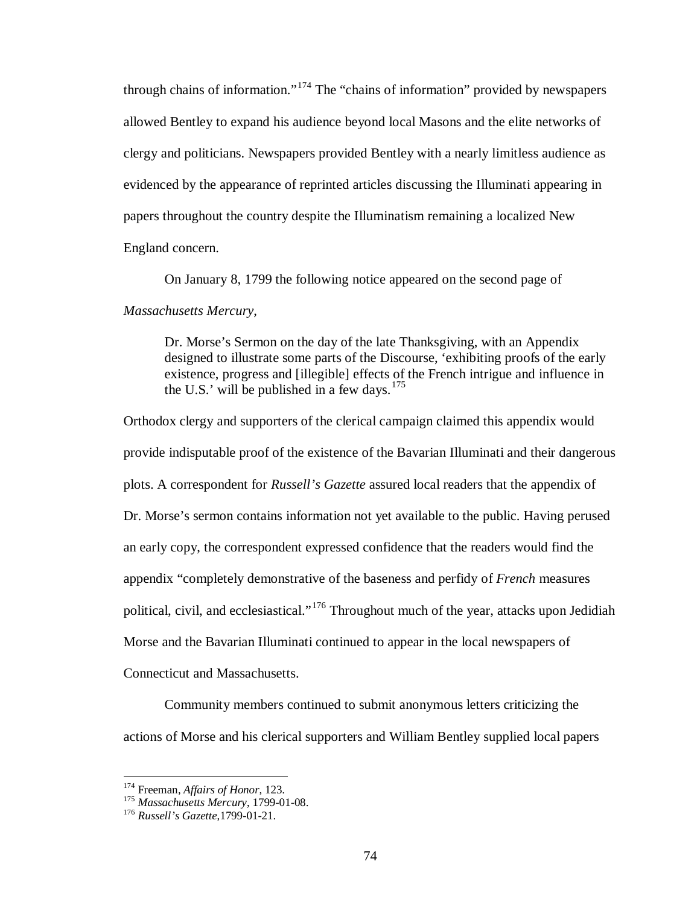through chains of information."[174](#page-79-0) The "chains of information" provided by newspapers allowed Bentley to expand his audience beyond local Masons and the elite networks of clergy and politicians. Newspapers provided Bentley with a nearly limitless audience as evidenced by the appearance of reprinted articles discussing the Illuminati appearing in papers throughout the country despite the Illuminatism remaining a localized New England concern.

On January 8, 1799 the following notice appeared on the second page of *Massachusetts Mercury*,

Dr. Morse's Sermon on the day of the late Thanksgiving, with an Appendix designed to illustrate some parts of the Discourse, 'exhibiting proofs of the early existence, progress and [illegible] effects of the French intrigue and influence in the U.S.' will be published in a few days. $175$ 

Orthodox clergy and supporters of the clerical campaign claimed this appendix would provide indisputable proof of the existence of the Bavarian Illuminati and their dangerous plots. A correspondent for *Russell's Gazette* assured local readers that the appendix of Dr. Morse's sermon contains information not yet available to the public. Having perused an early copy, the correspondent expressed confidence that the readers would find the appendix "completely demonstrative of the baseness and perfidy of *French* measures political, civil, and ecclesiastical."<sup>[176](#page-79-2)</sup> Throughout much of the year, attacks upon Jedidiah Morse and the Bavarian Illuminati continued to appear in the local newspapers of Connecticut and Massachusetts.

Community members continued to submit anonymous letters criticizing the actions of Morse and his clerical supporters and William Bentley supplied local papers

<span id="page-79-1"></span>

<span id="page-79-0"></span><sup>174</sup> Freeman, *Affairs of Honor*, 123. <sup>175</sup> *Massachusetts Mercury*, 1799-01-08. <sup>176</sup> *Russell's Gazette*,1799-01-21.

<span id="page-79-2"></span>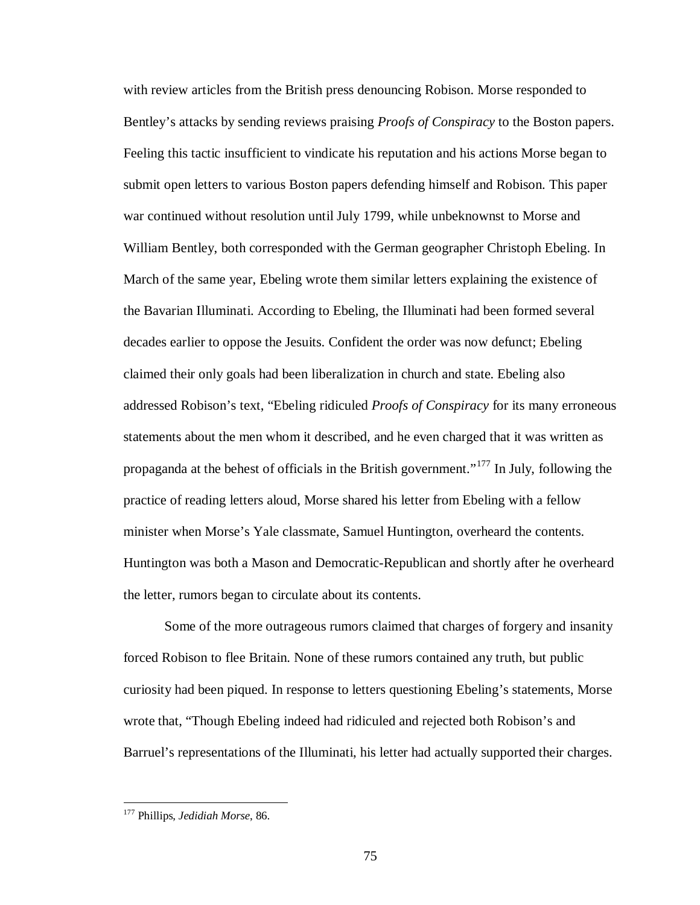with review articles from the British press denouncing Robison. Morse responded to Bentley's attacks by sending reviews praising *Proofs of Conspiracy* to the Boston papers. Feeling this tactic insufficient to vindicate his reputation and his actions Morse began to submit open letters to various Boston papers defending himself and Robison. This paper war continued without resolution until July 1799, while unbeknownst to Morse and William Bentley, both corresponded with the German geographer Christoph Ebeling. In March of the same year, Ebeling wrote them similar letters explaining the existence of the Bavarian Illuminati. According to Ebeling, the Illuminati had been formed several decades earlier to oppose the Jesuits. Confident the order was now defunct; Ebeling claimed their only goals had been liberalization in church and state. Ebeling also addressed Robison's text, "Ebeling ridiculed *Proofs of Conspiracy* for its many erroneous statements about the men whom it described, and he even charged that it was written as propaganda at the behest of officials in the British government."[177](#page-80-0) In July, following the practice of reading letters aloud, Morse shared his letter from Ebeling with a fellow minister when Morse's Yale classmate, Samuel Huntington, overheard the contents. Huntington was both a Mason and Democratic-Republican and shortly after he overheard the letter, rumors began to circulate about its contents.

Some of the more outrageous rumors claimed that charges of forgery and insanity forced Robison to flee Britain. None of these rumors contained any truth, but public curiosity had been piqued. In response to letters questioning Ebeling's statements, Morse wrote that, "Though Ebeling indeed had ridiculed and rejected both Robison's and Barruel's representations of the Illuminati, his letter had actually supported their charges.

<span id="page-80-0"></span> <sup>177</sup> Phillips, *Jedidiah Morse*, 86.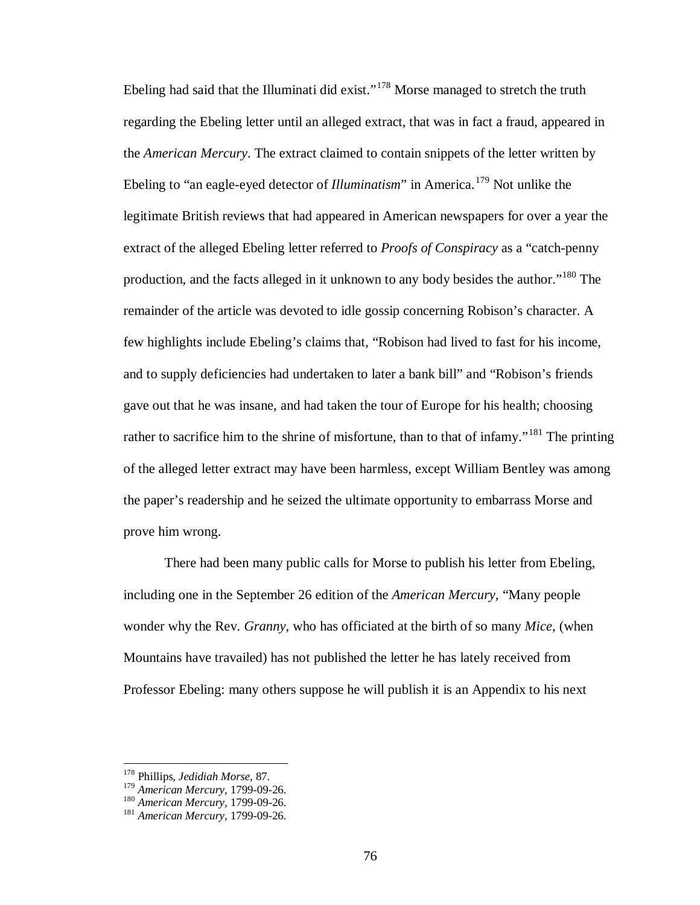Ebeling had said that the Illuminati did exist."<sup>[178](#page-81-0)</sup> Morse managed to stretch the truth regarding the Ebeling letter until an alleged extract, that was in fact a fraud, appeared in the *American Mercury*. The extract claimed to contain snippets of the letter written by Ebeling to "an eagle-eyed detector of *Illuminatism*" in America.<sup>[179](#page-81-1)</sup> Not unlike the legitimate British reviews that had appeared in American newspapers for over a year the extract of the alleged Ebeling letter referred to *Proofs of Conspiracy* as a "catch-penny production, and the facts alleged in it unknown to any body besides the author."[180](#page-81-2) The remainder of the article was devoted to idle gossip concerning Robison's character. A few highlights include Ebeling's claims that, "Robison had lived to fast for his income, and to supply deficiencies had undertaken to later a bank bill" and "Robison's friends gave out that he was insane, and had taken the tour of Europe for his health; choosing rather to sacrifice him to the shrine of misfortune, than to that of infamy."<sup>[181](#page-81-3)</sup> The printing of the alleged letter extract may have been harmless, except William Bentley was among the paper's readership and he seized the ultimate opportunity to embarrass Morse and prove him wrong.

There had been many public calls for Morse to publish his letter from Ebeling, including one in the September 26 edition of the *American Mercury*, "Many people wonder why the Rev. *Granny*, who has officiated at the birth of so many *Mice*, (when Mountains have travailed) has not published the letter he has lately received from Professor Ebeling: many others suppose he will publish it is an Appendix to his next

<span id="page-81-1"></span><span id="page-81-0"></span><sup>&</sup>lt;sup>178</sup> Phillips, *Jedidiah Morse*, 87.<br><sup>179</sup> American Mercury, 1799-09-26.

<span id="page-81-2"></span><sup>179</sup> *American Mercury,* 1799-09-26. <sup>180</sup> *American Mercury,* 1799-09-26. <sup>181</sup> *American Mercury,* 1799-09-26.

<span id="page-81-3"></span>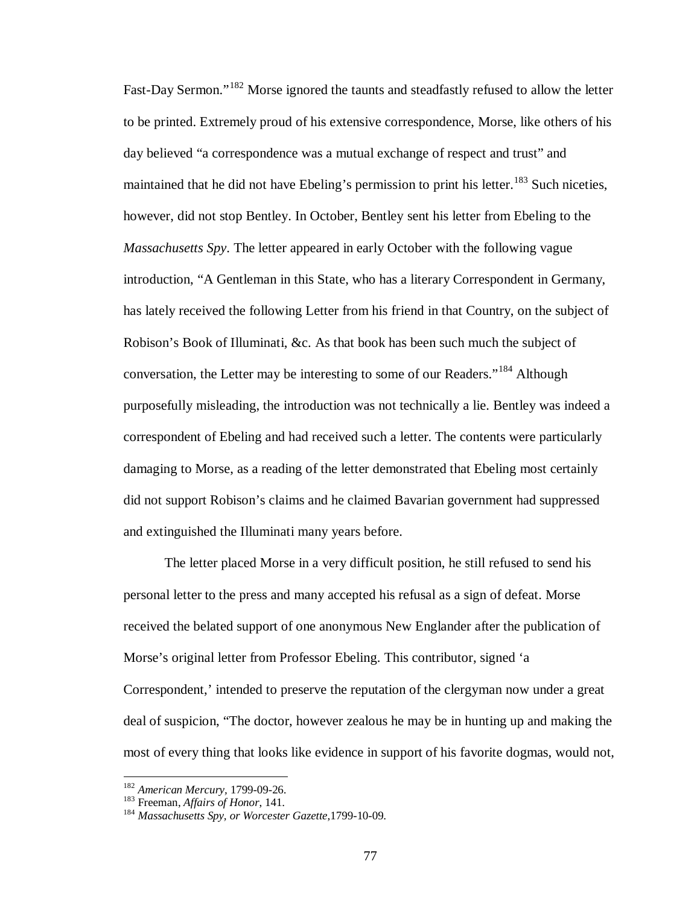Fast-Day Sermon."<sup>[182](#page-82-0)</sup> Morse ignored the taunts and steadfastly refused to allow the letter to be printed. Extremely proud of his extensive correspondence, Morse, like others of his day believed "a correspondence was a mutual exchange of respect and trust" and maintained that he did not have Ebeling's permission to print his letter.<sup>[183](#page-82-1)</sup> Such niceties, however, did not stop Bentley. In October, Bentley sent his letter from Ebeling to the *Massachusetts Spy*. The letter appeared in early October with the following vague introduction, "A Gentleman in this State, who has a literary Correspondent in Germany, has lately received the following Letter from his friend in that Country, on the subject of Robison's Book of Illuminati, &c. As that book has been such much the subject of conversation, the Letter may be interesting to some of our Readers."[184](#page-82-2) Although purposefully misleading, the introduction was not technically a lie. Bentley was indeed a correspondent of Ebeling and had received such a letter. The contents were particularly damaging to Morse, as a reading of the letter demonstrated that Ebeling most certainly did not support Robison's claims and he claimed Bavarian government had suppressed and extinguished the Illuminati many years before.

The letter placed Morse in a very difficult position, he still refused to send his personal letter to the press and many accepted his refusal as a sign of defeat. Morse received the belated support of one anonymous New Englander after the publication of Morse's original letter from Professor Ebeling. This contributor, signed 'a Correspondent,' intended to preserve the reputation of the clergyman now under a great deal of suspicion, "The doctor, however zealous he may be in hunting up and making the most of every thing that looks like evidence in support of his favorite dogmas, would not,

<span id="page-82-2"></span>

<span id="page-82-1"></span><span id="page-82-0"></span><sup>182</sup> *American Mercury,* 1799-09-26. <sup>183</sup> Freeman, *Affairs of Honor*, 141. <sup>184</sup> *Massachusetts Spy, or Worcester Gazette*,1799-10-09.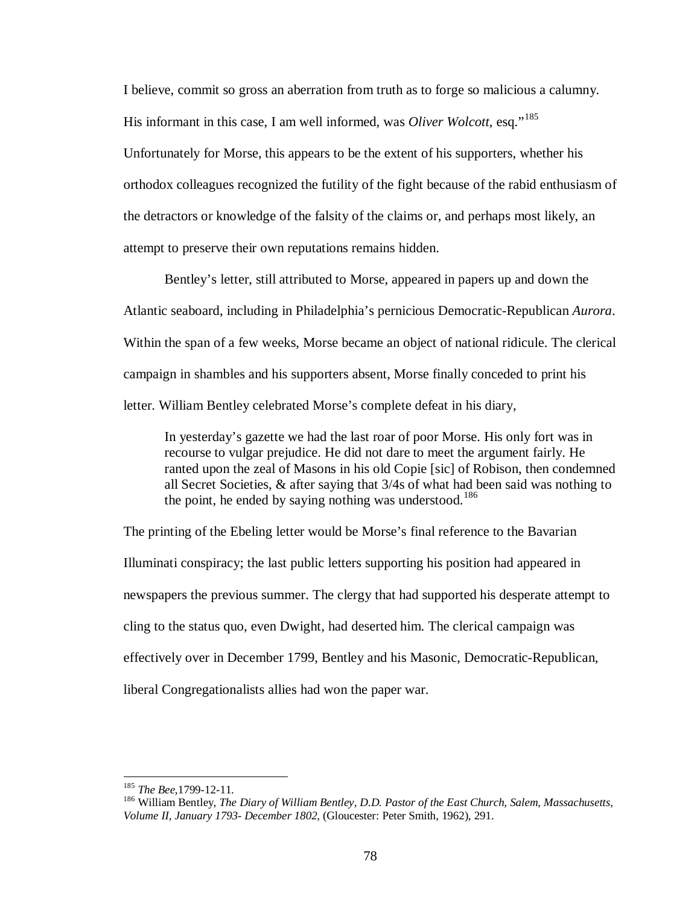I believe, commit so gross an aberration from truth as to forge so malicious a calumny. His informant in this case, I am well informed, was *Oliver Wolcott*, esq."<sup>[185](#page-83-0)</sup> Unfortunately for Morse, this appears to be the extent of his supporters, whether his orthodox colleagues recognized the futility of the fight because of the rabid enthusiasm of the detractors or knowledge of the falsity of the claims or, and perhaps most likely, an attempt to preserve their own reputations remains hidden.

Bentley's letter, still attributed to Morse, appeared in papers up and down the Atlantic seaboard, including in Philadelphia's pernicious Democratic-Republican *Aurora*. Within the span of a few weeks, Morse became an object of national ridicule. The clerical campaign in shambles and his supporters absent, Morse finally conceded to print his letter. William Bentley celebrated Morse's complete defeat in his diary,

In yesterday's gazette we had the last roar of poor Morse. His only fort was in recourse to vulgar prejudice. He did not dare to meet the argument fairly. He ranted upon the zeal of Masons in his old Copie [sic] of Robison, then condemned all Secret Societies, & after saying that 3/4s of what had been said was nothing to the point, he ended by saying nothing was understood.<sup>[186](#page-83-1)</sup>

The printing of the Ebeling letter would be Morse's final reference to the Bavarian Illuminati conspiracy; the last public letters supporting his position had appeared in newspapers the previous summer. The clergy that had supported his desperate attempt to cling to the status quo, even Dwight, had deserted him. The clerical campaign was effectively over in December 1799, Bentley and his Masonic, Democratic-Republican, liberal Congregationalists allies had won the paper war.

<span id="page-83-1"></span>

<span id="page-83-0"></span><sup>&</sup>lt;sup>185</sup> *The Bee*,1799-12-11.<br><sup>186</sup> William Bentley, *The Diary of William Bentley, D.D. Pastor of the East Church, Salem, Massachusetts, Volume II, January 1793- December 1802*, (Gloucester: Peter Smith, 1962), 291.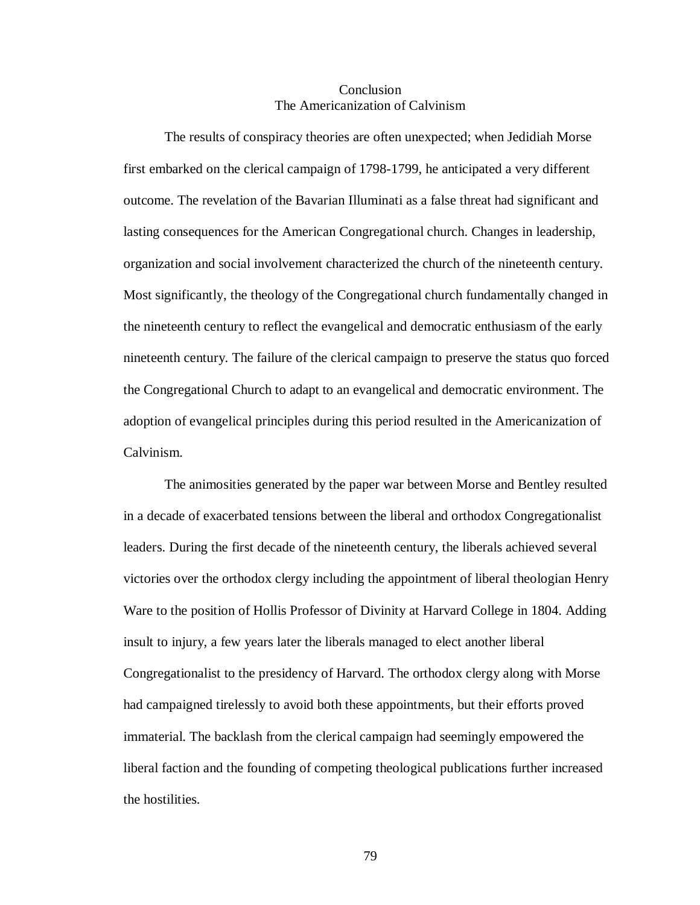## Conclusion The Americanization of Calvinism

The results of conspiracy theories are often unexpected; when Jedidiah Morse first embarked on the clerical campaign of 1798-1799, he anticipated a very different outcome. The revelation of the Bavarian Illuminati as a false threat had significant and lasting consequences for the American Congregational church. Changes in leadership, organization and social involvement characterized the church of the nineteenth century. Most significantly, the theology of the Congregational church fundamentally changed in the nineteenth century to reflect the evangelical and democratic enthusiasm of the early nineteenth century. The failure of the clerical campaign to preserve the status quo forced the Congregational Church to adapt to an evangelical and democratic environment. The adoption of evangelical principles during this period resulted in the Americanization of Calvinism.

The animosities generated by the paper war between Morse and Bentley resulted in a decade of exacerbated tensions between the liberal and orthodox Congregationalist leaders. During the first decade of the nineteenth century, the liberals achieved several victories over the orthodox clergy including the appointment of liberal theologian Henry Ware to the position of Hollis Professor of Divinity at Harvard College in 1804. Adding insult to injury, a few years later the liberals managed to elect another liberal Congregationalist to the presidency of Harvard. The orthodox clergy along with Morse had campaigned tirelessly to avoid both these appointments, but their efforts proved immaterial. The backlash from the clerical campaign had seemingly empowered the liberal faction and the founding of competing theological publications further increased the hostilities.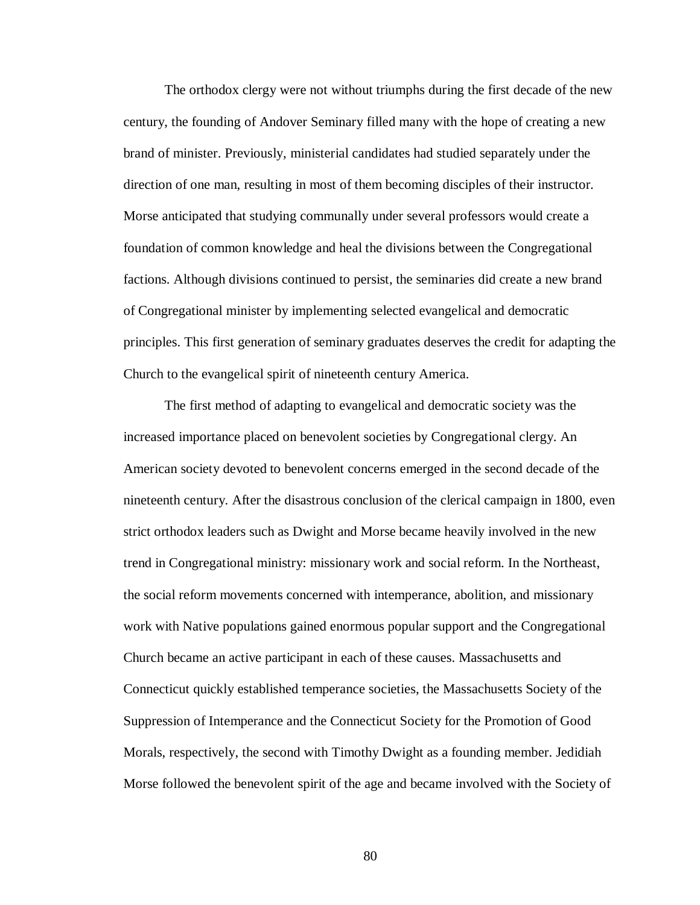The orthodox clergy were not without triumphs during the first decade of the new century, the founding of Andover Seminary filled many with the hope of creating a new brand of minister. Previously, ministerial candidates had studied separately under the direction of one man, resulting in most of them becoming disciples of their instructor. Morse anticipated that studying communally under several professors would create a foundation of common knowledge and heal the divisions between the Congregational factions. Although divisions continued to persist, the seminaries did create a new brand of Congregational minister by implementing selected evangelical and democratic principles. This first generation of seminary graduates deserves the credit for adapting the Church to the evangelical spirit of nineteenth century America.

The first method of adapting to evangelical and democratic society was the increased importance placed on benevolent societies by Congregational clergy. An American society devoted to benevolent concerns emerged in the second decade of the nineteenth century. After the disastrous conclusion of the clerical campaign in 1800, even strict orthodox leaders such as Dwight and Morse became heavily involved in the new trend in Congregational ministry: missionary work and social reform. In the Northeast, the social reform movements concerned with intemperance, abolition, and missionary work with Native populations gained enormous popular support and the Congregational Church became an active participant in each of these causes. Massachusetts and Connecticut quickly established temperance societies, the Massachusetts Society of the Suppression of Intemperance and the Connecticut Society for the Promotion of Good Morals, respectively, the second with Timothy Dwight as a founding member. Jedidiah Morse followed the benevolent spirit of the age and became involved with the Society of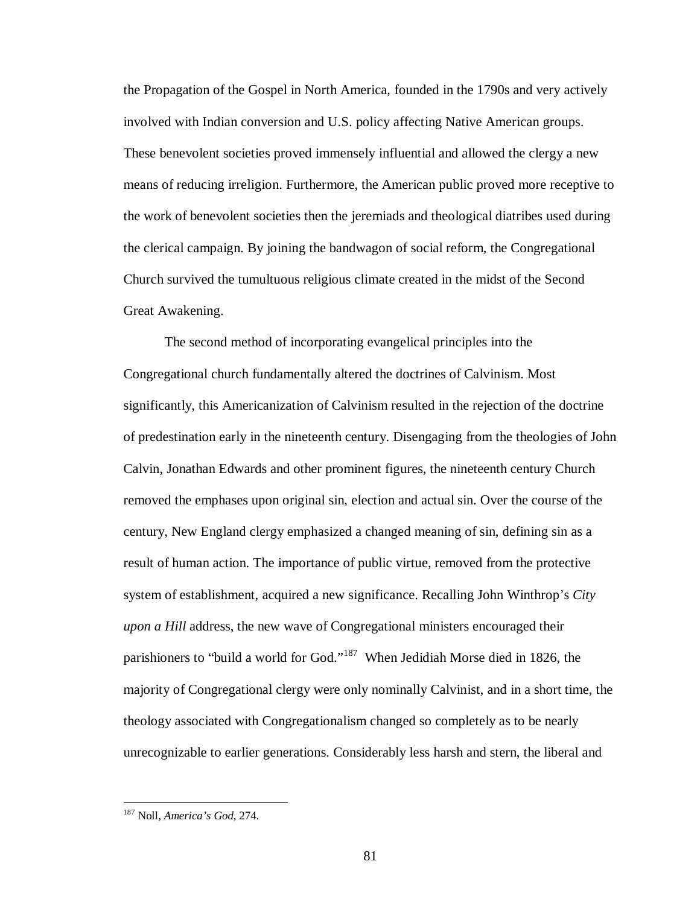the Propagation of the Gospel in North America, founded in the 1790s and very actively involved with Indian conversion and U.S. policy affecting Native American groups. These benevolent societies proved immensely influential and allowed the clergy a new means of reducing irreligion. Furthermore, the American public proved more receptive to the work of benevolent societies then the jeremiads and theological diatribes used during the clerical campaign. By joining the bandwagon of social reform, the Congregational Church survived the tumultuous religious climate created in the midst of the Second Great Awakening.

The second method of incorporating evangelical principles into the Congregational church fundamentally altered the doctrines of Calvinism. Most significantly, this Americanization of Calvinism resulted in the rejection of the doctrine of predestination early in the nineteenth century. Disengaging from the theologies of John Calvin, Jonathan Edwards and other prominent figures, the nineteenth century Church removed the emphases upon original sin, election and actual sin. Over the course of the century, New England clergy emphasized a changed meaning of sin, defining sin as a result of human action. The importance of public virtue, removed from the protective system of establishment, acquired a new significance. Recalling John Winthrop's *City upon a Hill* address, the new wave of Congregational ministers encouraged their parishioners to "build a world for God."[187](#page-86-0) When Jedidiah Morse died in 1826, the majority of Congregational clergy were only nominally Calvinist, and in a short time, the theology associated with Congregationalism changed so completely as to be nearly unrecognizable to earlier generations. Considerably less harsh and stern, the liberal and

<span id="page-86-0"></span> <sup>187</sup> Noll, *America's God*, 274.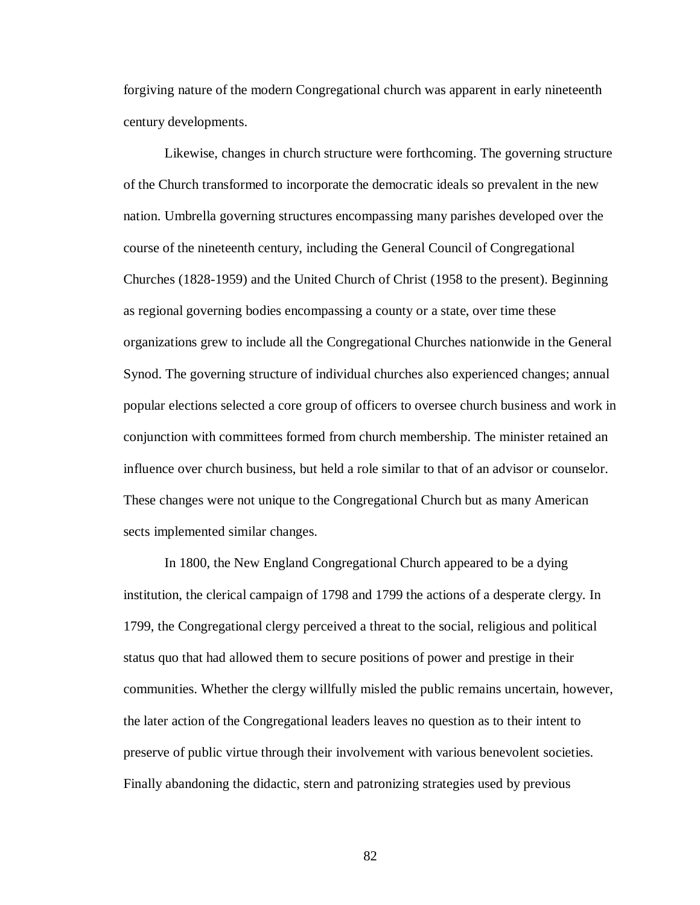forgiving nature of the modern Congregational church was apparent in early nineteenth century developments.

Likewise, changes in church structure were forthcoming. The governing structure of the Church transformed to incorporate the democratic ideals so prevalent in the new nation. Umbrella governing structures encompassing many parishes developed over the course of the nineteenth century, including the General Council of Congregational Churches (1828-1959) and the United Church of Christ (1958 to the present). Beginning as regional governing bodies encompassing a county or a state, over time these organizations grew to include all the Congregational Churches nationwide in the General Synod. The governing structure of individual churches also experienced changes; annual popular elections selected a core group of officers to oversee church business and work in conjunction with committees formed from church membership. The minister retained an influence over church business, but held a role similar to that of an advisor or counselor. These changes were not unique to the Congregational Church but as many American sects implemented similar changes.

In 1800, the New England Congregational Church appeared to be a dying institution, the clerical campaign of 1798 and 1799 the actions of a desperate clergy. In 1799, the Congregational clergy perceived a threat to the social, religious and political status quo that had allowed them to secure positions of power and prestige in their communities. Whether the clergy willfully misled the public remains uncertain, however, the later action of the Congregational leaders leaves no question as to their intent to preserve of public virtue through their involvement with various benevolent societies. Finally abandoning the didactic, stern and patronizing strategies used by previous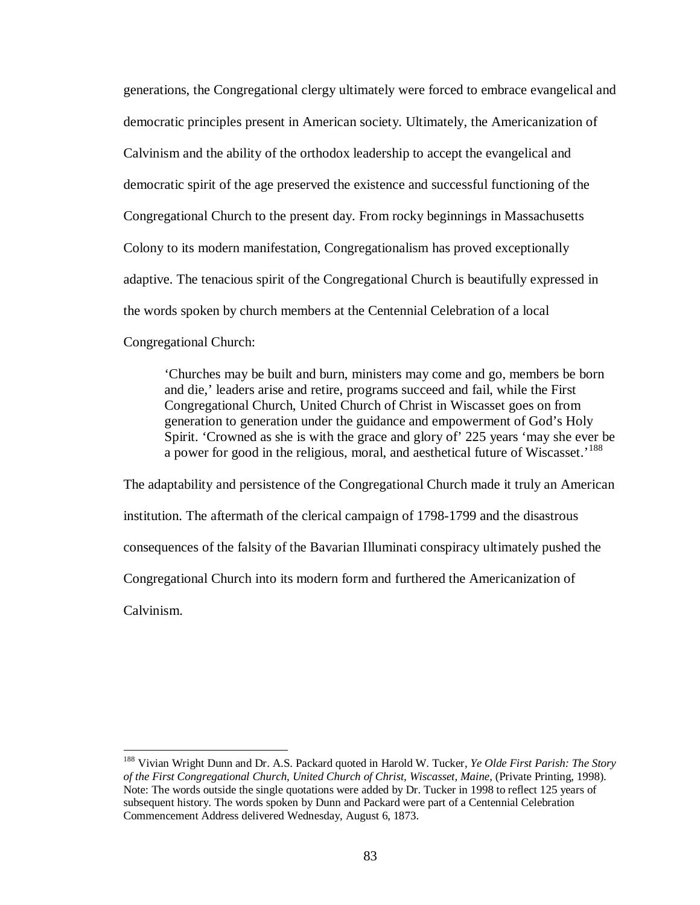generations, the Congregational clergy ultimately were forced to embrace evangelical and democratic principles present in American society. Ultimately, the Americanization of Calvinism and the ability of the orthodox leadership to accept the evangelical and democratic spirit of the age preserved the existence and successful functioning of the Congregational Church to the present day. From rocky beginnings in Massachusetts Colony to its modern manifestation, Congregationalism has proved exceptionally adaptive. The tenacious spirit of the Congregational Church is beautifully expressed in the words spoken by church members at the Centennial Celebration of a local Congregational Church:

'Churches may be built and burn, ministers may come and go, members be born and die,' leaders arise and retire, programs succeed and fail, while the First Congregational Church, United Church of Christ in Wiscasset goes on from generation to generation under the guidance and empowerment of God's Holy Spirit. 'Crowned as she is with the grace and glory of' 225 years 'may she ever be a power for good in the religious, moral, and aesthetical future of Wiscasset.<sup>[188](#page-88-0)</sup>

The adaptability and persistence of the Congregational Church made it truly an American institution. The aftermath of the clerical campaign of 1798-1799 and the disastrous consequences of the falsity of the Bavarian Illuminati conspiracy ultimately pushed the Congregational Church into its modern form and furthered the Americanization of Calvinism.

<span id="page-88-0"></span> <sup>188</sup> Vivian Wright Dunn and Dr. A.S. Packard quoted in Harold W. Tucker, *Ye Olde First Parish: The Story of the First Congregational Church, United Church of Christ, Wiscasset, Maine*, (Private Printing, 1998). Note: The words outside the single quotations were added by Dr. Tucker in 1998 to reflect 125 years of subsequent history. The words spoken by Dunn and Packard were part of a Centennial Celebration Commencement Address delivered Wednesday, August 6, 1873.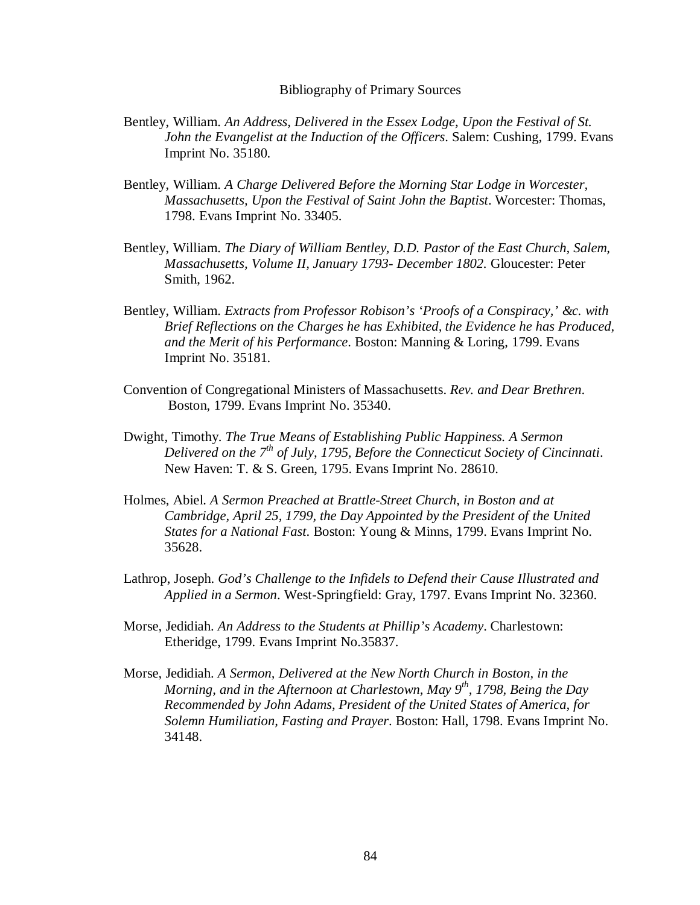## Bibliography of Primary Sources

- Bentley, William. *An Address, Delivered in the Essex Lodge, Upon the Festival of St. John the Evangelist at the Induction of the Officers*. Salem: Cushing, 1799. Evans Imprint No. 35180.
- Bentley, William. *A Charge Delivered Before the Morning Star Lodge in Worcester, Massachusetts, Upon the Festival of Saint John the Baptist*. Worcester: Thomas, 1798. Evans Imprint No. 33405.
- Bentley, William. *The Diary of William Bentley, D.D. Pastor of the East Church, Salem, Massachusetts, Volume II, January 1793- December 1802.* Gloucester: Peter Smith, 1962.
- Bentley, William. *Extracts from Professor Robison's 'Proofs of a Conspiracy,' &c. with Brief Reflections on the Charges he has Exhibited, the Evidence he has Produced, and the Merit of his Performance*. Boston: Manning & Loring, 1799. Evans Imprint No. 35181.
- Convention of Congregational Ministers of Massachusetts. *Rev. and Dear Brethren*. Boston, 1799. Evans Imprint No. 35340.
- Dwight, Timothy. *The True Means of Establishing Public Happiness. A Sermon Delivered on the 7th of July, 1795, Before the Connecticut Society of Cincinnati*. New Haven: T. & S. Green, 1795. Evans Imprint No. 28610.
- Holmes, Abiel. *A Sermon Preached at Brattle-Street Church, in Boston and at Cambridge, April 25, 1799, the Day Appointed by the President of the United States for a National Fast*. Boston: Young & Minns, 1799. Evans Imprint No. 35628.
- Lathrop, Joseph. *God's Challenge to the Infidels to Defend their Cause Illustrated and Applied in a Sermon*. West-Springfield: Gray, 1797. Evans Imprint No. 32360.
- Morse, Jedidiah. *An Address to the Students at Phillip's Academy*. Charlestown: Etheridge, 1799. Evans Imprint No.35837.
- Morse, Jedidiah. *A Sermon, Delivered at the New North Church in Boston, in the Morning, and in the Afternoon at Charlestown, May 9th, 1798, Being the Day Recommended by John Adams, President of the United States of America, for Solemn Humiliation, Fasting and Prayer*. Boston: Hall, 1798. Evans Imprint No. 34148.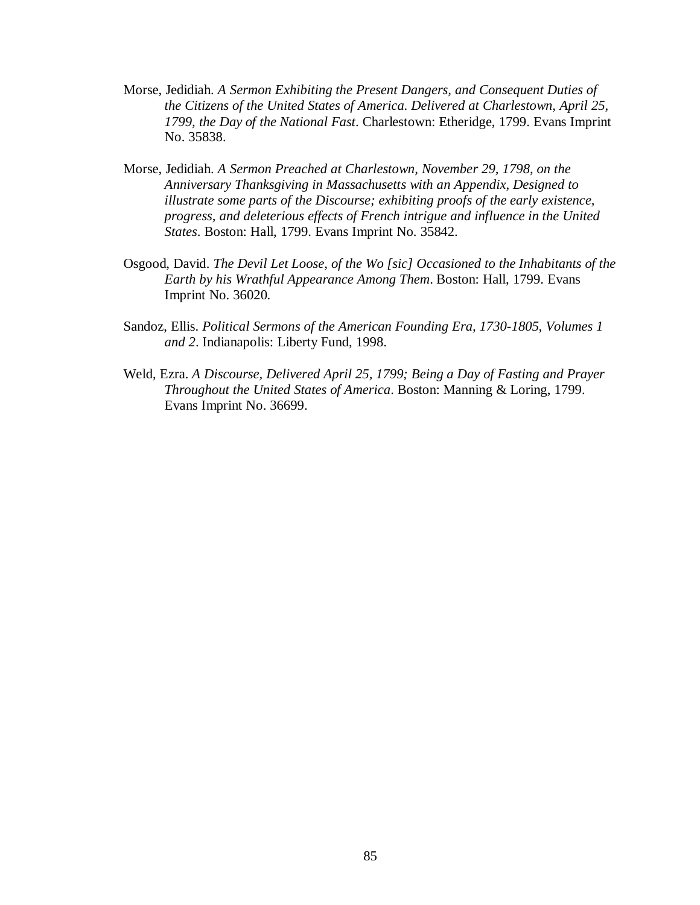- Morse, Jedidiah. *A Sermon Exhibiting the Present Dangers, and Consequent Duties of the Citizens of the United States of America. Delivered at Charlestown, April 25, 1799, the Day of the National Fast*. Charlestown: Etheridge, 1799. Evans Imprint No. 35838.
- Morse, Jedidiah. *A Sermon Preached at Charlestown, November 29, 1798, on the Anniversary Thanksgiving in Massachusetts with an Appendix, Designed to illustrate some parts of the Discourse; exhibiting proofs of the early existence, progress, and deleterious effects of French intrigue and influence in the United States*. Boston: Hall, 1799. Evans Imprint No. 35842.
- Osgood, David. *The Devil Let Loose, of the Wo [sic] Occasioned to the Inhabitants of the Earth by his Wrathful Appearance Among Them*. Boston: Hall, 1799. Evans Imprint No. 36020.
- Sandoz, Ellis. *Political Sermons of the American Founding Era, 1730-1805, Volumes 1 and 2*. Indianapolis: Liberty Fund, 1998.
- Weld, Ezra. *A Discourse, Delivered April 25, 1799; Being a Day of Fasting and Prayer Throughout the United States of America*. Boston: Manning & Loring, 1799. Evans Imprint No. 36699.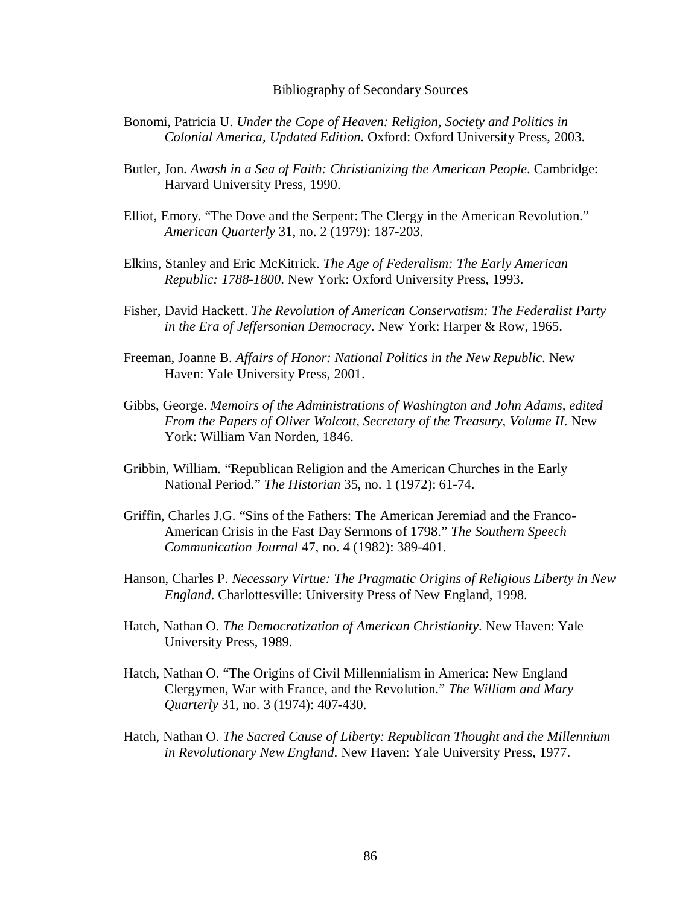## Bibliography of Secondary Sources

- Bonomi, Patricia U. *Under the Cope of Heaven: Religion, Society and Politics in Colonial America, Updated Edition*. Oxford: Oxford University Press, 2003.
- Butler, Jon. *Awash in a Sea of Faith: Christianizing the American People*. Cambridge: Harvard University Press, 1990.
- Elliot, Emory. "The Dove and the Serpent: The Clergy in the American Revolution." *American Quarterly* 31, no. 2 (1979): 187-203.
- Elkins, Stanley and Eric McKitrick. *The Age of Federalism: The Early American Republic: 1788-1800*. New York: Oxford University Press, 1993.
- Fisher, David Hackett. *The Revolution of American Conservatism: The Federalist Party in the Era of Jeffersonian Democracy*. New York: Harper & Row, 1965.
- Freeman, Joanne B. *Affairs of Honor: National Politics in the New Republic*. New Haven: Yale University Press, 2001.
- Gibbs, George. *Memoirs of the Administrations of Washington and John Adams, edited From the Papers of Oliver Wolcott, Secretary of the Treasury, Volume II*. New York: William Van Norden, 1846.
- Gribbin, William. "Republican Religion and the American Churches in the Early National Period." *The Historian* 35, no. 1 (1972): 61-74.
- Griffin, Charles J.G. "Sins of the Fathers: The American Jeremiad and the Franco-American Crisis in the Fast Day Sermons of 1798." *The Southern Speech Communication Journal* 47, no. 4 (1982): 389-401.
- Hanson, Charles P. *Necessary Virtue: The Pragmatic Origins of Religious Liberty in New England*. Charlottesville: University Press of New England, 1998.
- Hatch, Nathan O. *The Democratization of American Christianity*. New Haven: Yale University Press, 1989.
- Hatch, Nathan O. "The Origins of Civil Millennialism in America: New England Clergymen, War with France, and the Revolution." *The William and Mary Quarterly* 31, no. 3 (1974): 407-430.
- Hatch, Nathan O. *The Sacred Cause of Liberty: Republican Thought and the Millennium in Revolutionary New England*. New Haven: Yale University Press, 1977.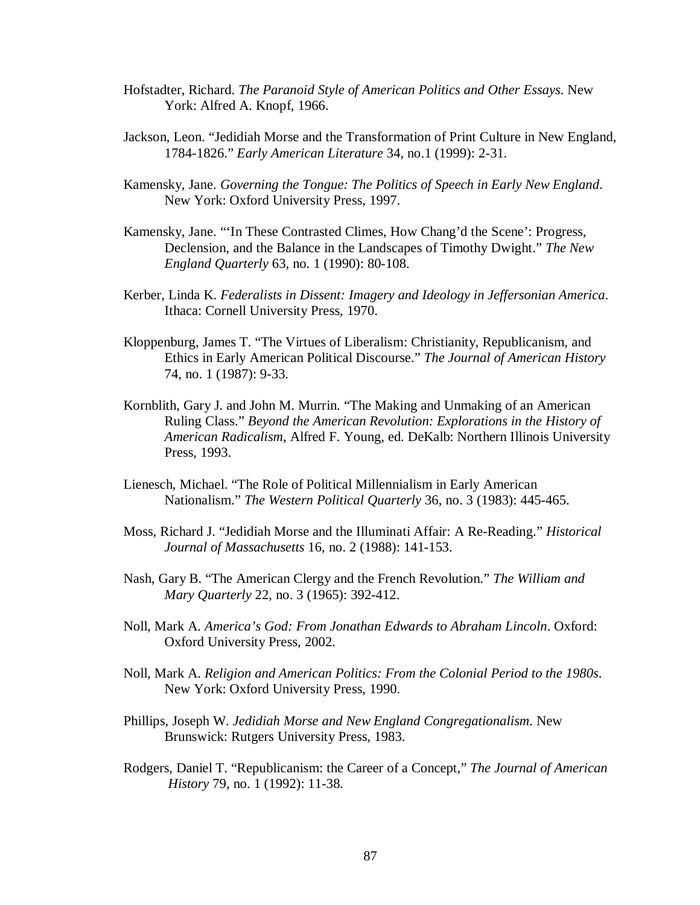- Hofstadter, Richard. *The Paranoid Style of American Politics and Other Essays*. New York: Alfred A. Knopf, 1966.
- Jackson, Leon. "Jedidiah Morse and the Transformation of Print Culture in New England, 1784-1826." *Early American Literature* 34, no.1 (1999): 2-31.
- Kamensky, Jane. *Governing the Tongue: The Politics of Speech in Early New England*. New York: Oxford University Press, 1997.
- Kamensky, Jane. "'In These Contrasted Climes, How Chang'd the Scene': Progress, Declension, and the Balance in the Landscapes of Timothy Dwight." *The New England Quarterly* 63, no. 1 (1990): 80-108.
- Kerber, Linda K. *Federalists in Dissent: Imagery and Ideology in Jeffersonian America*. Ithaca: Cornell University Press, 1970.
- Kloppenburg, James T. "The Virtues of Liberalism: Christianity, Republicanism, and Ethics in Early American Political Discourse." *The Journal of American History* 74, no. 1 (1987): 9-33.
- Kornblith, Gary J. and John M. Murrin. "The Making and Unmaking of an American Ruling Class." *Beyond the American Revolution: Explorations in the History of American Radicalism*, Alfred F. Young, ed. DeKalb: Northern Illinois University Press, 1993.
- Lienesch, Michael. "The Role of Political Millennialism in Early American Nationalism." *The Western Political Quarterly* 36, no. 3 (1983): 445-465.
- Moss, Richard J. "Jedidiah Morse and the Illuminati Affair: A Re-Reading." *Historical Journal of Massachusetts* 16, no. 2 (1988): 141-153.
- Nash, Gary B. "The American Clergy and the French Revolution." *The William and Mary Quarterly* 22, no. 3 (1965): 392-412.
- Noll, Mark A. *America's God: From Jonathan Edwards to Abraham Lincoln*. Oxford: Oxford University Press, 2002.
- Noll, Mark A. *Religion and American Politics: From the Colonial Period to the 1980s*. New York: Oxford University Press, 1990.
- Phillips, Joseph W. *Jedidiah Morse and New England Congregationalism*. New Brunswick: Rutgers University Press, 1983.
- Rodgers, Daniel T. "Republicanism: the Career of a Concept," *The Journal of American History* 79, no. 1 (1992): 11-38.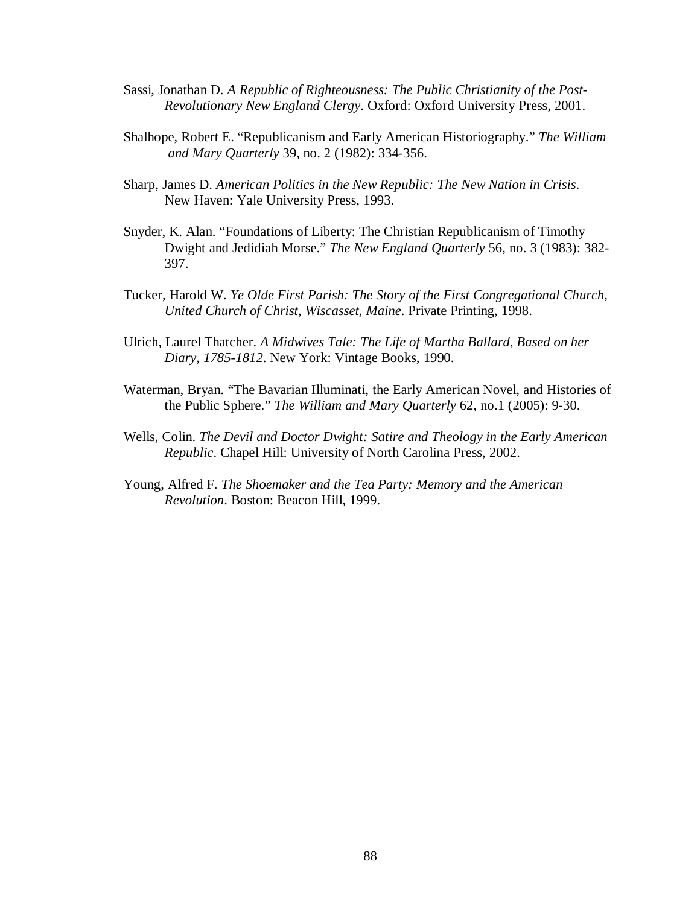- Sassi, Jonathan D. *A Republic of Righteousness: The Public Christianity of the Post-Revolutionary New England Clergy*. Oxford: Oxford University Press, 2001.
- Shalhope, Robert E. "Republicanism and Early American Historiography." *The William and Mary Quarterly* 39, no. 2 (1982): 334-356.
- Sharp, James D. *American Politics in the New Republic: The New Nation in Crisis*. New Haven: Yale University Press, 1993.
- Snyder, K. Alan. "Foundations of Liberty: The Christian Republicanism of Timothy Dwight and Jedidiah Morse." *The New England Quarterly* 56, no. 3 (1983): 382- 397.
- Tucker, Harold W. *Ye Olde First Parish: The Story of the First Congregational Church, United Church of Christ, Wiscasset, Maine*. Private Printing, 1998.
- Ulrich, Laurel Thatcher. *A Midwives Tale: The Life of Martha Ballard, Based on her Diary, 1785-1812*. New York: Vintage Books, 1990.
- Waterman, Bryan. "The Bavarian Illuminati, the Early American Novel, and Histories of the Public Sphere." *The William and Mary Quarterly* 62, no.1 (2005): 9-30.
- Wells, Colin. *The Devil and Doctor Dwight: Satire and Theology in the Early American Republic*. Chapel Hill: University of North Carolina Press, 2002.
- Young, Alfred F. *The Shoemaker and the Tea Party: Memory and the American Revolution*. Boston: Beacon Hill, 1999.